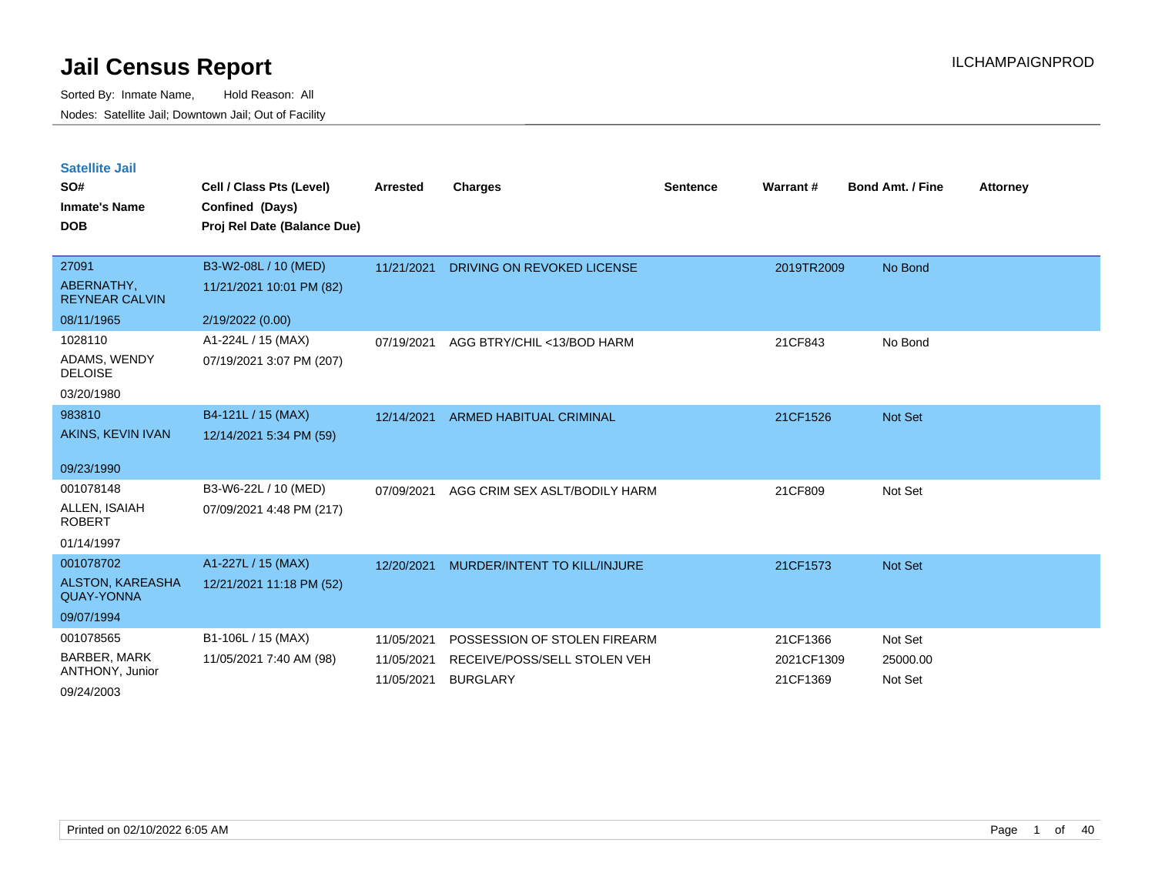| <b>Satellite Jail</b> |  |
|-----------------------|--|
|                       |  |

| SO#<br><b>Inmate's Name</b><br><b>DOB</b> | Cell / Class Pts (Level)<br>Confined (Days)<br>Proj Rel Date (Balance Due) | <b>Arrested</b>          | <b>Charges</b>                                  | <b>Sentence</b> | Warrant #              | <b>Bond Amt. / Fine</b> | <b>Attorney</b> |
|-------------------------------------------|----------------------------------------------------------------------------|--------------------------|-------------------------------------------------|-----------------|------------------------|-------------------------|-----------------|
| 27091                                     | B3-W2-08L / 10 (MED)                                                       | 11/21/2021               | DRIVING ON REVOKED LICENSE                      |                 | 2019TR2009             | No Bond                 |                 |
| ABERNATHY,<br><b>REYNEAR CALVIN</b>       | 11/21/2021 10:01 PM (82)                                                   |                          |                                                 |                 |                        |                         |                 |
| 08/11/1965                                | 2/19/2022 (0.00)                                                           |                          |                                                 |                 |                        |                         |                 |
| 1028110                                   | A1-224L / 15 (MAX)                                                         | 07/19/2021               | AGG BTRY/CHIL <13/BOD HARM                      |                 | 21CF843                | No Bond                 |                 |
| ADAMS, WENDY<br><b>DELOISE</b>            | 07/19/2021 3:07 PM (207)                                                   |                          |                                                 |                 |                        |                         |                 |
| 03/20/1980                                |                                                                            |                          |                                                 |                 |                        |                         |                 |
| 983810                                    | B4-121L / 15 (MAX)                                                         | 12/14/2021               | <b>ARMED HABITUAL CRIMINAL</b>                  |                 | 21CF1526               | Not Set                 |                 |
| AKINS, KEVIN IVAN                         | 12/14/2021 5:34 PM (59)                                                    |                          |                                                 |                 |                        |                         |                 |
| 09/23/1990                                |                                                                            |                          |                                                 |                 |                        |                         |                 |
| 001078148                                 | B3-W6-22L / 10 (MED)                                                       | 07/09/2021               | AGG CRIM SEX ASLT/BODILY HARM                   |                 | 21CF809                | Not Set                 |                 |
| ALLEN, ISAIAH<br><b>ROBERT</b>            | 07/09/2021 4:48 PM (217)                                                   |                          |                                                 |                 |                        |                         |                 |
| 01/14/1997                                |                                                                            |                          |                                                 |                 |                        |                         |                 |
| 001078702                                 | A1-227L / 15 (MAX)                                                         | 12/20/2021               | <b>MURDER/INTENT TO KILL/INJURE</b>             |                 | 21CF1573               | Not Set                 |                 |
| ALSTON, KAREASHA<br><b>QUAY-YONNA</b>     | 12/21/2021 11:18 PM (52)                                                   |                          |                                                 |                 |                        |                         |                 |
| 09/07/1994                                |                                                                            |                          |                                                 |                 |                        |                         |                 |
| 001078565                                 | B1-106L / 15 (MAX)                                                         | 11/05/2021               | POSSESSION OF STOLEN FIREARM                    |                 | 21CF1366               | Not Set                 |                 |
| <b>BARBER, MARK</b><br>ANTHONY, Junior    | 11/05/2021 7:40 AM (98)                                                    | 11/05/2021<br>11/05/2021 | RECEIVE/POSS/SELL STOLEN VEH<br><b>BURGLARY</b> |                 | 2021CF1309<br>21CF1369 | 25000.00<br>Not Set     |                 |
| 09/24/2003                                |                                                                            |                          |                                                 |                 |                        |                         |                 |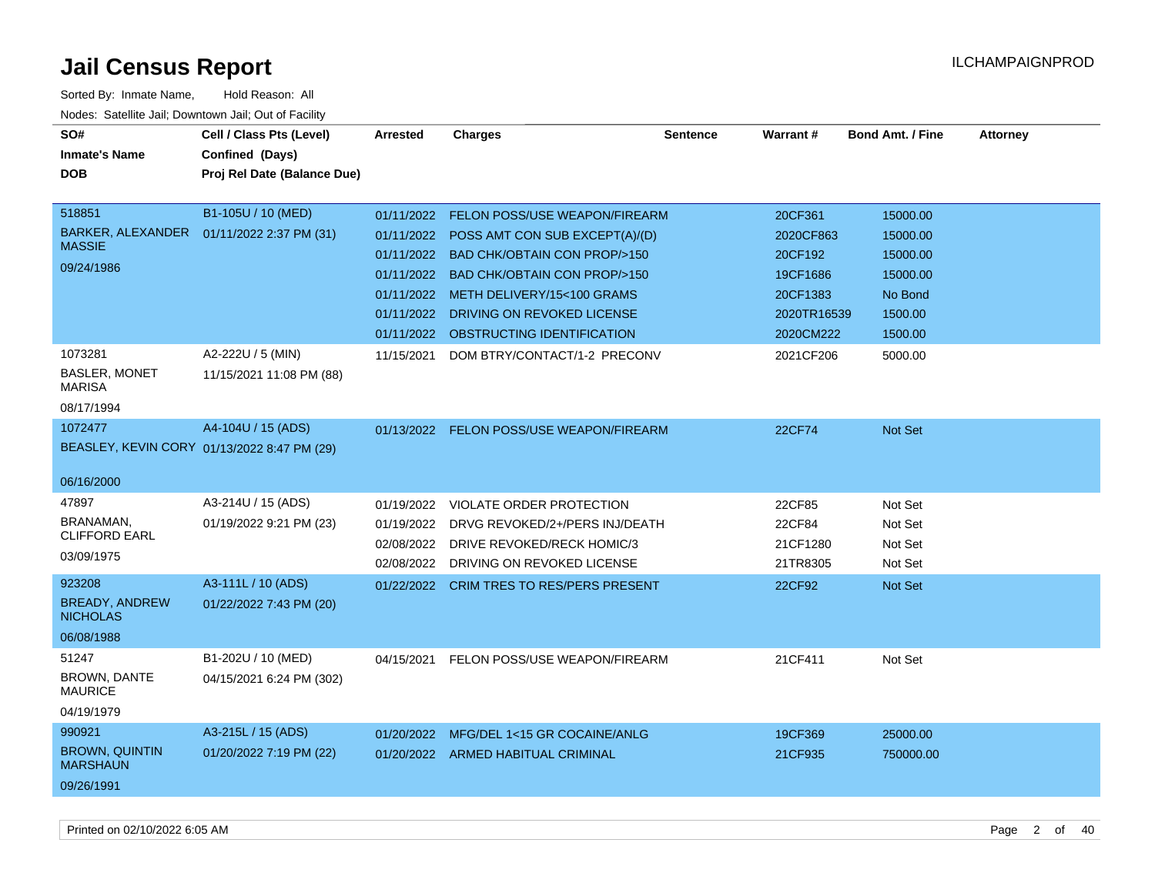| SO#                                      | Cell / Class Pts (Level)                      | <b>Arrested</b> | <b>Charges</b>                           | <b>Sentence</b> | Warrant#    | <b>Bond Amt. / Fine</b> | <b>Attorney</b> |
|------------------------------------------|-----------------------------------------------|-----------------|------------------------------------------|-----------------|-------------|-------------------------|-----------------|
| <b>Inmate's Name</b>                     | Confined (Days)                               |                 |                                          |                 |             |                         |                 |
| <b>DOB</b>                               | Proj Rel Date (Balance Due)                   |                 |                                          |                 |             |                         |                 |
|                                          |                                               |                 |                                          |                 |             |                         |                 |
| 518851                                   | B1-105U / 10 (MED)                            | 01/11/2022      | <b>FELON POSS/USE WEAPON/FIREARM</b>     |                 | 20CF361     | 15000.00                |                 |
| BARKER, ALEXANDER<br><b>MASSIE</b>       | 01/11/2022 2:37 PM (31)                       | 01/11/2022      | POSS AMT CON SUB EXCEPT(A)/(D)           |                 | 2020CF863   | 15000.00                |                 |
| 09/24/1986                               |                                               | 01/11/2022      | <b>BAD CHK/OBTAIN CON PROP/&gt;150</b>   |                 | 20CF192     | 15000.00                |                 |
|                                          |                                               | 01/11/2022      | <b>BAD CHK/OBTAIN CON PROP/&gt;150</b>   |                 | 19CF1686    | 15000.00                |                 |
|                                          |                                               |                 | 01/11/2022 METH DELIVERY/15<100 GRAMS    |                 | 20CF1383    | No Bond                 |                 |
|                                          |                                               | 01/11/2022      | DRIVING ON REVOKED LICENSE               |                 | 2020TR16539 | 1500.00                 |                 |
|                                          |                                               | 01/11/2022      | OBSTRUCTING IDENTIFICATION               |                 | 2020CM222   | 1500.00                 |                 |
| 1073281<br>BASLER, MONET                 | A2-222U / 5 (MIN)<br>11/15/2021 11:08 PM (88) | 11/15/2021      | DOM BTRY/CONTACT/1-2 PRECONV             |                 | 2021CF206   | 5000.00                 |                 |
| <b>MARISA</b><br>08/17/1994              |                                               |                 |                                          |                 |             |                         |                 |
| 1072477                                  | A4-104U / 15 (ADS)                            |                 | 01/13/2022 FELON POSS/USE WEAPON/FIREARM |                 | 22CF74      | <b>Not Set</b>          |                 |
|                                          | BEASLEY, KEVIN CORY 01/13/2022 8:47 PM (29)   |                 |                                          |                 |             |                         |                 |
| 06/16/2000                               |                                               |                 |                                          |                 |             |                         |                 |
| 47897                                    | A3-214U / 15 (ADS)                            | 01/19/2022      | <b>VIOLATE ORDER PROTECTION</b>          |                 | 22CF85      | Not Set                 |                 |
| BRANAMAN,                                | 01/19/2022 9:21 PM (23)                       | 01/19/2022      | DRVG REVOKED/2+/PERS INJ/DEATH           |                 | 22CF84      | Not Set                 |                 |
| <b>CLIFFORD EARL</b>                     |                                               | 02/08/2022      | DRIVE REVOKED/RECK HOMIC/3               |                 | 21CF1280    | Not Set                 |                 |
| 03/09/1975                               |                                               |                 | 02/08/2022 DRIVING ON REVOKED LICENSE    |                 | 21TR8305    | Not Set                 |                 |
| 923208                                   | A3-111L / 10 (ADS)                            |                 | 01/22/2022 CRIM TRES TO RES/PERS PRESENT |                 | 22CF92      | Not Set                 |                 |
| <b>BREADY, ANDREW</b><br><b>NICHOLAS</b> | 01/22/2022 7:43 PM (20)                       |                 |                                          |                 |             |                         |                 |
| 06/08/1988                               |                                               |                 |                                          |                 |             |                         |                 |
| 51247                                    | B1-202U / 10 (MED)                            | 04/15/2021      | FELON POSS/USE WEAPON/FIREARM            |                 | 21CF411     | Not Set                 |                 |
| BROWN, DANTE<br><b>MAURICE</b>           | 04/15/2021 6:24 PM (302)                      |                 |                                          |                 |             |                         |                 |
| 04/19/1979                               |                                               |                 |                                          |                 |             |                         |                 |
| 990921                                   | A3-215L / 15 (ADS)                            | 01/20/2022      | MFG/DEL 1<15 GR COCAINE/ANLG             |                 | 19CF369     | 25000.00                |                 |
| <b>BROWN, QUINTIN</b><br><b>MARSHAUN</b> | 01/20/2022 7:19 PM (22)                       |                 | 01/20/2022 ARMED HABITUAL CRIMINAL       |                 | 21CF935     | 750000.00               |                 |
| 09/26/1991                               |                                               |                 |                                          |                 |             |                         |                 |
|                                          |                                               |                 |                                          |                 |             |                         |                 |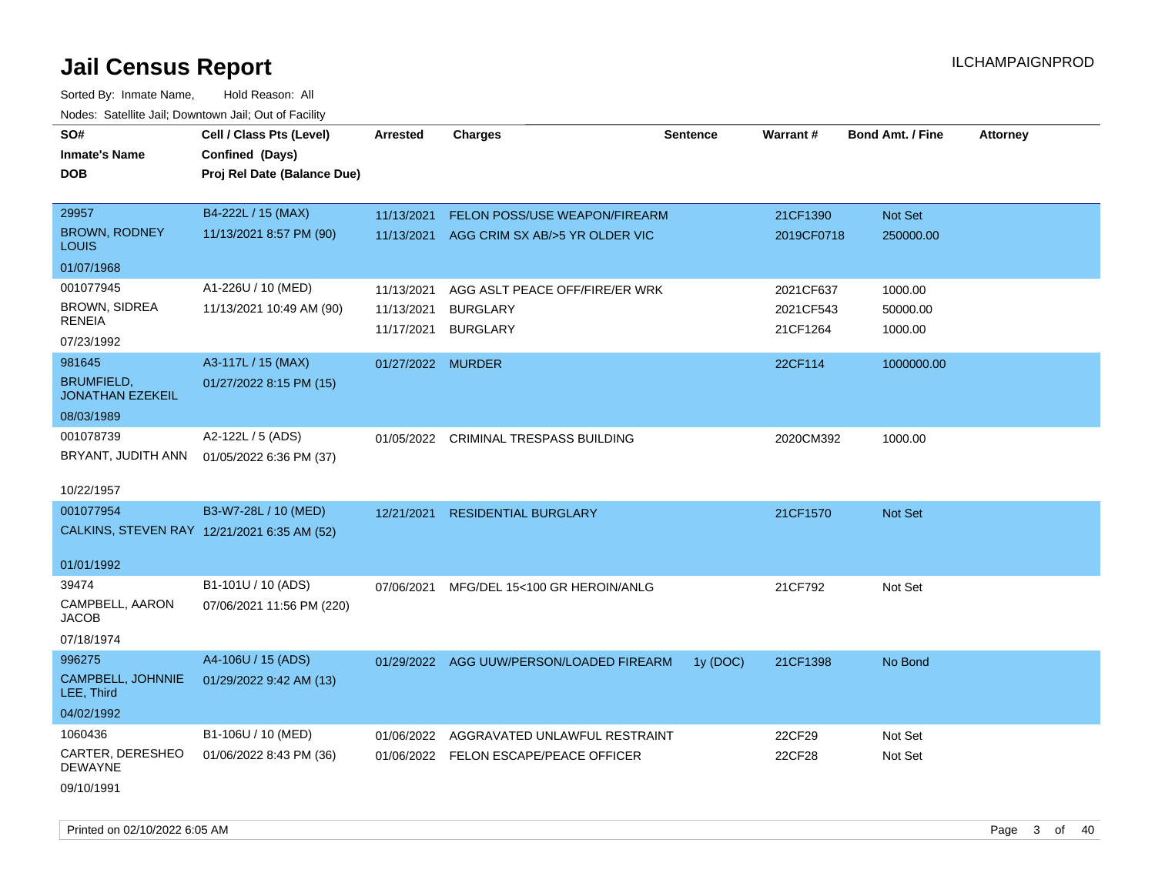Sorted By: Inmate Name, Hold Reason: All Nodes: Satellite Jail; Downtown Jail; Out of Facility

| SO#                                          | Cell / Class Pts (Level)                    | <b>Arrested</b>   | <b>Charges</b>                            | <b>Sentence</b> | <b>Warrant#</b> | <b>Bond Amt. / Fine</b> | <b>Attorney</b> |
|----------------------------------------------|---------------------------------------------|-------------------|-------------------------------------------|-----------------|-----------------|-------------------------|-----------------|
| <b>Inmate's Name</b>                         | Confined (Days)                             |                   |                                           |                 |                 |                         |                 |
| <b>DOB</b>                                   | Proj Rel Date (Balance Due)                 |                   |                                           |                 |                 |                         |                 |
|                                              |                                             |                   |                                           |                 |                 |                         |                 |
| 29957                                        | B4-222L / 15 (MAX)                          | 11/13/2021        | FELON POSS/USE WEAPON/FIREARM             |                 | 21CF1390        | Not Set                 |                 |
| <b>BROWN, RODNEY</b><br><b>LOUIS</b>         | 11/13/2021 8:57 PM (90)                     |                   | 11/13/2021 AGG CRIM SX AB/>5 YR OLDER VIC |                 | 2019CF0718      | 250000.00               |                 |
| 01/07/1968                                   |                                             |                   |                                           |                 |                 |                         |                 |
| 001077945                                    | A1-226U / 10 (MED)                          | 11/13/2021        | AGG ASLT PEACE OFF/FIRE/ER WRK            |                 | 2021CF637       | 1000.00                 |                 |
| BROWN, SIDREA                                | 11/13/2021 10:49 AM (90)                    | 11/13/2021        | <b>BURGLARY</b>                           |                 | 2021CF543       | 50000.00                |                 |
| <b>RENEIA</b>                                |                                             | 11/17/2021        | <b>BURGLARY</b>                           |                 | 21CF1264        | 1000.00                 |                 |
| 07/23/1992                                   |                                             |                   |                                           |                 |                 |                         |                 |
| 981645                                       | A3-117L / 15 (MAX)                          | 01/27/2022 MURDER |                                           |                 | 22CF114         | 1000000.00              |                 |
| <b>BRUMFIELD,</b><br><b>JONATHAN EZEKEIL</b> | 01/27/2022 8:15 PM (15)                     |                   |                                           |                 |                 |                         |                 |
| 08/03/1989                                   |                                             |                   |                                           |                 |                 |                         |                 |
| 001078739                                    | A2-122L / 5 (ADS)                           |                   | 01/05/2022 CRIMINAL TRESPASS BUILDING     |                 | 2020CM392       | 1000.00                 |                 |
| BRYANT, JUDITH ANN                           | 01/05/2022 6:36 PM (37)                     |                   |                                           |                 |                 |                         |                 |
|                                              |                                             |                   |                                           |                 |                 |                         |                 |
| 10/22/1957                                   |                                             |                   |                                           |                 |                 |                         |                 |
| 001077954                                    | B3-W7-28L / 10 (MED)                        | 12/21/2021        | <b>RESIDENTIAL BURGLARY</b>               |                 | 21CF1570        | Not Set                 |                 |
|                                              | CALKINS, STEVEN RAY 12/21/2021 6:35 AM (52) |                   |                                           |                 |                 |                         |                 |
| 01/01/1992                                   |                                             |                   |                                           |                 |                 |                         |                 |
| 39474                                        | B1-101U / 10 (ADS)                          | 07/06/2021        | MFG/DEL 15<100 GR HEROIN/ANLG             |                 | 21CF792         | Not Set                 |                 |
| CAMPBELL, AARON                              | 07/06/2021 11:56 PM (220)                   |                   |                                           |                 |                 |                         |                 |
| <b>JACOB</b>                                 |                                             |                   |                                           |                 |                 |                         |                 |
| 07/18/1974                                   |                                             |                   |                                           |                 |                 |                         |                 |
| 996275                                       | A4-106U / 15 (ADS)                          |                   | 01/29/2022 AGG UUW/PERSON/LOADED FIREARM  | 1y (DOC)        | 21CF1398        | No Bond                 |                 |
| CAMPBELL, JOHNNIE<br>LEE, Third              | 01/29/2022 9:42 AM (13)                     |                   |                                           |                 |                 |                         |                 |
| 04/02/1992                                   |                                             |                   |                                           |                 |                 |                         |                 |
| 1060436                                      | B1-106U / 10 (MED)                          | 01/06/2022        | AGGRAVATED UNLAWFUL RESTRAINT             |                 | 22CF29          | Not Set                 |                 |
| CARTER, DERESHEO<br><b>DEWAYNE</b>           | 01/06/2022 8:43 PM (36)                     |                   | 01/06/2022 FELON ESCAPE/PEACE OFFICER     |                 | 22CF28          | Not Set                 |                 |
| 09/10/1991                                   |                                             |                   |                                           |                 |                 |                         |                 |

Printed on 02/10/2022 6:05 AM Page 3 of 40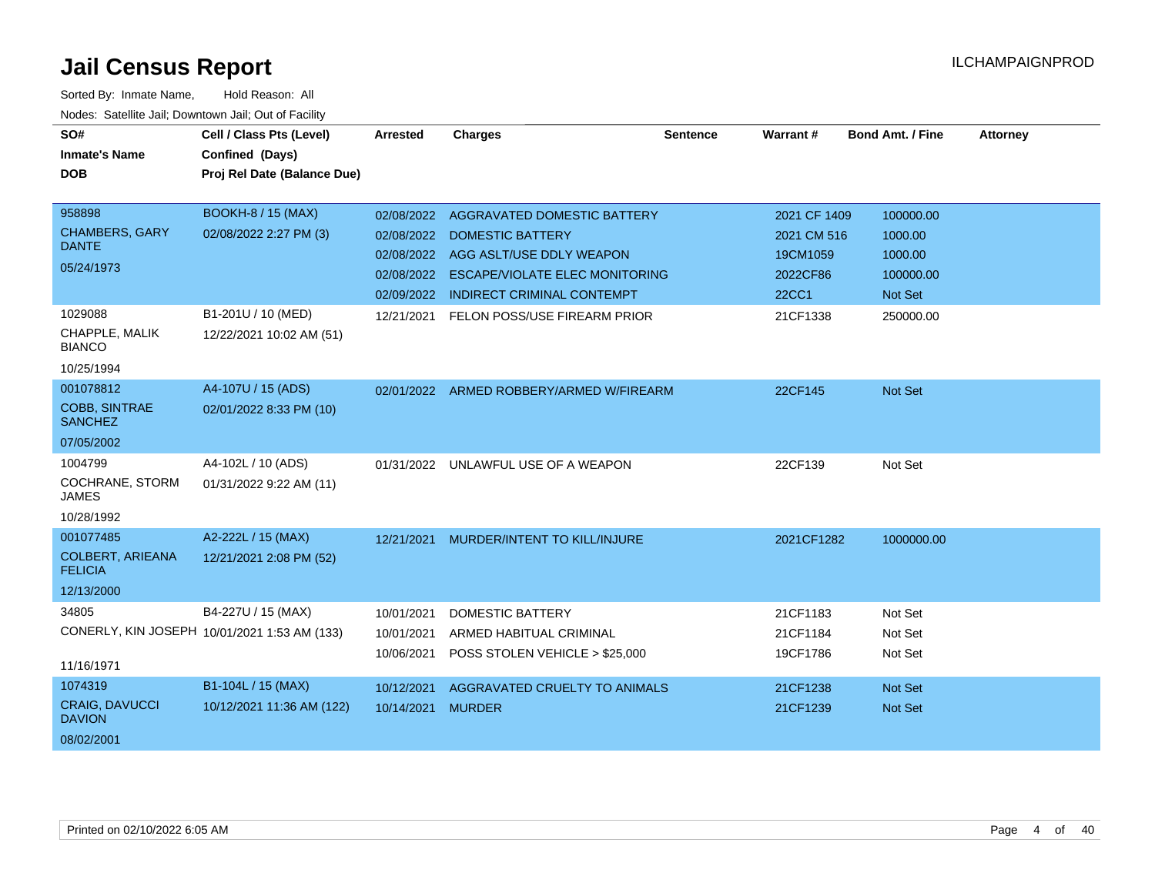| SO#                                       | Cell / Class Pts (Level)                     | Arrested   | <b>Charges</b>                           | <b>Sentence</b> | Warrant#     | <b>Bond Amt. / Fine</b> | <b>Attorney</b> |
|-------------------------------------------|----------------------------------------------|------------|------------------------------------------|-----------------|--------------|-------------------------|-----------------|
| <b>Inmate's Name</b>                      | Confined (Days)                              |            |                                          |                 |              |                         |                 |
| <b>DOB</b>                                | Proj Rel Date (Balance Due)                  |            |                                          |                 |              |                         |                 |
|                                           |                                              |            |                                          |                 |              |                         |                 |
| 958898                                    | <b>BOOKH-8 / 15 (MAX)</b>                    | 02/08/2022 | AGGRAVATED DOMESTIC BATTERY              |                 | 2021 CF 1409 | 100000.00               |                 |
| <b>CHAMBERS, GARY</b>                     | 02/08/2022 2:27 PM (3)                       |            | 02/08/2022 DOMESTIC BATTERY              |                 | 2021 CM 516  | 1000.00                 |                 |
| <b>DANTE</b>                              |                                              | 02/08/2022 | AGG ASLT/USE DDLY WEAPON                 |                 | 19CM1059     | 1000.00                 |                 |
| 05/24/1973                                |                                              | 02/08/2022 | <b>ESCAPE/VIOLATE ELEC MONITORING</b>    |                 | 2022CF86     | 100000.00               |                 |
|                                           |                                              | 02/09/2022 | <b>INDIRECT CRIMINAL CONTEMPT</b>        |                 | <b>22CC1</b> | Not Set                 |                 |
| 1029088                                   | B1-201U / 10 (MED)                           | 12/21/2021 | FELON POSS/USE FIREARM PRIOR             |                 | 21CF1338     | 250000.00               |                 |
| CHAPPLE, MALIK<br><b>BIANCO</b>           | 12/22/2021 10:02 AM (51)                     |            |                                          |                 |              |                         |                 |
| 10/25/1994                                |                                              |            |                                          |                 |              |                         |                 |
| 001078812                                 | A4-107U / 15 (ADS)                           |            | 02/01/2022 ARMED ROBBERY/ARMED W/FIREARM |                 | 22CF145      | Not Set                 |                 |
| <b>COBB, SINTRAE</b><br><b>SANCHEZ</b>    | 02/01/2022 8:33 PM (10)                      |            |                                          |                 |              |                         |                 |
| 07/05/2002                                |                                              |            |                                          |                 |              |                         |                 |
| 1004799                                   | A4-102L / 10 (ADS)                           |            | 01/31/2022 UNLAWFUL USE OF A WEAPON      |                 | 22CF139      | Not Set                 |                 |
| COCHRANE, STORM<br><b>JAMES</b>           | 01/31/2022 9:22 AM (11)                      |            |                                          |                 |              |                         |                 |
| 10/28/1992                                |                                              |            |                                          |                 |              |                         |                 |
| 001077485                                 | A2-222L / 15 (MAX)                           | 12/21/2021 | MURDER/INTENT TO KILL/INJURE             |                 | 2021CF1282   | 1000000.00              |                 |
| <b>COLBERT, ARIEANA</b><br><b>FELICIA</b> | 12/21/2021 2:08 PM (52)                      |            |                                          |                 |              |                         |                 |
| 12/13/2000                                |                                              |            |                                          |                 |              |                         |                 |
| 34805                                     | B4-227U / 15 (MAX)                           | 10/01/2021 | <b>DOMESTIC BATTERY</b>                  |                 | 21CF1183     | Not Set                 |                 |
|                                           | CONERLY, KIN JOSEPH 10/01/2021 1:53 AM (133) | 10/01/2021 | ARMED HABITUAL CRIMINAL                  |                 | 21CF1184     | Not Set                 |                 |
|                                           |                                              | 10/06/2021 | POSS STOLEN VEHICLE > \$25,000           |                 | 19CF1786     | Not Set                 |                 |
| 11/16/1971                                |                                              |            |                                          |                 |              |                         |                 |
| 1074319                                   | B1-104L / 15 (MAX)                           | 10/12/2021 | AGGRAVATED CRUELTY TO ANIMALS            |                 | 21CF1238     | Not Set                 |                 |
| <b>CRAIG, DAVUCCI</b><br><b>DAVION</b>    | 10/12/2021 11:36 AM (122)                    | 10/14/2021 | <b>MURDER</b>                            |                 | 21CF1239     | Not Set                 |                 |
| 08/02/2001                                |                                              |            |                                          |                 |              |                         |                 |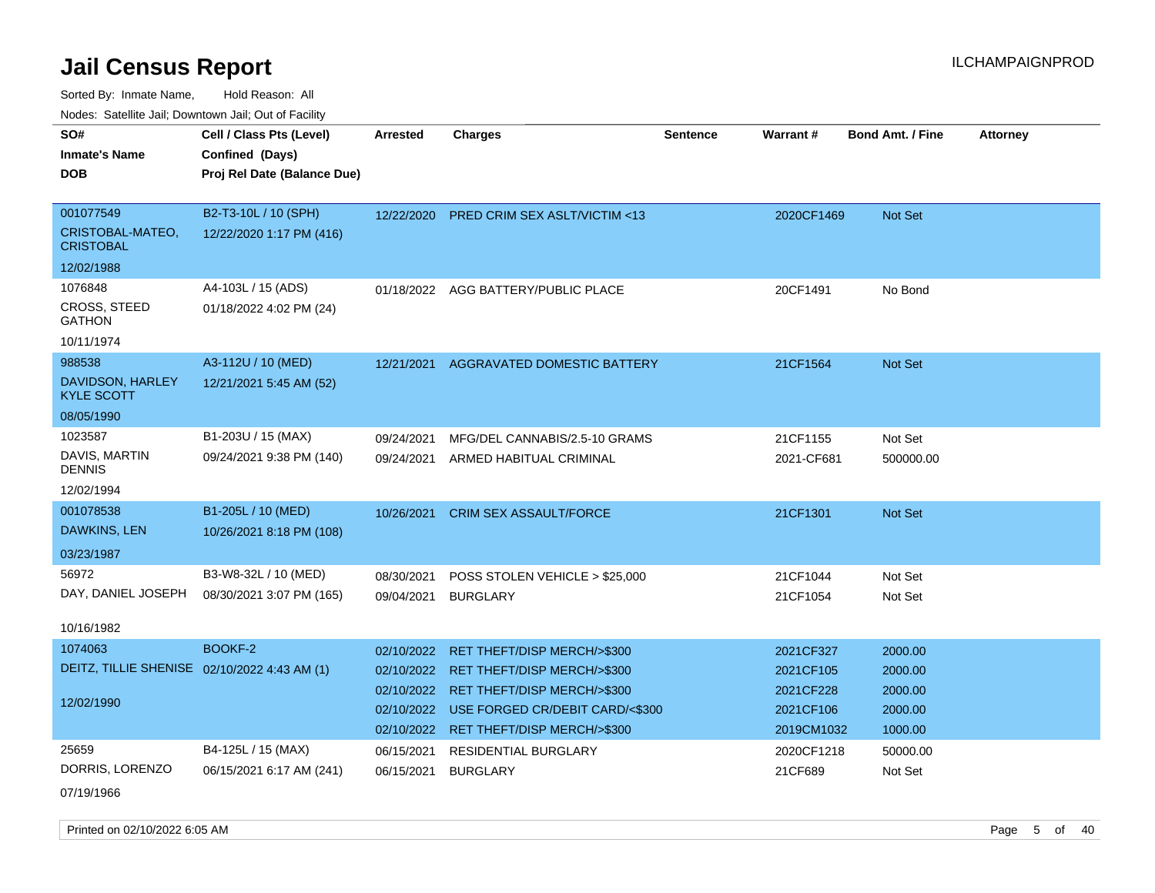Sorted By: Inmate Name, Hold Reason: All Nodes: Satellite Jail; Downtown Jail; Out of Facility

| voues. Saleline Jail, Downtown Jail, Out of Facility |                             |                 |                                            |                 |            |                         |                 |
|------------------------------------------------------|-----------------------------|-----------------|--------------------------------------------|-----------------|------------|-------------------------|-----------------|
| SO#                                                  | Cell / Class Pts (Level)    | <b>Arrested</b> | <b>Charges</b>                             | <b>Sentence</b> | Warrant#   | <b>Bond Amt. / Fine</b> | <b>Attorney</b> |
| <b>Inmate's Name</b>                                 | Confined (Days)             |                 |                                            |                 |            |                         |                 |
| DOB                                                  | Proj Rel Date (Balance Due) |                 |                                            |                 |            |                         |                 |
|                                                      |                             |                 |                                            |                 |            |                         |                 |
| 001077549                                            | B2-T3-10L / 10 (SPH)        | 12/22/2020      | <b>PRED CRIM SEX ASLT/VICTIM &lt;13</b>    |                 | 2020CF1469 | Not Set                 |                 |
| CRISTOBAL-MATEO,<br><b>CRISTOBAL</b>                 | 12/22/2020 1:17 PM (416)    |                 |                                            |                 |            |                         |                 |
| 12/02/1988                                           |                             |                 |                                            |                 |            |                         |                 |
| 1076848                                              | A4-103L / 15 (ADS)          |                 | 01/18/2022 AGG BATTERY/PUBLIC PLACE        |                 | 20CF1491   | No Bond                 |                 |
| CROSS, STEED<br>GATHON                               | 01/18/2022 4:02 PM (24)     |                 |                                            |                 |            |                         |                 |
| 10/11/1974                                           |                             |                 |                                            |                 |            |                         |                 |
| 988538                                               | A3-112U / 10 (MED)          | 12/21/2021      | AGGRAVATED DOMESTIC BATTERY                |                 | 21CF1564   | <b>Not Set</b>          |                 |
| DAVIDSON, HARLEY<br><b>KYLE SCOTT</b>                | 12/21/2021 5:45 AM (52)     |                 |                                            |                 |            |                         |                 |
| 08/05/1990                                           |                             |                 |                                            |                 |            |                         |                 |
| 1023587                                              | B1-203U / 15 (MAX)          | 09/24/2021      | MFG/DEL CANNABIS/2.5-10 GRAMS              |                 | 21CF1155   | Not Set                 |                 |
| DAVIS, MARTIN<br>DENNIS                              | 09/24/2021 9:38 PM (140)    | 09/24/2021      | ARMED HABITUAL CRIMINAL                    |                 | 2021-CF681 | 500000.00               |                 |
| 12/02/1994                                           |                             |                 |                                            |                 |            |                         |                 |
| 001078538                                            | B1-205L / 10 (MED)          | 10/26/2021      | <b>CRIM SEX ASSAULT/FORCE</b>              |                 | 21CF1301   | Not Set                 |                 |
| DAWKINS, LEN                                         | 10/26/2021 8:18 PM (108)    |                 |                                            |                 |            |                         |                 |
| 03/23/1987                                           |                             |                 |                                            |                 |            |                         |                 |
| 56972                                                | B3-W8-32L / 10 (MED)        | 08/30/2021      | POSS STOLEN VEHICLE > \$25,000             |                 | 21CF1044   | Not Set                 |                 |
| DAY, DANIEL JOSEPH                                   | 08/30/2021 3:07 PM (165)    | 09/04/2021      | <b>BURGLARY</b>                            |                 | 21CF1054   | Not Set                 |                 |
|                                                      |                             |                 |                                            |                 |            |                         |                 |
| 10/16/1982                                           |                             |                 |                                            |                 |            |                         |                 |
| 1074063                                              | BOOKF-2                     | 02/10/2022      | <b>RET THEFT/DISP MERCH/&gt;\$300</b>      |                 | 2021CF327  | 2000.00                 |                 |
| DEITZ, TILLIE SHENISE 02/10/2022 4:43 AM (1)         |                             |                 | 02/10/2022 RET THEFT/DISP MERCH/>\$300     |                 | 2021CF105  | 2000.00                 |                 |
| 12/02/1990                                           |                             |                 | 02/10/2022 RET THEFT/DISP MERCH/>\$300     |                 | 2021CF228  | 2000.00                 |                 |
|                                                      |                             |                 | 02/10/2022 USE FORGED CR/DEBIT CARD/<\$300 |                 | 2021CF106  | 2000.00                 |                 |
|                                                      |                             |                 | 02/10/2022 RET THEFT/DISP MERCH/>\$300     |                 | 2019CM1032 | 1000.00                 |                 |
| 25659                                                | B4-125L / 15 (MAX)          | 06/15/2021      | <b>RESIDENTIAL BURGLARY</b>                |                 | 2020CF1218 | 50000.00                |                 |
| DORRIS, LORENZO                                      | 06/15/2021 6:17 AM (241)    | 06/15/2021      | <b>BURGLARY</b>                            |                 | 21CF689    | Not Set                 |                 |
|                                                      |                             |                 |                                            |                 |            |                         |                 |

07/19/1966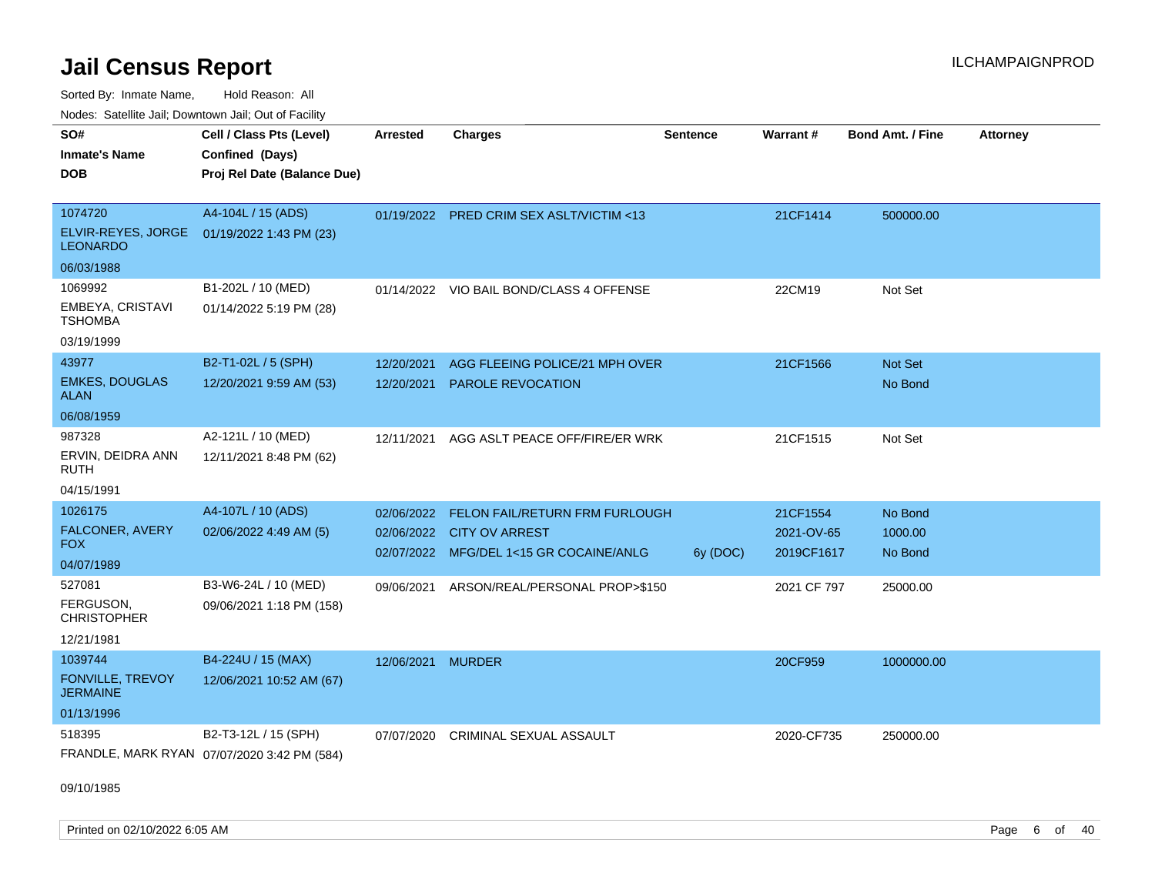Sorted By: Inmate Name, Hold Reason: All

Nodes: Satellite Jail; Downtown Jail; Out of Facility

| SO#                                        | Cell / Class Pts (Level)                    | <b>Arrested</b> | <b>Charges</b>                           | <b>Sentence</b> | Warrant#    | <b>Bond Amt. / Fine</b> | <b>Attorney</b> |
|--------------------------------------------|---------------------------------------------|-----------------|------------------------------------------|-----------------|-------------|-------------------------|-----------------|
| <b>Inmate's Name</b>                       | Confined (Days)                             |                 |                                          |                 |             |                         |                 |
| <b>DOB</b>                                 | Proj Rel Date (Balance Due)                 |                 |                                          |                 |             |                         |                 |
|                                            |                                             |                 |                                          |                 |             |                         |                 |
| 1074720                                    | A4-104L / 15 (ADS)                          |                 | 01/19/2022 PRED CRIM SEX ASLT/VICTIM <13 |                 | 21CF1414    | 500000.00               |                 |
| ELVIR-REYES, JORGE<br><b>LEONARDO</b>      | 01/19/2022 1:43 PM (23)                     |                 |                                          |                 |             |                         |                 |
| 06/03/1988                                 |                                             |                 |                                          |                 |             |                         |                 |
| 1069992                                    | B1-202L / 10 (MED)                          |                 | 01/14/2022 VIO BAIL BOND/CLASS 4 OFFENSE |                 | 22CM19      | Not Set                 |                 |
| EMBEYA, CRISTAVI<br><b>TSHOMBA</b>         | 01/14/2022 5:19 PM (28)                     |                 |                                          |                 |             |                         |                 |
| 03/19/1999                                 |                                             |                 |                                          |                 |             |                         |                 |
| 43977                                      | B2-T1-02L / 5 (SPH)                         | 12/20/2021      | AGG FLEEING POLICE/21 MPH OVER           |                 | 21CF1566    | Not Set                 |                 |
| <b>EMKES, DOUGLAS</b><br><b>ALAN</b>       | 12/20/2021 9:59 AM (53)                     | 12/20/2021      | <b>PAROLE REVOCATION</b>                 |                 |             | No Bond                 |                 |
| 06/08/1959                                 |                                             |                 |                                          |                 |             |                         |                 |
| 987328                                     | A2-121L / 10 (MED)                          | 12/11/2021      | AGG ASLT PEACE OFF/FIRE/ER WRK           |                 | 21CF1515    | Not Set                 |                 |
| ERVIN, DEIDRA ANN<br><b>RUTH</b>           | 12/11/2021 8:48 PM (62)                     |                 |                                          |                 |             |                         |                 |
| 04/15/1991                                 |                                             |                 |                                          |                 |             |                         |                 |
| 1026175                                    | A4-107L / 10 (ADS)                          | 02/06/2022      | FELON FAIL/RETURN FRM FURLOUGH           |                 | 21CF1554    | No Bond                 |                 |
| FALCONER, AVERY                            | 02/06/2022 4:49 AM (5)                      |                 | 02/06/2022 CITY OV ARREST                |                 | 2021-OV-65  | 1000.00                 |                 |
| <b>FOX</b>                                 |                                             |                 | 02/07/2022 MFG/DEL 1<15 GR COCAINE/ANLG  | 6y (DOC)        | 2019CF1617  | No Bond                 |                 |
| 04/07/1989                                 |                                             |                 |                                          |                 |             |                         |                 |
| 527081                                     | B3-W6-24L / 10 (MED)                        | 09/06/2021      | ARSON/REAL/PERSONAL PROP>\$150           |                 | 2021 CF 797 | 25000.00                |                 |
| FERGUSON,<br><b>CHRISTOPHER</b>            | 09/06/2021 1:18 PM (158)                    |                 |                                          |                 |             |                         |                 |
| 12/21/1981                                 |                                             |                 |                                          |                 |             |                         |                 |
| 1039744                                    | B4-224U / 15 (MAX)                          | 12/06/2021      | <b>MURDER</b>                            |                 | 20CF959     | 1000000.00              |                 |
| <b>FONVILLE, TREVOY</b><br><b>JERMAINE</b> | 12/06/2021 10:52 AM (67)                    |                 |                                          |                 |             |                         |                 |
| 01/13/1996                                 |                                             |                 |                                          |                 |             |                         |                 |
| 518395                                     | B2-T3-12L / 15 (SPH)                        | 07/07/2020      | CRIMINAL SEXUAL ASSAULT                  |                 | 2020-CF735  | 250000.00               |                 |
|                                            | FRANDLE, MARK RYAN 07/07/2020 3:42 PM (584) |                 |                                          |                 |             |                         |                 |

09/10/1985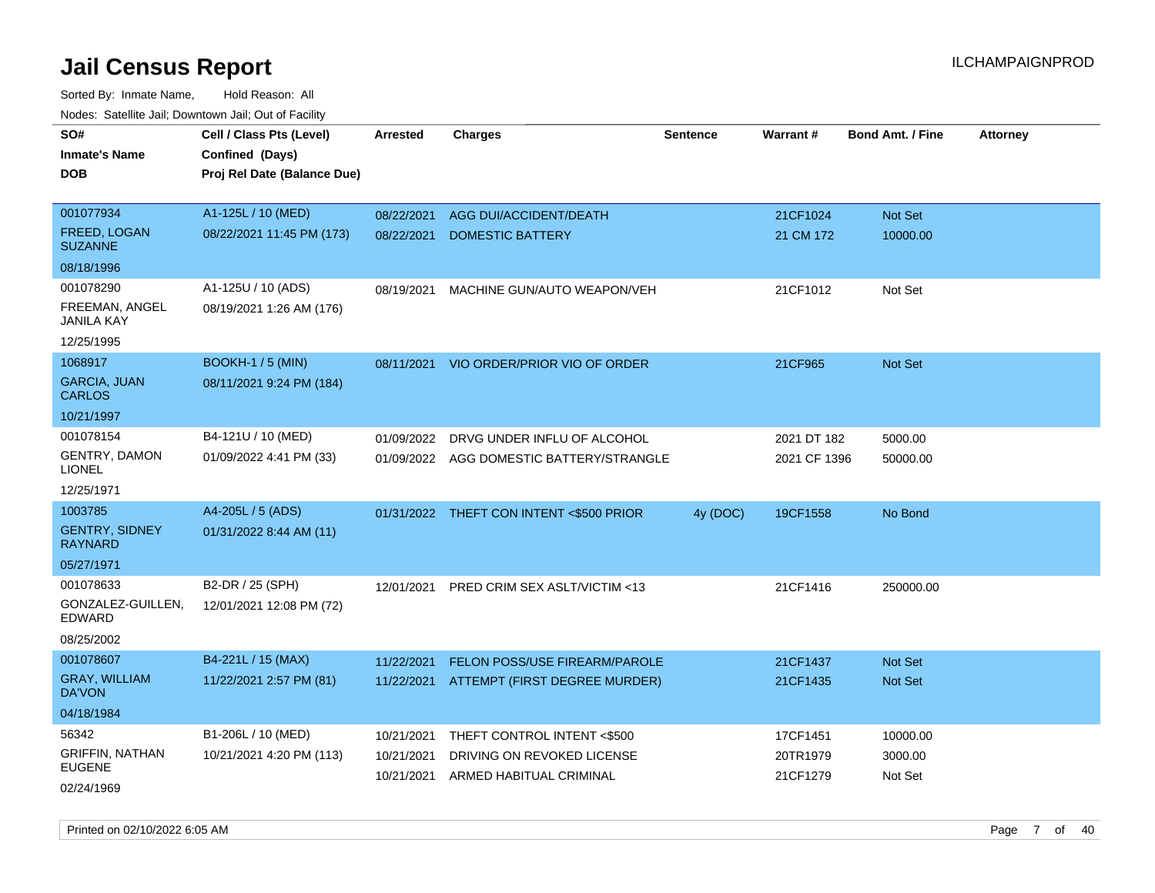| vouco. Catolino cali, Downtown cali, Out of Facility |                             |                 |                                          |                 |              |                         |                 |
|------------------------------------------------------|-----------------------------|-----------------|------------------------------------------|-----------------|--------------|-------------------------|-----------------|
| SO#                                                  | Cell / Class Pts (Level)    | <b>Arrested</b> | <b>Charges</b>                           | <b>Sentence</b> | Warrant#     | <b>Bond Amt. / Fine</b> | <b>Attorney</b> |
| <b>Inmate's Name</b>                                 | Confined (Days)             |                 |                                          |                 |              |                         |                 |
| DOB                                                  | Proj Rel Date (Balance Due) |                 |                                          |                 |              |                         |                 |
|                                                      |                             |                 |                                          |                 |              |                         |                 |
| 001077934                                            | A1-125L / 10 (MED)          | 08/22/2021      | <b>AGG DUI/ACCIDENT/DEATH</b>            |                 | 21CF1024     | Not Set                 |                 |
| FREED, LOGAN<br><b>SUZANNE</b>                       | 08/22/2021 11:45 PM (173)   | 08/22/2021      | DOMESTIC BATTERY                         |                 | 21 CM 172    | 10000.00                |                 |
| 08/18/1996                                           |                             |                 |                                          |                 |              |                         |                 |
| 001078290                                            | A1-125U / 10 (ADS)          | 08/19/2021      | MACHINE GUN/AUTO WEAPON/VEH              |                 | 21CF1012     | Not Set                 |                 |
| FREEMAN, ANGEL<br>JANILA KAY                         | 08/19/2021 1:26 AM (176)    |                 |                                          |                 |              |                         |                 |
| 12/25/1995                                           |                             |                 |                                          |                 |              |                         |                 |
| 1068917                                              | <b>BOOKH-1 / 5 (MIN)</b>    | 08/11/2021      | VIO ORDER/PRIOR VIO OF ORDER             |                 | 21CF965      | Not Set                 |                 |
| <b>GARCIA, JUAN</b><br><b>CARLOS</b>                 | 08/11/2021 9:24 PM (184)    |                 |                                          |                 |              |                         |                 |
| 10/21/1997                                           |                             |                 |                                          |                 |              |                         |                 |
| 001078154                                            | B4-121U / 10 (MED)          | 01/09/2022      | DRVG UNDER INFLU OF ALCOHOL              |                 | 2021 DT 182  | 5000.00                 |                 |
| <b>GENTRY, DAMON</b><br><b>LIONEL</b>                | 01/09/2022 4:41 PM (33)     |                 | 01/09/2022 AGG DOMESTIC BATTERY/STRANGLE |                 | 2021 CF 1396 | 50000.00                |                 |
| 12/25/1971                                           |                             |                 |                                          |                 |              |                         |                 |
| 1003785                                              | A4-205L / 5 (ADS)           |                 | 01/31/2022 THEFT CON INTENT <\$500 PRIOR | 4y (DOC)        | 19CF1558     | No Bond                 |                 |
| <b>GENTRY, SIDNEY</b><br>RAYNARD                     | 01/31/2022 8:44 AM (11)     |                 |                                          |                 |              |                         |                 |
| 05/27/1971                                           |                             |                 |                                          |                 |              |                         |                 |
| 001078633                                            | B2-DR / 25 (SPH)            | 12/01/2021      | <b>PRED CRIM SEX ASLT/VICTIM &lt;13</b>  |                 | 21CF1416     | 250000.00               |                 |
| GONZALEZ-GUILLEN,<br>EDWARD                          | 12/01/2021 12:08 PM (72)    |                 |                                          |                 |              |                         |                 |
| 08/25/2002                                           |                             |                 |                                          |                 |              |                         |                 |
| 001078607                                            | B4-221L / 15 (MAX)          | 11/22/2021      | FELON POSS/USE FIREARM/PAROLE            |                 | 21CF1437     | <b>Not Set</b>          |                 |
| <b>GRAY, WILLIAM</b><br>DA'VON                       | 11/22/2021 2:57 PM (81)     | 11/22/2021      | ATTEMPT (FIRST DEGREE MURDER)            |                 | 21CF1435     | <b>Not Set</b>          |                 |
| 04/18/1984                                           |                             |                 |                                          |                 |              |                         |                 |
| 56342                                                | B1-206L / 10 (MED)          | 10/21/2021      | THEFT CONTROL INTENT <\$500              |                 | 17CF1451     | 10000.00                |                 |
| <b>GRIFFIN, NATHAN</b>                               | 10/21/2021 4:20 PM (113)    | 10/21/2021      | DRIVING ON REVOKED LICENSE               |                 | 20TR1979     | 3000.00                 |                 |
| <b>EUGENE</b>                                        |                             | 10/21/2021      | ARMED HABITUAL CRIMINAL                  |                 | 21CF1279     | Not Set                 |                 |
| 02/24/1969                                           |                             |                 |                                          |                 |              |                         |                 |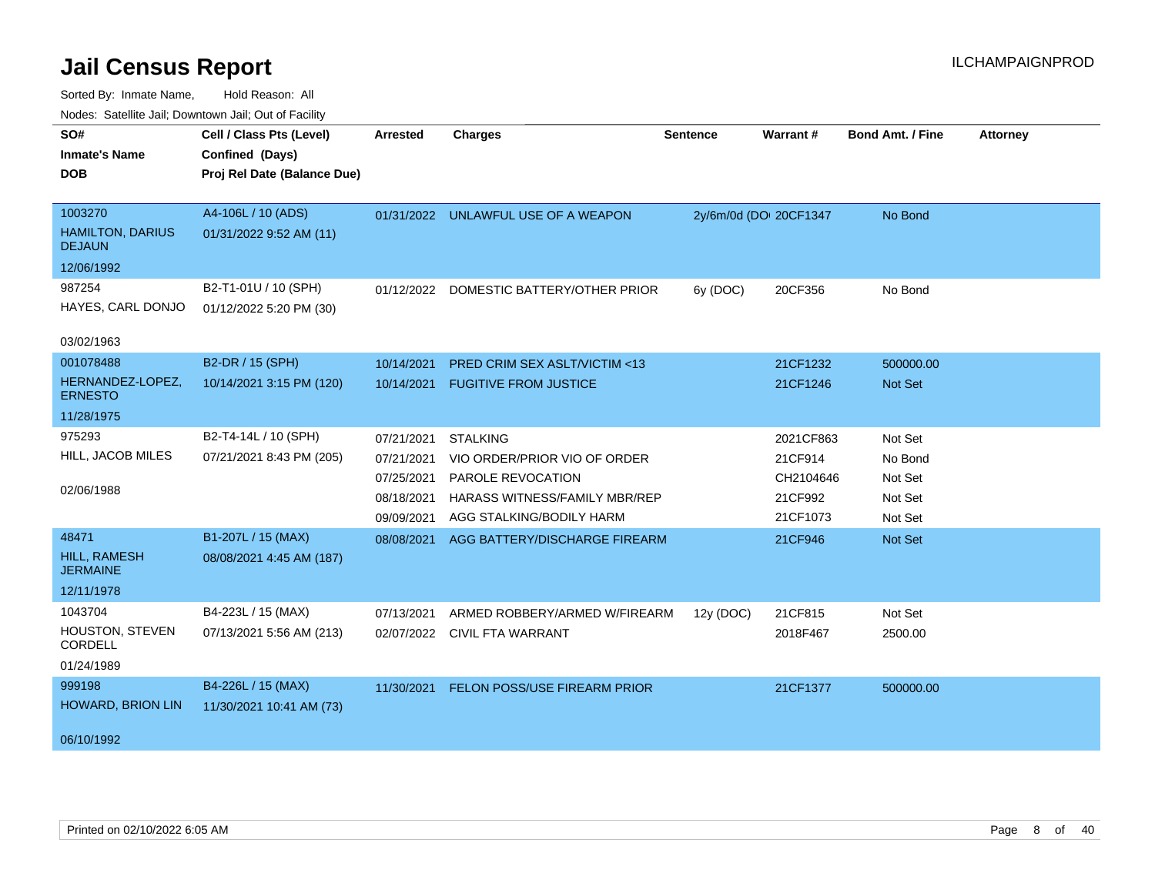| SO#                                      | Cell / Class Pts (Level)    | <b>Arrested</b> | <b>Charges</b>                          | <b>Sentence</b> | Warrant#               | <b>Bond Amt. / Fine</b> | <b>Attorney</b> |
|------------------------------------------|-----------------------------|-----------------|-----------------------------------------|-----------------|------------------------|-------------------------|-----------------|
| <b>Inmate's Name</b>                     | Confined (Days)             |                 |                                         |                 |                        |                         |                 |
| <b>DOB</b>                               | Proj Rel Date (Balance Due) |                 |                                         |                 |                        |                         |                 |
|                                          |                             |                 |                                         |                 |                        |                         |                 |
| 1003270                                  | A4-106L / 10 (ADS)          |                 | 01/31/2022 UNLAWFUL USE OF A WEAPON     |                 | 2y/6m/0d (DOI 20CF1347 | No Bond                 |                 |
| <b>HAMILTON, DARIUS</b><br><b>DEJAUN</b> | 01/31/2022 9:52 AM (11)     |                 |                                         |                 |                        |                         |                 |
| 12/06/1992                               |                             |                 |                                         |                 |                        |                         |                 |
| 987254                                   | B2-T1-01U / 10 (SPH)        |                 | 01/12/2022 DOMESTIC BATTERY/OTHER PRIOR | 6y (DOC)        | 20CF356                | No Bond                 |                 |
| HAYES, CARL DONJO                        | 01/12/2022 5:20 PM (30)     |                 |                                         |                 |                        |                         |                 |
| 03/02/1963                               |                             |                 |                                         |                 |                        |                         |                 |
| 001078488                                | B2-DR / 15 (SPH)            | 10/14/2021      | PRED CRIM SEX ASLT/VICTIM <13           |                 | 21CF1232               | 500000.00               |                 |
| HERNANDEZ-LOPEZ,<br><b>ERNESTO</b>       | 10/14/2021 3:15 PM (120)    | 10/14/2021      | <b>FUGITIVE FROM JUSTICE</b>            |                 | 21CF1246               | Not Set                 |                 |
| 11/28/1975                               |                             |                 |                                         |                 |                        |                         |                 |
| 975293                                   | B2-T4-14L / 10 (SPH)        | 07/21/2021      | <b>STALKING</b>                         |                 | 2021CF863              | Not Set                 |                 |
| HILL, JACOB MILES                        | 07/21/2021 8:43 PM (205)    | 07/21/2021      | VIO ORDER/PRIOR VIO OF ORDER            |                 | 21CF914                | No Bond                 |                 |
|                                          |                             | 07/25/2021      | PAROLE REVOCATION                       |                 | CH2104646              | Not Set                 |                 |
| 02/06/1988                               |                             | 08/18/2021      | HARASS WITNESS/FAMILY MBR/REP           |                 | 21CF992                | Not Set                 |                 |
|                                          |                             | 09/09/2021      | AGG STALKING/BODILY HARM                |                 | 21CF1073               | Not Set                 |                 |
| 48471                                    | B1-207L / 15 (MAX)          | 08/08/2021      | AGG BATTERY/DISCHARGE FIREARM           |                 | 21CF946                | Not Set                 |                 |
| HILL, RAMESH<br><b>JERMAINE</b>          | 08/08/2021 4:45 AM (187)    |                 |                                         |                 |                        |                         |                 |
| 12/11/1978                               |                             |                 |                                         |                 |                        |                         |                 |
| 1043704                                  | B4-223L / 15 (MAX)          | 07/13/2021      | ARMED ROBBERY/ARMED W/FIREARM           | 12y (DOC)       | 21CF815                | Not Set                 |                 |
| <b>HOUSTON, STEVEN</b><br>CORDELL        | 07/13/2021 5:56 AM (213)    |                 | 02/07/2022 CIVIL FTA WARRANT            |                 | 2018F467               | 2500.00                 |                 |
| 01/24/1989                               |                             |                 |                                         |                 |                        |                         |                 |
| 999198                                   | B4-226L / 15 (MAX)          | 11/30/2021      | <b>FELON POSS/USE FIREARM PRIOR</b>     |                 | 21CF1377               | 500000.00               |                 |
| <b>HOWARD, BRION LIN</b>                 | 11/30/2021 10:41 AM (73)    |                 |                                         |                 |                        |                         |                 |
| 06/10/1992                               |                             |                 |                                         |                 |                        |                         |                 |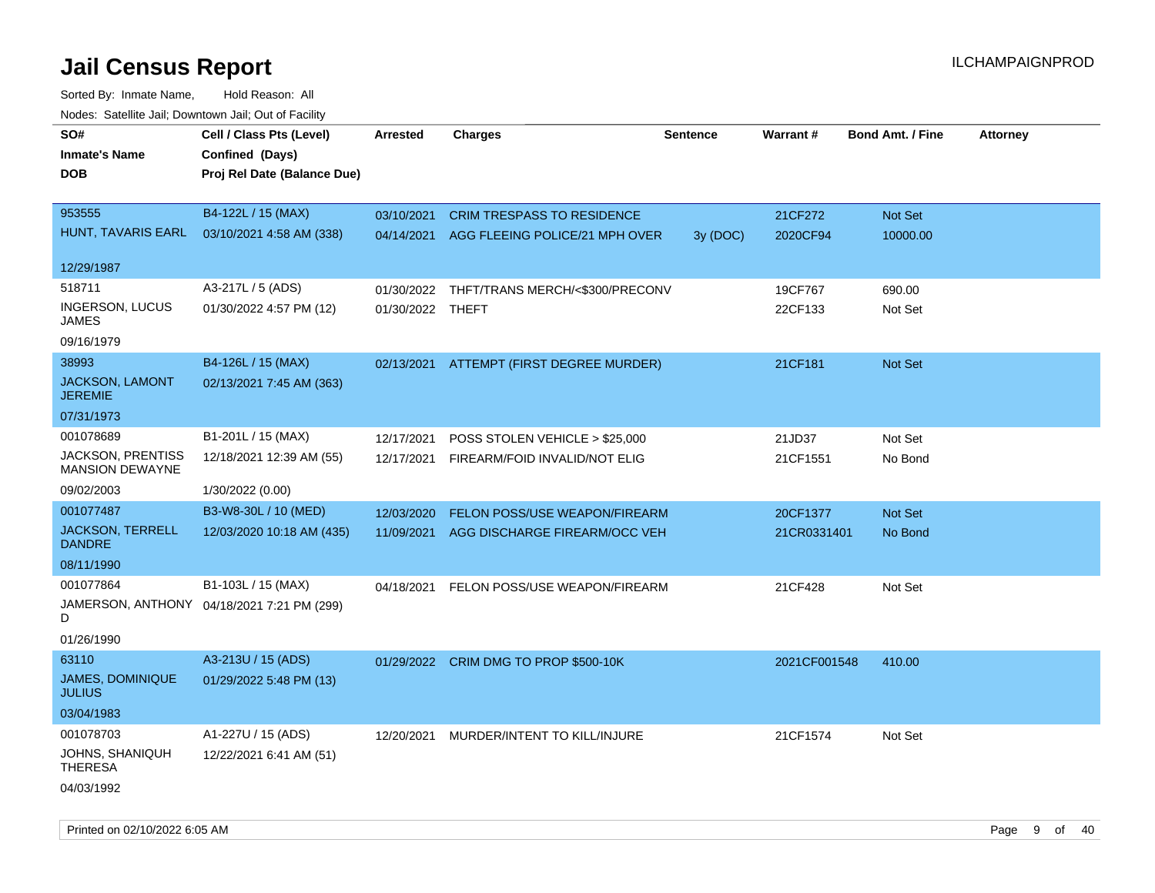| roaco. Catolino cali, Domntonn cali, Out of Facility |                                            |                  |                                           |                 |              |                         |                 |
|------------------------------------------------------|--------------------------------------------|------------------|-------------------------------------------|-----------------|--------------|-------------------------|-----------------|
| SO#                                                  | Cell / Class Pts (Level)                   | <b>Arrested</b>  | <b>Charges</b>                            | <b>Sentence</b> | Warrant#     | <b>Bond Amt. / Fine</b> | <b>Attorney</b> |
| <b>Inmate's Name</b>                                 | Confined (Days)                            |                  |                                           |                 |              |                         |                 |
| <b>DOB</b>                                           | Proj Rel Date (Balance Due)                |                  |                                           |                 |              |                         |                 |
|                                                      |                                            |                  |                                           |                 |              |                         |                 |
| 953555                                               | B4-122L / 15 (MAX)                         | 03/10/2021       | <b>CRIM TRESPASS TO RESIDENCE</b>         |                 | 21CF272      | Not Set                 |                 |
| HUNT, TAVARIS EARL                                   | 03/10/2021 4:58 AM (338)                   |                  | 04/14/2021 AGG FLEEING POLICE/21 MPH OVER | 3y (DOC)        | 2020CF94     | 10000.00                |                 |
|                                                      |                                            |                  |                                           |                 |              |                         |                 |
| 12/29/1987                                           |                                            |                  |                                           |                 |              |                         |                 |
| 518711                                               | A3-217L / 5 (ADS)                          | 01/30/2022       | THFT/TRANS MERCH/<\$300/PRECONV           |                 | 19CF767      | 690.00                  |                 |
| <b>INGERSON, LUCUS</b><br>JAMES                      | 01/30/2022 4:57 PM (12)                    | 01/30/2022 THEFT |                                           |                 | 22CF133      | Not Set                 |                 |
| 09/16/1979                                           |                                            |                  |                                           |                 |              |                         |                 |
| 38993                                                | B4-126L / 15 (MAX)                         |                  | 02/13/2021 ATTEMPT (FIRST DEGREE MURDER)  |                 | 21CF181      | Not Set                 |                 |
| JACKSON, LAMONT<br><b>JEREMIE</b>                    | 02/13/2021 7:45 AM (363)                   |                  |                                           |                 |              |                         |                 |
| 07/31/1973                                           |                                            |                  |                                           |                 |              |                         |                 |
| 001078689                                            | B1-201L / 15 (MAX)                         | 12/17/2021       | POSS STOLEN VEHICLE > \$25,000            |                 | 21JD37       | Not Set                 |                 |
| <b>JACKSON, PRENTISS</b><br><b>MANSION DEWAYNE</b>   | 12/18/2021 12:39 AM (55)                   |                  | 12/17/2021 FIREARM/FOID INVALID/NOT ELIG  |                 | 21CF1551     | No Bond                 |                 |
| 09/02/2003                                           | 1/30/2022 (0.00)                           |                  |                                           |                 |              |                         |                 |
| 001077487                                            | B3-W8-30L / 10 (MED)                       | 12/03/2020       | FELON POSS/USE WEAPON/FIREARM             |                 | 20CF1377     | Not Set                 |                 |
| <b>JACKSON, TERRELL</b><br><b>DANDRE</b>             | 12/03/2020 10:18 AM (435)                  | 11/09/2021       | AGG DISCHARGE FIREARM/OCC VEH             |                 | 21CR0331401  | No Bond                 |                 |
| 08/11/1990                                           |                                            |                  |                                           |                 |              |                         |                 |
| 001077864                                            | B1-103L / 15 (MAX)                         | 04/18/2021       | FELON POSS/USE WEAPON/FIREARM             |                 | 21CF428      | Not Set                 |                 |
| D                                                    | JAMERSON, ANTHONY 04/18/2021 7:21 PM (299) |                  |                                           |                 |              |                         |                 |
| 01/26/1990                                           |                                            |                  |                                           |                 |              |                         |                 |
| 63110                                                | A3-213U / 15 (ADS)                         |                  | 01/29/2022 CRIM DMG TO PROP \$500-10K     |                 | 2021CF001548 | 410.00                  |                 |
| JAMES, DOMINIQUE<br><b>JULIUS</b>                    | 01/29/2022 5:48 PM (13)                    |                  |                                           |                 |              |                         |                 |
| 03/04/1983                                           |                                            |                  |                                           |                 |              |                         |                 |
| 001078703                                            | A1-227U / 15 (ADS)                         | 12/20/2021       | MURDER/INTENT TO KILL/INJURE              |                 | 21CF1574     | Not Set                 |                 |
| JOHNS, SHANIQUH<br><b>THERESA</b>                    | 12/22/2021 6:41 AM (51)                    |                  |                                           |                 |              |                         |                 |
| 04/03/1992                                           |                                            |                  |                                           |                 |              |                         |                 |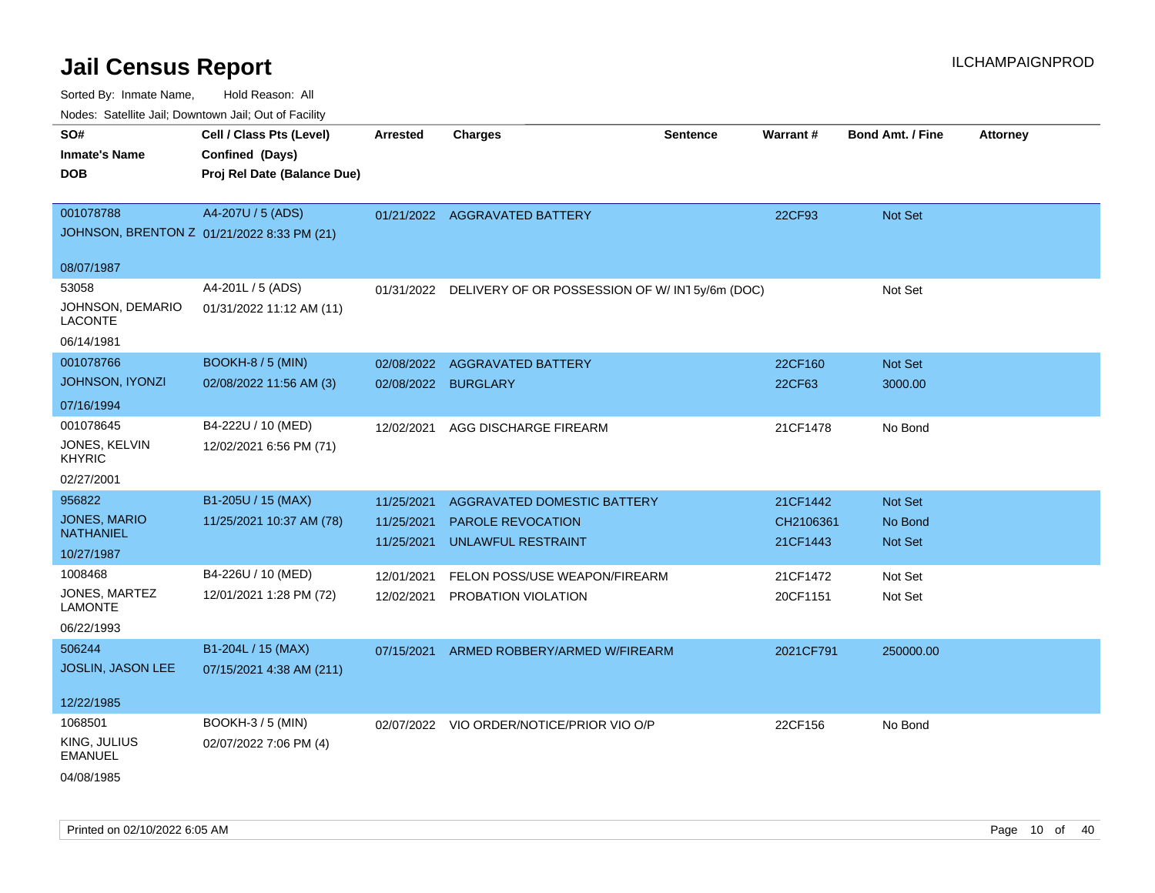| SO#                                        | Cell / Class Pts (Level)    | <b>Arrested</b> | <b>Charges</b>                                           | <b>Sentence</b> | Warrant#  | <b>Bond Amt. / Fine</b> | <b>Attorney</b> |
|--------------------------------------------|-----------------------------|-----------------|----------------------------------------------------------|-----------------|-----------|-------------------------|-----------------|
| <b>Inmate's Name</b>                       | Confined (Days)             |                 |                                                          |                 |           |                         |                 |
| <b>DOB</b>                                 | Proj Rel Date (Balance Due) |                 |                                                          |                 |           |                         |                 |
|                                            |                             |                 |                                                          |                 |           |                         |                 |
| 001078788                                  | A4-207U / 5 (ADS)           |                 | 01/21/2022 AGGRAVATED BATTERY                            |                 | 22CF93    | Not Set                 |                 |
| JOHNSON, BRENTON Z 01/21/2022 8:33 PM (21) |                             |                 |                                                          |                 |           |                         |                 |
|                                            |                             |                 |                                                          |                 |           |                         |                 |
| 08/07/1987                                 |                             |                 |                                                          |                 |           |                         |                 |
| 53058                                      | A4-201L / 5 (ADS)           |                 | 01/31/2022 DELIVERY OF OR POSSESSION OF W/IN15y/6m (DOC) |                 |           | Not Set                 |                 |
| JOHNSON, DEMARIO<br><b>LACONTE</b>         | 01/31/2022 11:12 AM (11)    |                 |                                                          |                 |           |                         |                 |
| 06/14/1981                                 |                             |                 |                                                          |                 |           |                         |                 |
| 001078766                                  | <b>BOOKH-8 / 5 (MIN)</b>    | 02/08/2022      | <b>AGGRAVATED BATTERY</b>                                |                 | 22CF160   | Not Set                 |                 |
| JOHNSON, IYONZI                            | 02/08/2022 11:56 AM (3)     | 02/08/2022      | <b>BURGLARY</b>                                          |                 | 22CF63    | 3000.00                 |                 |
| 07/16/1994                                 |                             |                 |                                                          |                 |           |                         |                 |
| 001078645                                  | B4-222U / 10 (MED)          | 12/02/2021      | AGG DISCHARGE FIREARM                                    |                 | 21CF1478  | No Bond                 |                 |
| JONES, KELVIN                              | 12/02/2021 6:56 PM (71)     |                 |                                                          |                 |           |                         |                 |
| <b>KHYRIC</b>                              |                             |                 |                                                          |                 |           |                         |                 |
| 02/27/2001                                 |                             |                 |                                                          |                 |           |                         |                 |
| 956822                                     | B1-205U / 15 (MAX)          | 11/25/2021      | AGGRAVATED DOMESTIC BATTERY                              |                 | 21CF1442  | Not Set                 |                 |
| JONES, MARIO                               | 11/25/2021 10:37 AM (78)    | 11/25/2021      | PAROLE REVOCATION                                        |                 | CH2106361 | No Bond                 |                 |
| <b>NATHANIEL</b>                           |                             | 11/25/2021      | <b>UNLAWFUL RESTRAINT</b>                                |                 | 21CF1443  | <b>Not Set</b>          |                 |
| 10/27/1987                                 |                             |                 |                                                          |                 |           |                         |                 |
| 1008468                                    | B4-226U / 10 (MED)          | 12/01/2021      | FELON POSS/USE WEAPON/FIREARM                            |                 | 21CF1472  | Not Set                 |                 |
| JONES, MARTEZ<br><b>LAMONTE</b>            | 12/01/2021 1:28 PM (72)     | 12/02/2021      | PROBATION VIOLATION                                      |                 | 20CF1151  | Not Set                 |                 |
| 06/22/1993                                 |                             |                 |                                                          |                 |           |                         |                 |
| 506244                                     | B1-204L / 15 (MAX)          | 07/15/2021      | ARMED ROBBERY/ARMED W/FIREARM                            |                 | 2021CF791 | 250000.00               |                 |
| <b>JOSLIN, JASON LEE</b>                   | 07/15/2021 4:38 AM (211)    |                 |                                                          |                 |           |                         |                 |
|                                            |                             |                 |                                                          |                 |           |                         |                 |
| 12/22/1985                                 |                             |                 |                                                          |                 |           |                         |                 |
| 1068501                                    | BOOKH-3 / 5 (MIN)           |                 | 02/07/2022 VIO ORDER/NOTICE/PRIOR VIO O/P                |                 | 22CF156   | No Bond                 |                 |
| KING, JULIUS<br><b>EMANUEL</b>             | 02/07/2022 7:06 PM (4)      |                 |                                                          |                 |           |                         |                 |
| 04/08/1985                                 |                             |                 |                                                          |                 |           |                         |                 |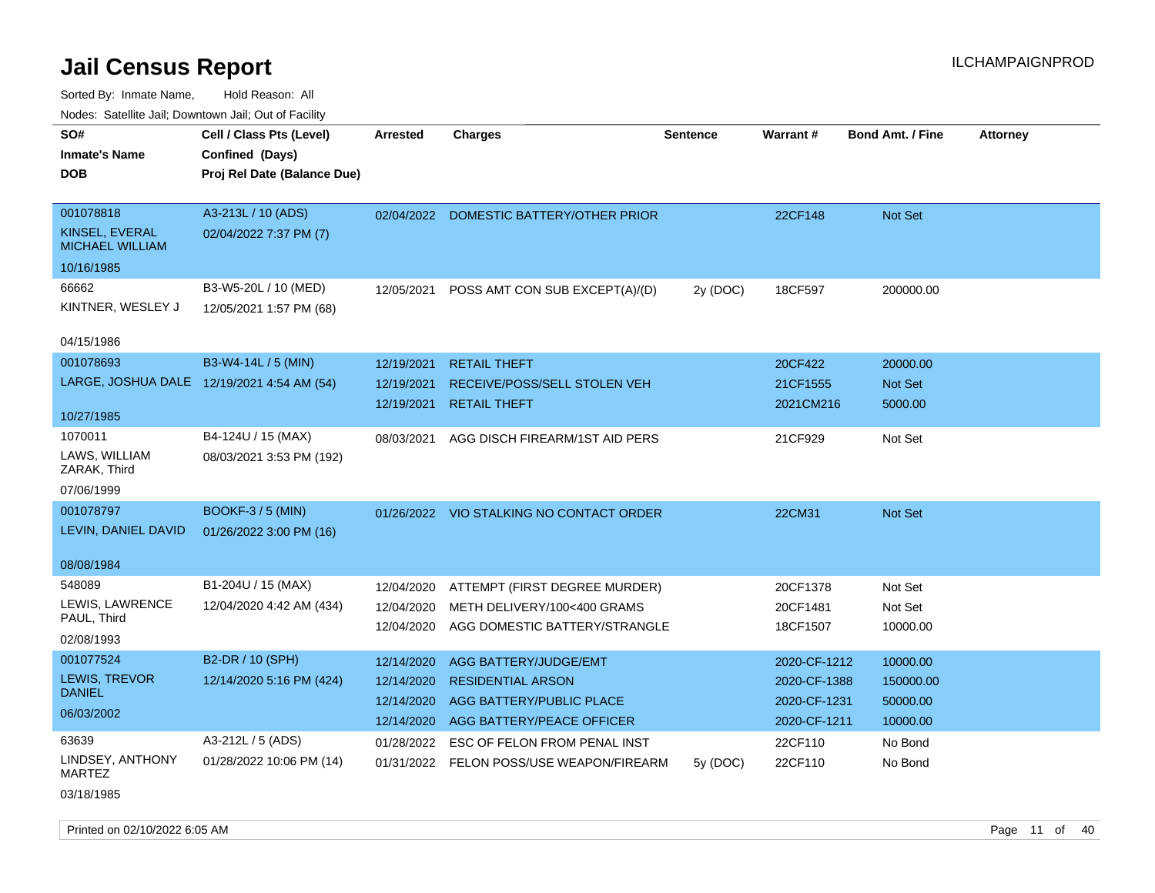Sorted By: Inmate Name, Hold Reason: All Nodes: Satellite Jail; Downtown Jail; Out of Facility

| roucs. Calcinic Jan, Downtown Jan, Out of Facility |                                             |                 |                                          |                 |                 |                         |                 |
|----------------------------------------------------|---------------------------------------------|-----------------|------------------------------------------|-----------------|-----------------|-------------------------|-----------------|
| SO#<br><b>Inmate's Name</b>                        | Cell / Class Pts (Level)<br>Confined (Days) | <b>Arrested</b> | <b>Charges</b>                           | <b>Sentence</b> | <b>Warrant#</b> | <b>Bond Amt. / Fine</b> | <b>Attorney</b> |
| <b>DOB</b>                                         | Proj Rel Date (Balance Due)                 |                 |                                          |                 |                 |                         |                 |
| 001078818                                          | A3-213L / 10 (ADS)                          |                 | 02/04/2022 DOMESTIC BATTERY/OTHER PRIOR  |                 | 22CF148         | Not Set                 |                 |
| KINSEL, EVERAL<br><b>MICHAEL WILLIAM</b>           | 02/04/2022 7:37 PM (7)                      |                 |                                          |                 |                 |                         |                 |
| 10/16/1985                                         |                                             |                 |                                          |                 |                 |                         |                 |
| 66662                                              | B3-W5-20L / 10 (MED)                        | 12/05/2021      | POSS AMT CON SUB EXCEPT(A)/(D)           | 2y (DOC)        | 18CF597         | 200000.00               |                 |
| KINTNER, WESLEY J                                  | 12/05/2021 1:57 PM (68)                     |                 |                                          |                 |                 |                         |                 |
| 04/15/1986                                         |                                             |                 |                                          |                 |                 |                         |                 |
| 001078693                                          | B3-W4-14L / 5 (MIN)                         | 12/19/2021      | <b>RETAIL THEFT</b>                      |                 | 20CF422         | 20000.00                |                 |
|                                                    | LARGE, JOSHUA DALE 12/19/2021 4:54 AM (54)  | 12/19/2021      | RECEIVE/POSS/SELL STOLEN VEH             |                 | 21CF1555        | Not Set                 |                 |
| 10/27/1985                                         |                                             | 12/19/2021      | <b>RETAIL THEFT</b>                      |                 | 2021CM216       | 5000.00                 |                 |
|                                                    |                                             |                 |                                          |                 |                 |                         |                 |
| 1070011<br>LAWS, WILLIAM                           | B4-124U / 15 (MAX)                          | 08/03/2021      | AGG DISCH FIREARM/1ST AID PERS           |                 | 21CF929         | Not Set                 |                 |
| ZARAK, Third                                       | 08/03/2021 3:53 PM (192)                    |                 |                                          |                 |                 |                         |                 |
| 07/06/1999                                         |                                             |                 |                                          |                 |                 |                         |                 |
| 001078797                                          | <b>BOOKF-3 / 5 (MIN)</b>                    |                 | 01/26/2022 VIO STALKING NO CONTACT ORDER |                 | 22CM31          | Not Set                 |                 |
| LEVIN, DANIEL DAVID                                | 01/26/2022 3:00 PM (16)                     |                 |                                          |                 |                 |                         |                 |
| 08/08/1984                                         |                                             |                 |                                          |                 |                 |                         |                 |
| 548089                                             | B1-204U / 15 (MAX)                          | 12/04/2020      | ATTEMPT (FIRST DEGREE MURDER)            |                 | 20CF1378        | Not Set                 |                 |
| LEWIS, LAWRENCE                                    | 12/04/2020 4:42 AM (434)                    | 12/04/2020      | METH DELIVERY/100<400 GRAMS              |                 | 20CF1481        | Not Set                 |                 |
| PAUL, Third                                        |                                             | 12/04/2020      | AGG DOMESTIC BATTERY/STRANGLE            |                 | 18CF1507        | 10000.00                |                 |
| 02/08/1993                                         |                                             |                 |                                          |                 |                 |                         |                 |
| 001077524                                          | B2-DR / 10 (SPH)                            | 12/14/2020      | AGG BATTERY/JUDGE/EMT                    |                 | 2020-CF-1212    | 10000.00                |                 |
| LEWIS, TREVOR<br><b>DANIEL</b>                     | 12/14/2020 5:16 PM (424)                    | 12/14/2020      | <b>RESIDENTIAL ARSON</b>                 |                 | 2020-CF-1388    | 150000.00               |                 |
| 06/03/2002                                         |                                             | 12/14/2020      | AGG BATTERY/PUBLIC PLACE                 |                 | 2020-CF-1231    | 50000.00                |                 |
|                                                    |                                             | 12/14/2020      | AGG BATTERY/PEACE OFFICER                |                 | 2020-CF-1211    | 10000.00                |                 |
| 63639                                              | A3-212L / 5 (ADS)                           | 01/28/2022      | ESC OF FELON FROM PENAL INST             |                 | 22CF110         | No Bond                 |                 |
| LINDSEY, ANTHONY<br><b>MARTEZ</b>                  | 01/28/2022 10:06 PM (14)                    |                 | 01/31/2022 FELON POSS/USE WEAPON/FIREARM | 5y(DOC)         | 22CF110         | No Bond                 |                 |

03/18/1985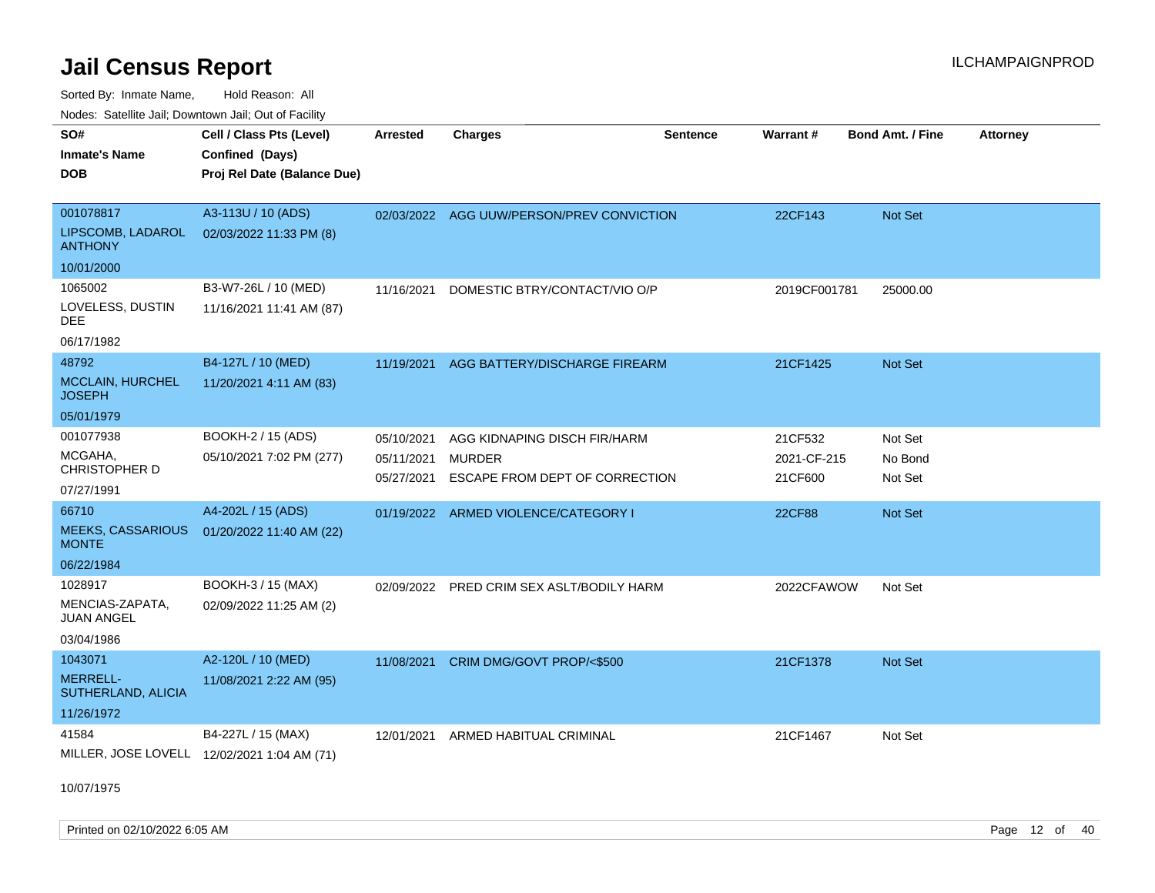Sorted By: Inmate Name, Hold Reason: All Nodes:

| Nodes: Satellite Jail; Downtown Jail; Out of Facility |                             |                 |                                           |                 |              |                         |          |
|-------------------------------------------------------|-----------------------------|-----------------|-------------------------------------------|-----------------|--------------|-------------------------|----------|
| SO#                                                   | Cell / Class Pts (Level)    | <b>Arrested</b> | <b>Charges</b>                            | <b>Sentence</b> | Warrant#     | <b>Bond Amt. / Fine</b> | Attorney |
| <b>Inmate's Name</b>                                  | Confined (Days)             |                 |                                           |                 |              |                         |          |
| <b>DOB</b>                                            | Proj Rel Date (Balance Due) |                 |                                           |                 |              |                         |          |
|                                                       |                             |                 |                                           |                 |              |                         |          |
| 001078817                                             | A3-113U / 10 (ADS)          |                 | 02/03/2022 AGG UUW/PERSON/PREV CONVICTION |                 | 22CF143      | Not Set                 |          |
| LIPSCOMB, LADAROL<br><b>ANTHONY</b>                   | 02/03/2022 11:33 PM (8)     |                 |                                           |                 |              |                         |          |
| 10/01/2000                                            |                             |                 |                                           |                 |              |                         |          |
| 1065002                                               | B3-W7-26L / 10 (MED)        | 11/16/2021      | DOMESTIC BTRY/CONTACT/VIO O/P             |                 | 2019CF001781 | 25000.00                |          |
| LOVELESS, DUSTIN<br><b>DEE</b>                        | 11/16/2021 11:41 AM (87)    |                 |                                           |                 |              |                         |          |
| 06/17/1982                                            |                             |                 |                                           |                 |              |                         |          |
| 48792                                                 | B4-127L / 10 (MED)          | 11/19/2021      | AGG BATTERY/DISCHARGE FIREARM             |                 | 21CF1425     | Not Set                 |          |
| <b>MCCLAIN, HURCHEL</b><br><b>JOSEPH</b>              | 11/20/2021 4:11 AM (83)     |                 |                                           |                 |              |                         |          |
| 05/01/1979                                            |                             |                 |                                           |                 |              |                         |          |
| 001077938                                             | BOOKH-2 / 15 (ADS)          | 05/10/2021      | AGG KIDNAPING DISCH FIR/HARM              |                 | 21CF532      | Not Set                 |          |
| MCGAHA,                                               | 05/10/2021 7:02 PM (277)    | 05/11/2021      | <b>MURDER</b>                             |                 | 2021-CF-215  | No Bond                 |          |
| <b>CHRISTOPHER D</b>                                  |                             | 05/27/2021      | ESCAPE FROM DEPT OF CORRECTION            |                 | 21CF600      | Not Set                 |          |
| 07/27/1991                                            |                             |                 |                                           |                 |              |                         |          |
| 66710                                                 | A4-202L / 15 (ADS)          |                 | 01/19/2022 ARMED VIOLENCE/CATEGORY I      |                 | 22CF88       | Not Set                 |          |
| <b>MEEKS, CASSARIOUS</b><br><b>MONTE</b>              | 01/20/2022 11:40 AM (22)    |                 |                                           |                 |              |                         |          |
| 06/22/1984                                            |                             |                 |                                           |                 |              |                         |          |
| 1028917                                               | BOOKH-3 / 15 (MAX)          | 02/09/2022      | PRED CRIM SEX ASLT/BODILY HARM            |                 | 2022CFAWOW   | Not Set                 |          |
| MENCIAS-ZAPATA,<br><b>JUAN ANGEL</b>                  | 02/09/2022 11:25 AM (2)     |                 |                                           |                 |              |                         |          |

03/04/1986

| 1043071                        | A2-120L / 10 (MED)      | 11/08/2021 | CRIM DMG/GOVT PROP/<\$500 | 21CF1378 | <b>Not Set</b> |
|--------------------------------|-------------------------|------------|---------------------------|----------|----------------|
| MERRELL-<br>SUTHERLAND, ALICIA | 11/08/2021 2:22 AM (95) |            |                           |          |                |
| 11/26/1972                     |                         |            |                           |          |                |
| 41584                          | B4-227L / 15 (MAX)      | 12/01/2021 | ARMED HABITUAL CRIMINAL   | 21CF1467 | Not Set        |
| MILLER, JOSE LOVELL            | 12/02/2021 1:04 AM (71) |            |                           |          |                |

10/07/1975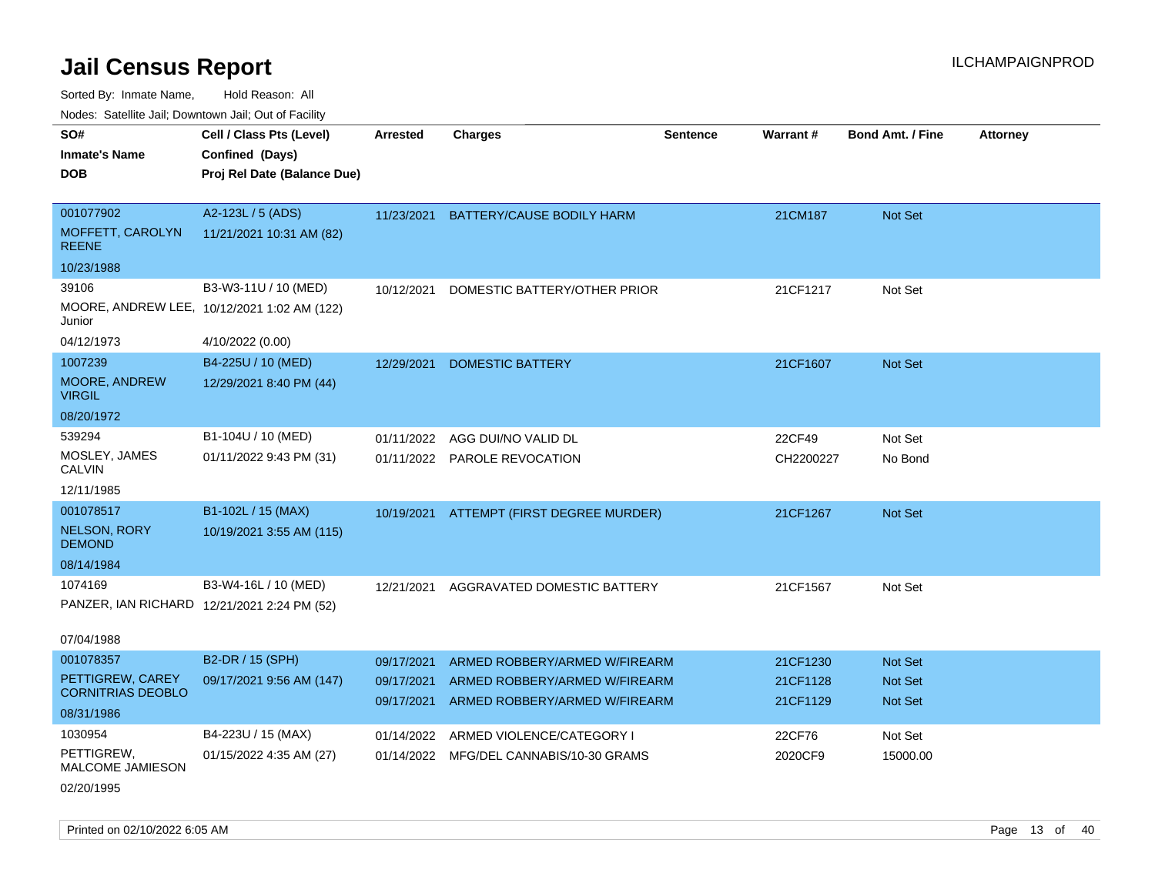Sorted By: Inmate Name, Hold Reason: All

Nodes: Satellite Jail; Downtown Jail; Out of Facility

| SO#                                          | Cell / Class Pts (Level)                    | <b>Arrested</b> | <b>Charges</b>                           | <b>Sentence</b> | Warrant#  | <b>Bond Amt. / Fine</b> | <b>Attorney</b> |
|----------------------------------------------|---------------------------------------------|-----------------|------------------------------------------|-----------------|-----------|-------------------------|-----------------|
| <b>Inmate's Name</b>                         | Confined (Days)                             |                 |                                          |                 |           |                         |                 |
| <b>DOB</b>                                   | Proj Rel Date (Balance Due)                 |                 |                                          |                 |           |                         |                 |
|                                              |                                             |                 |                                          |                 |           |                         |                 |
| 001077902                                    | A2-123L / 5 (ADS)                           | 11/23/2021      | BATTERY/CAUSE BODILY HARM                |                 | 21CM187   | Not Set                 |                 |
| MOFFETT, CAROLYN<br><b>REENE</b>             | 11/21/2021 10:31 AM (82)                    |                 |                                          |                 |           |                         |                 |
| 10/23/1988                                   |                                             |                 |                                          |                 |           |                         |                 |
| 39106                                        | B3-W3-11U / 10 (MED)                        | 10/12/2021      | DOMESTIC BATTERY/OTHER PRIOR             |                 | 21CF1217  | Not Set                 |                 |
| Junior                                       | MOORE, ANDREW LEE, 10/12/2021 1:02 AM (122) |                 |                                          |                 |           |                         |                 |
| 04/12/1973                                   | 4/10/2022 (0.00)                            |                 |                                          |                 |           |                         |                 |
| 1007239                                      | B4-225U / 10 (MED)                          | 12/29/2021      | <b>DOMESTIC BATTERY</b>                  |                 | 21CF1607  | <b>Not Set</b>          |                 |
| MOORE, ANDREW<br><b>VIRGIL</b>               | 12/29/2021 8:40 PM (44)                     |                 |                                          |                 |           |                         |                 |
| 08/20/1972                                   |                                             |                 |                                          |                 |           |                         |                 |
| 539294                                       | B1-104U / 10 (MED)                          | 01/11/2022      | AGG DUI/NO VALID DL                      |                 | 22CF49    | Not Set                 |                 |
| MOSLEY, JAMES<br><b>CALVIN</b>               | 01/11/2022 9:43 PM (31)                     |                 | 01/11/2022 PAROLE REVOCATION             |                 | CH2200227 | No Bond                 |                 |
| 12/11/1985                                   |                                             |                 |                                          |                 |           |                         |                 |
| 001078517                                    | B1-102L / 15 (MAX)                          |                 | 10/19/2021 ATTEMPT (FIRST DEGREE MURDER) |                 | 21CF1267  | <b>Not Set</b>          |                 |
| <b>NELSON, RORY</b><br><b>DEMOND</b>         | 10/19/2021 3:55 AM (115)                    |                 |                                          |                 |           |                         |                 |
| 08/14/1984                                   |                                             |                 |                                          |                 |           |                         |                 |
| 1074169                                      | B3-W4-16L / 10 (MED)                        | 12/21/2021      | AGGRAVATED DOMESTIC BATTERY              |                 | 21CF1567  | Not Set                 |                 |
| PANZER, IAN RICHARD 12/21/2021 2:24 PM (52)  |                                             |                 |                                          |                 |           |                         |                 |
|                                              |                                             |                 |                                          |                 |           |                         |                 |
| 07/04/1988                                   |                                             |                 |                                          |                 |           |                         |                 |
| 001078357                                    | B2-DR / 15 (SPH)                            | 09/17/2021      | ARMED ROBBERY/ARMED W/FIREARM            |                 | 21CF1230  | Not Set                 |                 |
| PETTIGREW, CAREY<br><b>CORNITRIAS DEOBLO</b> | 09/17/2021 9:56 AM (147)                    | 09/17/2021      | ARMED ROBBERY/ARMED W/FIREARM            |                 | 21CF1128  | <b>Not Set</b>          |                 |
| 08/31/1986                                   |                                             | 09/17/2021      | ARMED ROBBERY/ARMED W/FIREARM            |                 | 21CF1129  | <b>Not Set</b>          |                 |
| 1030954                                      | B4-223U / 15 (MAX)                          | 01/14/2022      | ARMED VIOLENCE/CATEGORY I                |                 | 22CF76    | Not Set                 |                 |
| PETTIGREW,                                   | 01/15/2022 4:35 AM (27)                     |                 | 01/14/2022 MFG/DEL CANNABIS/10-30 GRAMS  |                 | 2020CF9   | 15000.00                |                 |
| <b>MALCOME JAMIESON</b>                      |                                             |                 |                                          |                 |           |                         |                 |

02/20/1995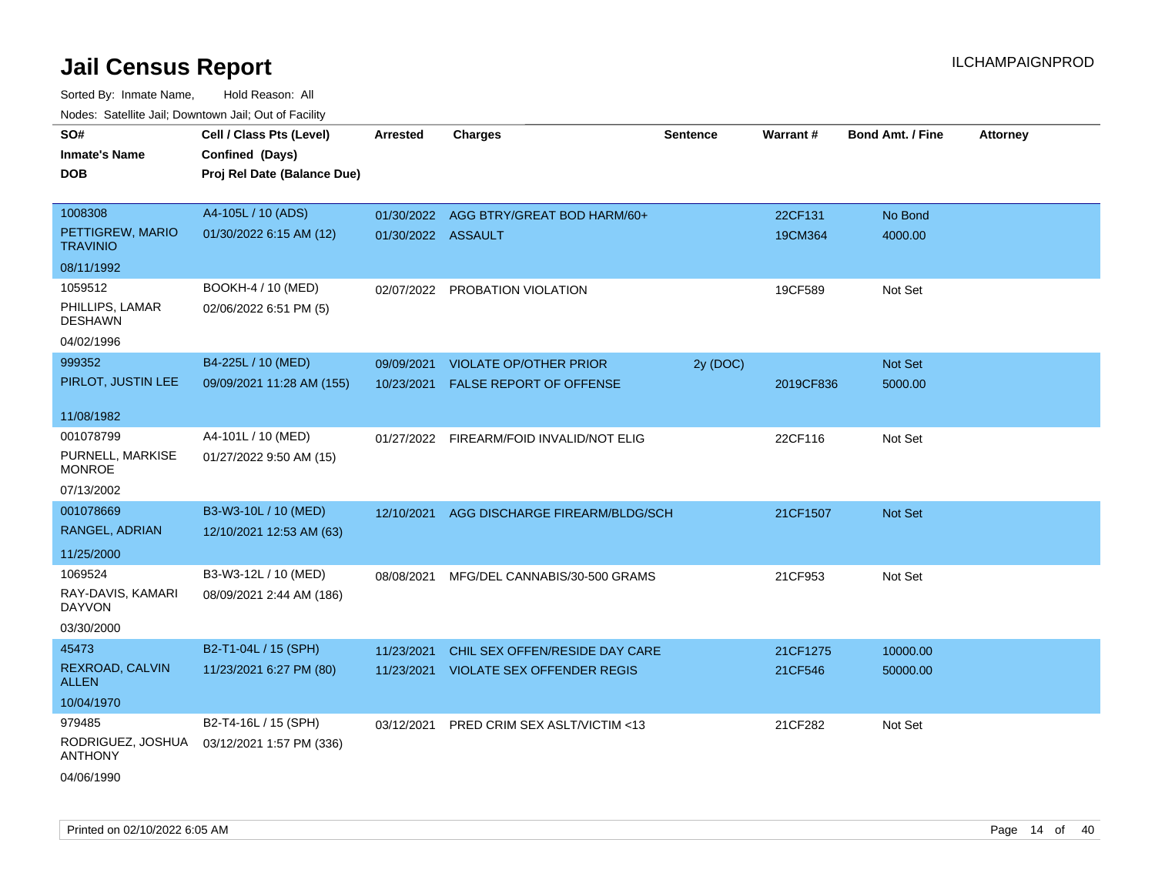| SO#                                 | Cell / Class Pts (Level)    | <b>Arrested</b>    | <b>Charges</b>                            | <b>Sentence</b> | Warrant#  | <b>Bond Amt. / Fine</b> | <b>Attorney</b> |
|-------------------------------------|-----------------------------|--------------------|-------------------------------------------|-----------------|-----------|-------------------------|-----------------|
| <b>Inmate's Name</b>                | Confined (Days)             |                    |                                           |                 |           |                         |                 |
| <b>DOB</b>                          | Proj Rel Date (Balance Due) |                    |                                           |                 |           |                         |                 |
|                                     |                             |                    |                                           |                 |           |                         |                 |
| 1008308                             | A4-105L / 10 (ADS)          |                    | 01/30/2022 AGG BTRY/GREAT BOD HARM/60+    |                 | 22CF131   | No Bond                 |                 |
| PETTIGREW, MARIO<br><b>TRAVINIO</b> | 01/30/2022 6:15 AM (12)     | 01/30/2022 ASSAULT |                                           |                 | 19CM364   | 4000.00                 |                 |
| 08/11/1992                          |                             |                    |                                           |                 |           |                         |                 |
| 1059512                             | BOOKH-4 / 10 (MED)          |                    | 02/07/2022 PROBATION VIOLATION            |                 | 19CF589   | Not Set                 |                 |
| PHILLIPS, LAMAR<br><b>DESHAWN</b>   | 02/06/2022 6:51 PM (5)      |                    |                                           |                 |           |                         |                 |
| 04/02/1996                          |                             |                    |                                           |                 |           |                         |                 |
| 999352                              | B4-225L / 10 (MED)          | 09/09/2021         | <b>VIOLATE OP/OTHER PRIOR</b>             | 2y (DOC)        |           | Not Set                 |                 |
| PIRLOT, JUSTIN LEE                  | 09/09/2021 11:28 AM (155)   |                    | 10/23/2021 FALSE REPORT OF OFFENSE        |                 | 2019CF836 | 5000.00                 |                 |
|                                     |                             |                    |                                           |                 |           |                         |                 |
| 11/08/1982                          |                             |                    |                                           |                 |           |                         |                 |
| 001078799                           | A4-101L / 10 (MED)          |                    | 01/27/2022 FIREARM/FOID INVALID/NOT ELIG  |                 | 22CF116   | Not Set                 |                 |
| PURNELL, MARKISE<br><b>MONROE</b>   | 01/27/2022 9:50 AM (15)     |                    |                                           |                 |           |                         |                 |
| 07/13/2002                          |                             |                    |                                           |                 |           |                         |                 |
| 001078669                           | B3-W3-10L / 10 (MED)        |                    | 12/10/2021 AGG DISCHARGE FIREARM/BLDG/SCH |                 | 21CF1507  | <b>Not Set</b>          |                 |
| RANGEL, ADRIAN                      | 12/10/2021 12:53 AM (63)    |                    |                                           |                 |           |                         |                 |
| 11/25/2000                          |                             |                    |                                           |                 |           |                         |                 |
| 1069524                             | B3-W3-12L / 10 (MED)        | 08/08/2021         | MFG/DEL CANNABIS/30-500 GRAMS             |                 | 21CF953   | Not Set                 |                 |
| RAY-DAVIS, KAMARI<br><b>DAYVON</b>  | 08/09/2021 2:44 AM (186)    |                    |                                           |                 |           |                         |                 |
| 03/30/2000                          |                             |                    |                                           |                 |           |                         |                 |
| 45473                               | B2-T1-04L / 15 (SPH)        | 11/23/2021         | CHIL SEX OFFEN/RESIDE DAY CARE            |                 | 21CF1275  | 10000.00                |                 |
| REXROAD, CALVIN<br><b>ALLEN</b>     | 11/23/2021 6:27 PM (80)     |                    | 11/23/2021 VIOLATE SEX OFFENDER REGIS     |                 | 21CF546   | 50000.00                |                 |
| 10/04/1970                          |                             |                    |                                           |                 |           |                         |                 |
| 979485                              | B2-T4-16L / 15 (SPH)        |                    | 03/12/2021 PRED CRIM SEX ASLT/VICTIM <13  |                 | 21CF282   | Not Set                 |                 |
| RODRIGUEZ, JOSHUA<br><b>ANTHONY</b> | 03/12/2021 1:57 PM (336)    |                    |                                           |                 |           |                         |                 |
| 04/06/1990                          |                             |                    |                                           |                 |           |                         |                 |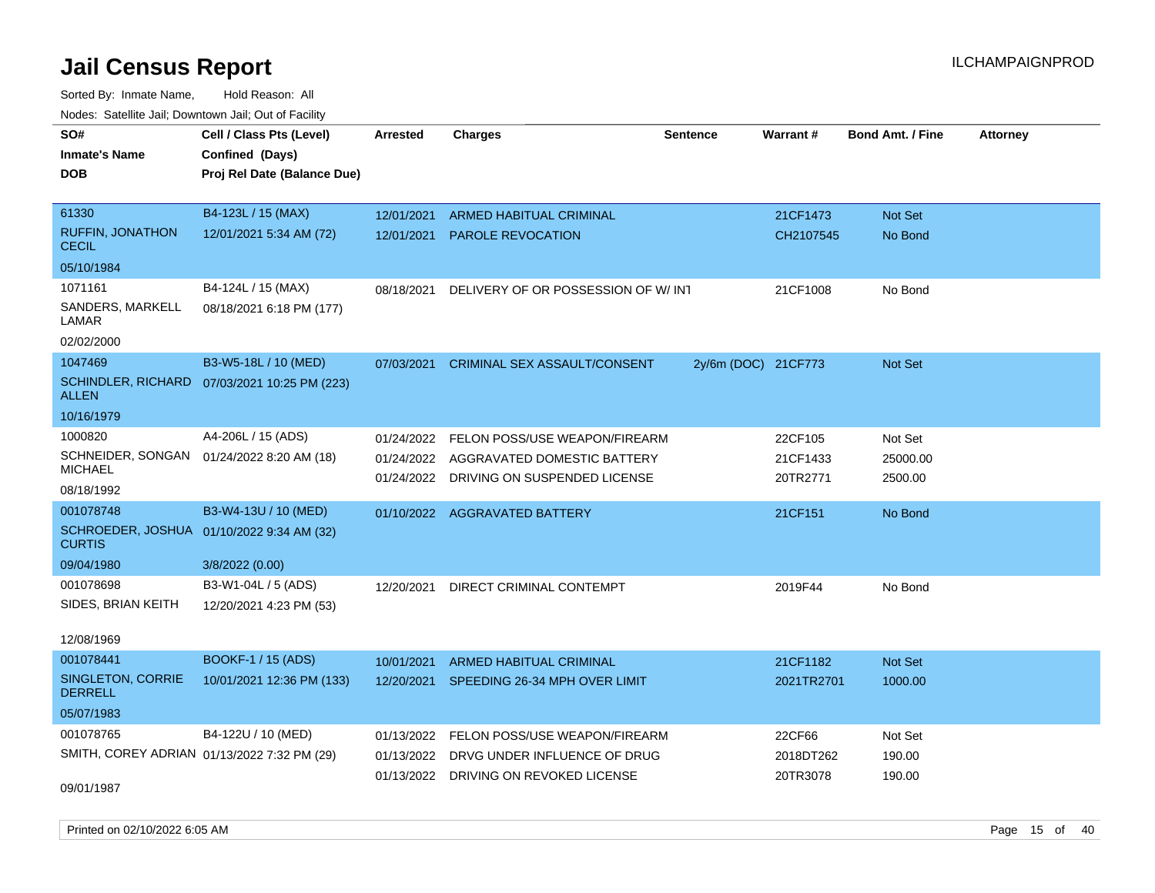| <u>Rodoo:</u> Odtomto dan, Downtown dan, Out or Fabilit    |                                              |                 |                                         |                     |            |                         |                 |
|------------------------------------------------------------|----------------------------------------------|-----------------|-----------------------------------------|---------------------|------------|-------------------------|-----------------|
| SO#                                                        | Cell / Class Pts (Level)                     | <b>Arrested</b> | <b>Charges</b>                          | <b>Sentence</b>     | Warrant#   | <b>Bond Amt. / Fine</b> | <b>Attorney</b> |
| Inmate's Name                                              | Confined (Days)                              |                 |                                         |                     |            |                         |                 |
| DOB                                                        | Proj Rel Date (Balance Due)                  |                 |                                         |                     |            |                         |                 |
|                                                            |                                              |                 |                                         |                     |            |                         |                 |
| 61330                                                      | B4-123L / 15 (MAX)                           | 12/01/2021      | <b>ARMED HABITUAL CRIMINAL</b>          |                     | 21CF1473   | Not Set                 |                 |
| <b>RUFFIN, JONATHON</b><br><b>CECIL</b>                    | 12/01/2021 5:34 AM (72)                      | 12/01/2021      | <b>PAROLE REVOCATION</b>                |                     | CH2107545  | No Bond                 |                 |
| 05/10/1984                                                 |                                              |                 |                                         |                     |            |                         |                 |
| 1071161                                                    | B4-124L / 15 (MAX)                           | 08/18/2021      | DELIVERY OF OR POSSESSION OF W/INT      |                     | 21CF1008   | No Bond                 |                 |
| SANDERS, MARKELL<br>LAMAR                                  | 08/18/2021 6:18 PM (177)                     |                 |                                         |                     |            |                         |                 |
| 02/02/2000                                                 |                                              |                 |                                         |                     |            |                         |                 |
| 1047469                                                    | B3-W5-18L / 10 (MED)                         | 07/03/2021      | CRIMINAL SEX ASSAULT/CONSENT            | 2y/6m (DOC) 21CF773 |            | <b>Not Set</b>          |                 |
| <b>ALLEN</b>                                               | SCHINDLER, RICHARD 07/03/2021 10:25 PM (223) |                 |                                         |                     |            |                         |                 |
| 10/16/1979                                                 |                                              |                 |                                         |                     |            |                         |                 |
| 1000820                                                    | A4-206L / 15 (ADS)                           | 01/24/2022      | FELON POSS/USE WEAPON/FIREARM           |                     | 22CF105    | Not Set                 |                 |
|                                                            | SCHNEIDER, SONGAN 01/24/2022 8:20 AM (18)    | 01/24/2022      | AGGRAVATED DOMESTIC BATTERY             |                     | 21CF1433   | 25000.00                |                 |
| <b>MICHAEL</b>                                             |                                              |                 | 01/24/2022 DRIVING ON SUSPENDED LICENSE |                     | 20TR2771   | 2500.00                 |                 |
| 08/18/1992                                                 |                                              |                 |                                         |                     |            |                         |                 |
| 001078748                                                  | B3-W4-13U / 10 (MED)                         |                 | 01/10/2022 AGGRAVATED BATTERY           |                     | 21CF151    | No Bond                 |                 |
| SCHROEDER, JOSHUA 01/10/2022 9:34 AM (32)<br><b>CURTIS</b> |                                              |                 |                                         |                     |            |                         |                 |
| 09/04/1980                                                 | 3/8/2022 (0.00)                              |                 |                                         |                     |            |                         |                 |
| 001078698                                                  | B3-W1-04L / 5 (ADS)                          | 12/20/2021      | DIRECT CRIMINAL CONTEMPT                |                     | 2019F44    | No Bond                 |                 |
| SIDES, BRIAN KEITH                                         | 12/20/2021 4:23 PM (53)                      |                 |                                         |                     |            |                         |                 |
| 12/08/1969                                                 |                                              |                 |                                         |                     |            |                         |                 |
| 001078441                                                  | BOOKF-1 / 15 (ADS)                           | 10/01/2021      | <b>ARMED HABITUAL CRIMINAL</b>          |                     | 21CF1182   | <b>Not Set</b>          |                 |
| SINGLETON, CORRIE<br><b>DERRELL</b>                        | 10/01/2021 12:36 PM (133)                    | 12/20/2021      | SPEEDING 26-34 MPH OVER LIMIT           |                     | 2021TR2701 | 1000.00                 |                 |
| 05/07/1983                                                 |                                              |                 |                                         |                     |            |                         |                 |
| 001078765                                                  | B4-122U / 10 (MED)                           | 01/13/2022      | FELON POSS/USE WEAPON/FIREARM           |                     | 22CF66     | Not Set                 |                 |
|                                                            | SMITH, COREY ADRIAN 01/13/2022 7:32 PM (29)  | 01/13/2022      | DRVG UNDER INFLUENCE OF DRUG            |                     | 2018DT262  | 190.00                  |                 |
|                                                            |                                              |                 | 01/13/2022 DRIVING ON REVOKED LICENSE   |                     | 20TR3078   | 190.00                  |                 |
| 09/01/1987                                                 |                                              |                 |                                         |                     |            |                         |                 |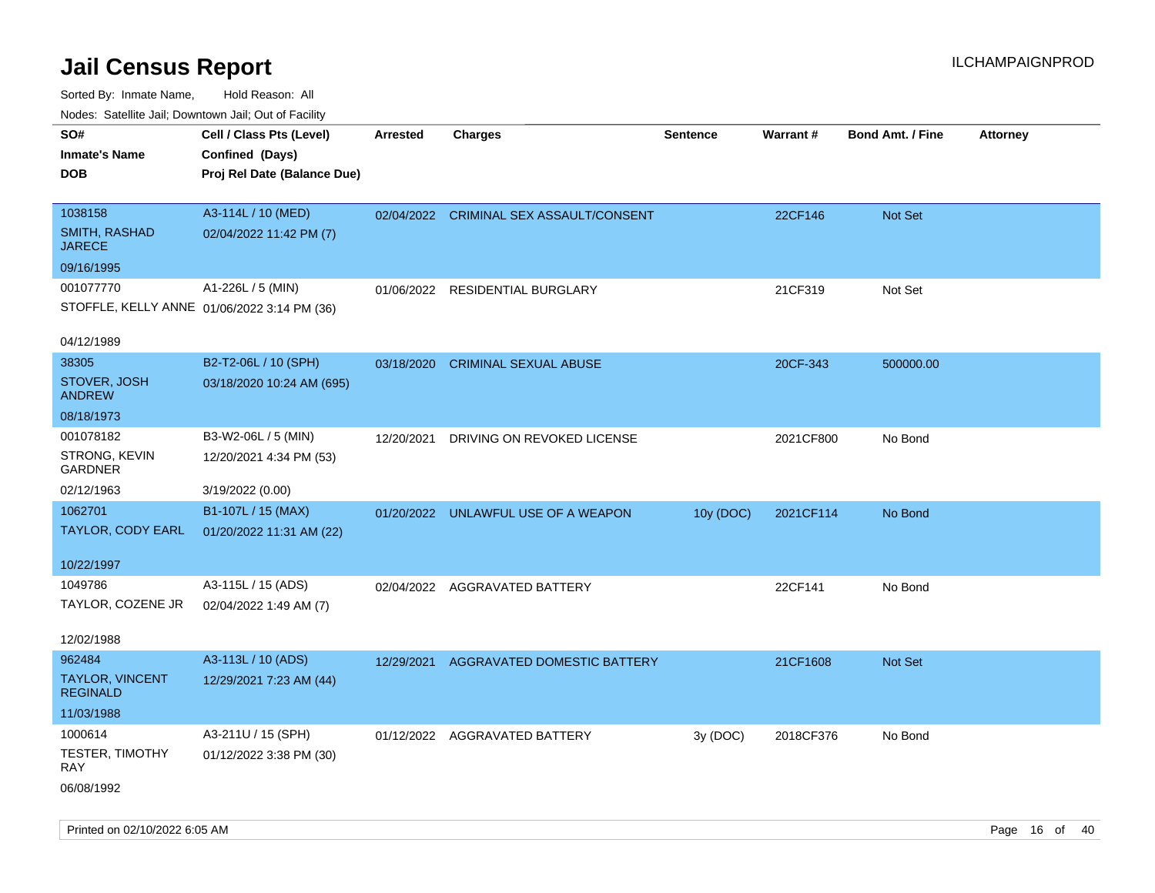| indues. Satellite Jali, Downtown Jali, Out of Facility |                             |            |                                         |                 |           |                         |                 |
|--------------------------------------------------------|-----------------------------|------------|-----------------------------------------|-----------------|-----------|-------------------------|-----------------|
| SO#                                                    | Cell / Class Pts (Level)    | Arrested   | <b>Charges</b>                          | <b>Sentence</b> | Warrant#  | <b>Bond Amt. / Fine</b> | <b>Attorney</b> |
| <b>Inmate's Name</b>                                   | Confined (Days)             |            |                                         |                 |           |                         |                 |
| <b>DOB</b>                                             | Proj Rel Date (Balance Due) |            |                                         |                 |           |                         |                 |
|                                                        |                             |            |                                         |                 |           |                         |                 |
| 1038158                                                | A3-114L / 10 (MED)          |            | 02/04/2022 CRIMINAL SEX ASSAULT/CONSENT |                 | 22CF146   | Not Set                 |                 |
| SMITH, RASHAD<br><b>JARECE</b>                         | 02/04/2022 11:42 PM (7)     |            |                                         |                 |           |                         |                 |
| 09/16/1995                                             |                             |            |                                         |                 |           |                         |                 |
| 001077770                                              | A1-226L / 5 (MIN)           |            | 01/06/2022 RESIDENTIAL BURGLARY         |                 | 21CF319   | Not Set                 |                 |
| STOFFLE, KELLY ANNE 01/06/2022 3:14 PM (36)            |                             |            |                                         |                 |           |                         |                 |
| 04/12/1989                                             |                             |            |                                         |                 |           |                         |                 |
| 38305                                                  | B2-T2-06L / 10 (SPH)        | 03/18/2020 | <b>CRIMINAL SEXUAL ABUSE</b>            |                 | 20CF-343  | 500000.00               |                 |
| STOVER, JOSH<br><b>ANDREW</b>                          | 03/18/2020 10:24 AM (695)   |            |                                         |                 |           |                         |                 |
| 08/18/1973                                             |                             |            |                                         |                 |           |                         |                 |
| 001078182                                              | B3-W2-06L / 5 (MIN)         | 12/20/2021 | DRIVING ON REVOKED LICENSE              |                 | 2021CF800 | No Bond                 |                 |
| STRONG, KEVIN<br><b>GARDNER</b>                        | 12/20/2021 4:34 PM (53)     |            |                                         |                 |           |                         |                 |
| 02/12/1963                                             | 3/19/2022 (0.00)            |            |                                         |                 |           |                         |                 |
| 1062701                                                | B1-107L / 15 (MAX)          | 01/20/2022 | UNLAWFUL USE OF A WEAPON                | 10y (DOC)       | 2021CF114 | No Bond                 |                 |
| TAYLOR, CODY EARL                                      | 01/20/2022 11:31 AM (22)    |            |                                         |                 |           |                         |                 |
|                                                        |                             |            |                                         |                 |           |                         |                 |
| 10/22/1997                                             |                             |            |                                         |                 |           |                         |                 |
| 1049786                                                | A3-115L / 15 (ADS)          | 02/04/2022 | AGGRAVATED BATTERY                      |                 | 22CF141   | No Bond                 |                 |
| TAYLOR, COZENE JR                                      | 02/04/2022 1:49 AM (7)      |            |                                         |                 |           |                         |                 |
|                                                        |                             |            |                                         |                 |           |                         |                 |
| 12/02/1988                                             |                             |            |                                         |                 |           |                         |                 |
| 962484                                                 | A3-113L / 10 (ADS)          | 12/29/2021 | AGGRAVATED DOMESTIC BATTERY             |                 | 21CF1608  | Not Set                 |                 |
| <b>TAYLOR, VINCENT</b><br><b>REGINALD</b>              | 12/29/2021 7:23 AM (44)     |            |                                         |                 |           |                         |                 |
| 11/03/1988                                             |                             |            |                                         |                 |           |                         |                 |
| 1000614                                                | A3-211U / 15 (SPH)          |            | 01/12/2022 AGGRAVATED BATTERY           | 3y (DOC)        | 2018CF376 | No Bond                 |                 |
| <b>TESTER, TIMOTHY</b><br><b>RAY</b>                   | 01/12/2022 3:38 PM (30)     |            |                                         |                 |           |                         |                 |
| 06/08/1992                                             |                             |            |                                         |                 |           |                         |                 |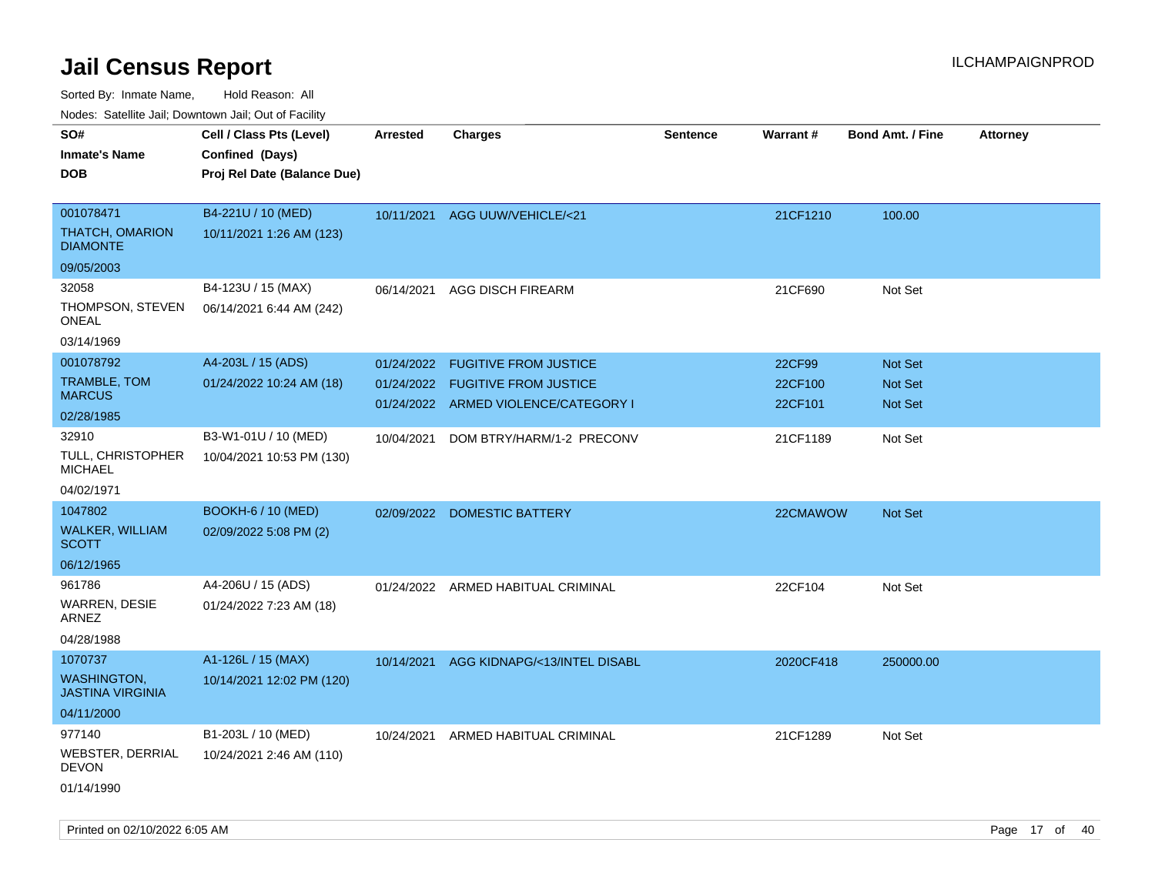Sorted By: Inmate Name, Hold Reason: All

Nodes: Satellite Jail; Downtown Jail; Out of Facility

| ivoues. Salellite Jali, Downtown Jali, Out of Facility |                             |            |                                      |                 |                 |                         |                 |
|--------------------------------------------------------|-----------------------------|------------|--------------------------------------|-----------------|-----------------|-------------------------|-----------------|
| SO#                                                    | Cell / Class Pts (Level)    | Arrested   | <b>Charges</b>                       | <b>Sentence</b> | <b>Warrant#</b> | <b>Bond Amt. / Fine</b> | <b>Attorney</b> |
| <b>Inmate's Name</b>                                   | Confined (Days)             |            |                                      |                 |                 |                         |                 |
| <b>DOB</b>                                             | Proj Rel Date (Balance Due) |            |                                      |                 |                 |                         |                 |
|                                                        |                             |            |                                      |                 |                 |                         |                 |
| 001078471                                              | B4-221U / 10 (MED)          |            | 10/11/2021 AGG UUW/VEHICLE/<21       |                 | 21CF1210        | 100.00                  |                 |
| THATCH, OMARION<br><b>DIAMONTE</b>                     | 10/11/2021 1:26 AM (123)    |            |                                      |                 |                 |                         |                 |
| 09/05/2003                                             |                             |            |                                      |                 |                 |                         |                 |
| 32058                                                  | B4-123U / 15 (MAX)          | 06/14/2021 | <b>AGG DISCH FIREARM</b>             |                 | 21CF690         | Not Set                 |                 |
| THOMPSON, STEVEN<br>ONEAL                              | 06/14/2021 6:44 AM (242)    |            |                                      |                 |                 |                         |                 |
| 03/14/1969                                             |                             |            |                                      |                 |                 |                         |                 |
| 001078792                                              | A4-203L / 15 (ADS)          | 01/24/2022 | <b>FUGITIVE FROM JUSTICE</b>         |                 | 22CF99          | Not Set                 |                 |
| TRAMBLE, TOM                                           | 01/24/2022 10:24 AM (18)    |            | 01/24/2022 FUGITIVE FROM JUSTICE     |                 | 22CF100         | Not Set                 |                 |
| <b>MARCUS</b>                                          |                             |            | 01/24/2022 ARMED VIOLENCE/CATEGORY I |                 | 22CF101         | Not Set                 |                 |
| 02/28/1985                                             |                             |            |                                      |                 |                 |                         |                 |
| 32910                                                  | B3-W1-01U / 10 (MED)        | 10/04/2021 | DOM BTRY/HARM/1-2 PRECONV            |                 | 21CF1189        | Not Set                 |                 |
| TULL, CHRISTOPHER<br><b>MICHAEL</b>                    | 10/04/2021 10:53 PM (130)   |            |                                      |                 |                 |                         |                 |
| 04/02/1971                                             |                             |            |                                      |                 |                 |                         |                 |
| 1047802                                                | <b>BOOKH-6 / 10 (MED)</b>   |            | 02/09/2022 DOMESTIC BATTERY          |                 | 22CMAWOW        | Not Set                 |                 |
| WALKER, WILLIAM<br><b>SCOTT</b>                        | 02/09/2022 5:08 PM (2)      |            |                                      |                 |                 |                         |                 |
| 06/12/1965                                             |                             |            |                                      |                 |                 |                         |                 |
| 961786                                                 | A4-206U / 15 (ADS)          |            | 01/24/2022 ARMED HABITUAL CRIMINAL   |                 | 22CF104         | Not Set                 |                 |
| WARREN, DESIE<br>ARNEZ                                 | 01/24/2022 7:23 AM (18)     |            |                                      |                 |                 |                         |                 |
| 04/28/1988                                             |                             |            |                                      |                 |                 |                         |                 |
| 1070737                                                | A1-126L / 15 (MAX)          | 10/14/2021 | AGG KIDNAPG/<13/INTEL DISABL         |                 | 2020CF418       | 250000.00               |                 |
| <b>WASHINGTON,</b><br><b>JASTINA VIRGINIA</b>          | 10/14/2021 12:02 PM (120)   |            |                                      |                 |                 |                         |                 |
| 04/11/2000                                             |                             |            |                                      |                 |                 |                         |                 |
| 977140                                                 | B1-203L / 10 (MED)          | 10/24/2021 | ARMED HABITUAL CRIMINAL              |                 | 21CF1289        | Not Set                 |                 |
| WEBSTER, DERRIAL<br><b>DEVON</b>                       | 10/24/2021 2:46 AM (110)    |            |                                      |                 |                 |                         |                 |
| 01/14/1990                                             |                             |            |                                      |                 |                 |                         |                 |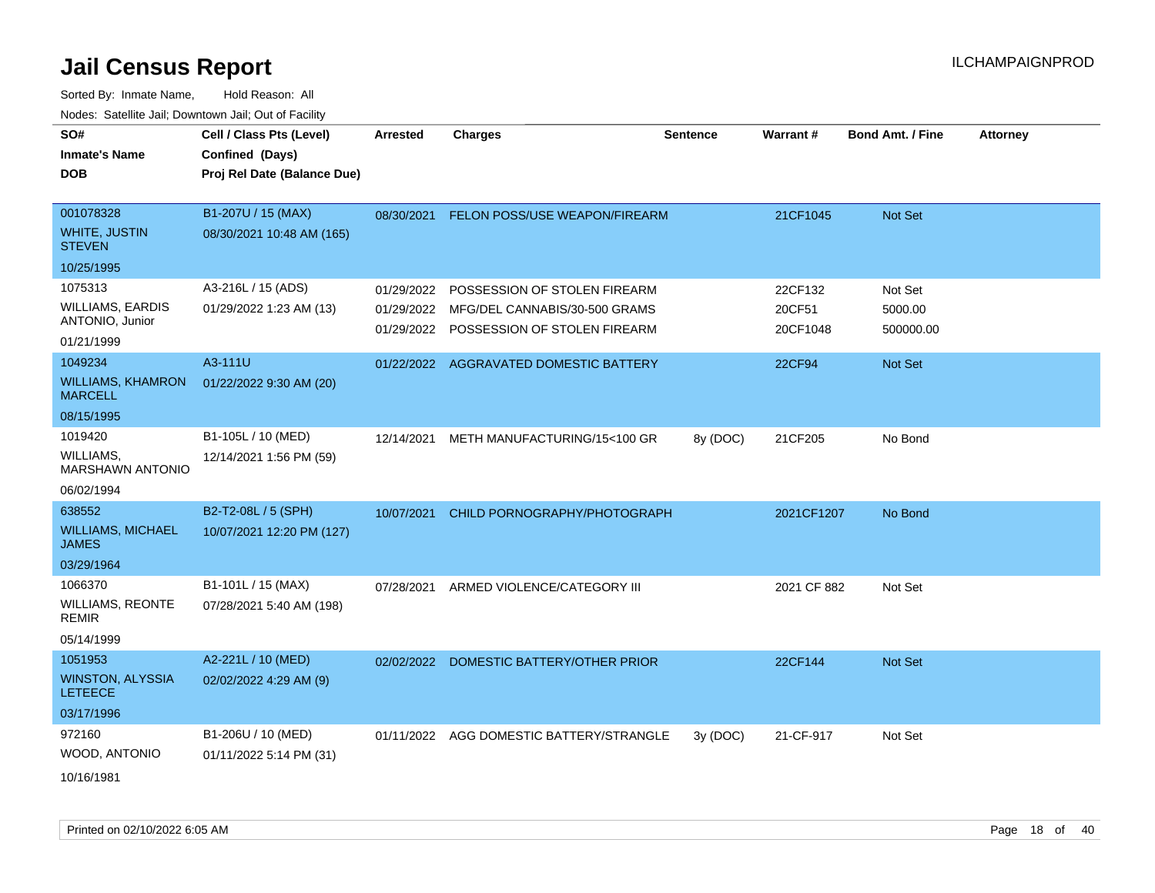| SO#                                        | Cell / Class Pts (Level)    | <b>Arrested</b> | <b>Charges</b>                           | <b>Sentence</b> | <b>Warrant#</b> | <b>Bond Amt. / Fine</b> | <b>Attorney</b> |
|--------------------------------------------|-----------------------------|-----------------|------------------------------------------|-----------------|-----------------|-------------------------|-----------------|
| <b>Inmate's Name</b>                       | Confined (Days)             |                 |                                          |                 |                 |                         |                 |
| <b>DOB</b>                                 | Proj Rel Date (Balance Due) |                 |                                          |                 |                 |                         |                 |
|                                            |                             |                 |                                          |                 |                 |                         |                 |
| 001078328                                  | B1-207U / 15 (MAX)          |                 | 08/30/2021 FELON POSS/USE WEAPON/FIREARM |                 | 21CF1045        | Not Set                 |                 |
| WHITE, JUSTIN<br><b>STEVEN</b>             | 08/30/2021 10:48 AM (165)   |                 |                                          |                 |                 |                         |                 |
| 10/25/1995                                 |                             |                 |                                          |                 |                 |                         |                 |
| 1075313                                    | A3-216L / 15 (ADS)          | 01/29/2022      | POSSESSION OF STOLEN FIREARM             |                 | 22CF132         | Not Set                 |                 |
| <b>WILLIAMS, EARDIS</b>                    | 01/29/2022 1:23 AM (13)     | 01/29/2022      | MFG/DEL CANNABIS/30-500 GRAMS            |                 | 20CF51          | 5000.00                 |                 |
| ANTONIO, Junior                            |                             | 01/29/2022      | POSSESSION OF STOLEN FIREARM             |                 | 20CF1048        | 500000.00               |                 |
| 01/21/1999                                 |                             |                 |                                          |                 |                 |                         |                 |
| 1049234                                    | A3-111U                     |                 | 01/22/2022 AGGRAVATED DOMESTIC BATTERY   |                 | 22CF94          | Not Set                 |                 |
| <b>WILLIAMS, KHAMRON</b><br><b>MARCELL</b> | 01/22/2022 9:30 AM (20)     |                 |                                          |                 |                 |                         |                 |
| 08/15/1995                                 |                             |                 |                                          |                 |                 |                         |                 |
| 1019420                                    | B1-105L / 10 (MED)          | 12/14/2021      | METH MANUFACTURING/15<100 GR             | 8y (DOC)        | 21CF205         | No Bond                 |                 |
| WILLIAMS.<br><b>MARSHAWN ANTONIO</b>       | 12/14/2021 1:56 PM (59)     |                 |                                          |                 |                 |                         |                 |
| 06/02/1994                                 |                             |                 |                                          |                 |                 |                         |                 |
| 638552                                     | B2-T2-08L / 5 (SPH)         | 10/07/2021      | CHILD PORNOGRAPHY/PHOTOGRAPH             |                 | 2021CF1207      | No Bond                 |                 |
| <b>WILLIAMS, MICHAEL</b><br><b>JAMES</b>   | 10/07/2021 12:20 PM (127)   |                 |                                          |                 |                 |                         |                 |
| 03/29/1964                                 |                             |                 |                                          |                 |                 |                         |                 |
| 1066370                                    | B1-101L / 15 (MAX)          | 07/28/2021      | ARMED VIOLENCE/CATEGORY III              |                 | 2021 CF 882     | Not Set                 |                 |
| <b>WILLIAMS, REONTE</b><br><b>REMIR</b>    | 07/28/2021 5:40 AM (198)    |                 |                                          |                 |                 |                         |                 |
| 05/14/1999                                 |                             |                 |                                          |                 |                 |                         |                 |
| 1051953                                    | A2-221L / 10 (MED)          | 02/02/2022      | DOMESTIC BATTERY/OTHER PRIOR             |                 | 22CF144         | Not Set                 |                 |
| <b>WINSTON, ALYSSIA</b><br><b>LETEECE</b>  | 02/02/2022 4:29 AM (9)      |                 |                                          |                 |                 |                         |                 |
| 03/17/1996                                 |                             |                 |                                          |                 |                 |                         |                 |
| 972160                                     | B1-206U / 10 (MED)          |                 | 01/11/2022 AGG DOMESTIC BATTERY/STRANGLE | 3y (DOC)        | 21-CF-917       | Not Set                 |                 |
| WOOD, ANTONIO                              | 01/11/2022 5:14 PM (31)     |                 |                                          |                 |                 |                         |                 |
| 10/16/1981                                 |                             |                 |                                          |                 |                 |                         |                 |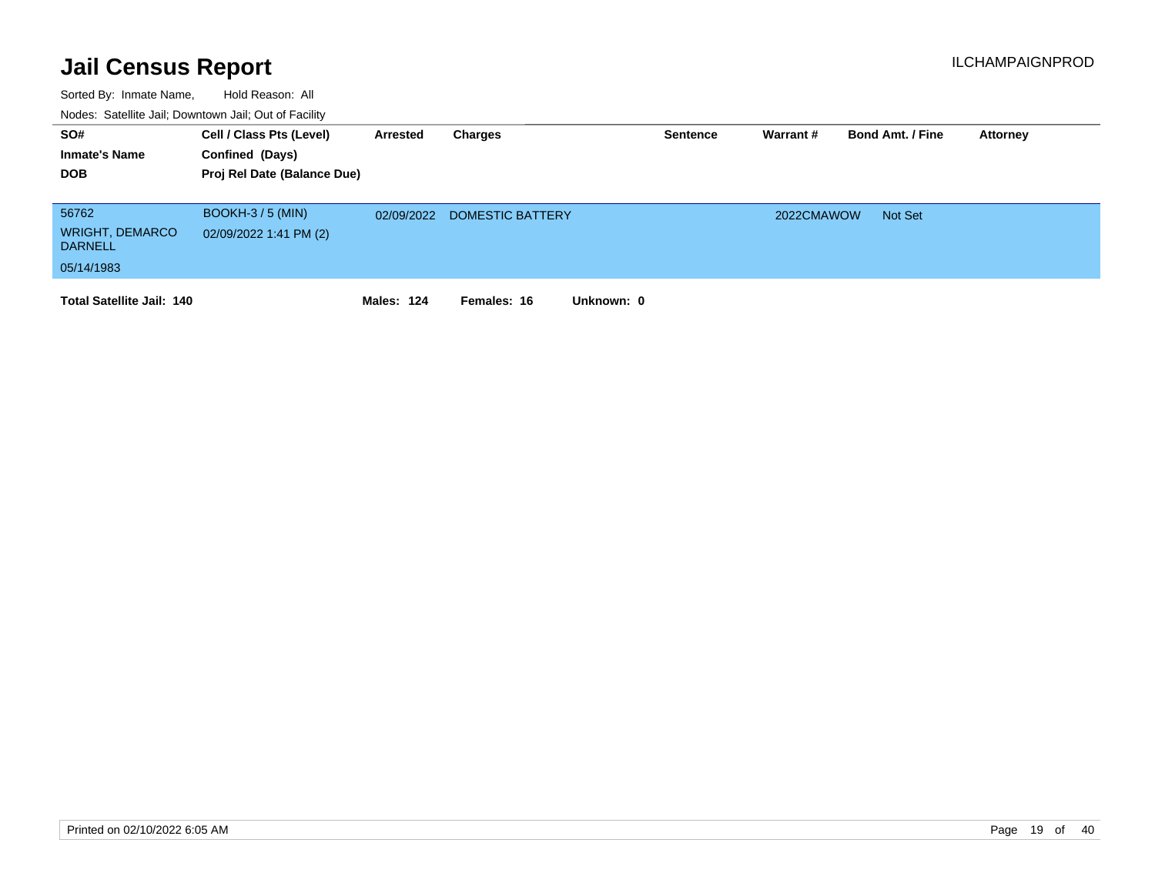| SO#<br><b>Inmate's Name</b><br><b>DOB</b>                       | Cell / Class Pts (Level)<br>Confined (Days)<br>Proj Rel Date (Balance Due) | Arrested          | Charges                   | <b>Sentence</b> | Warrant#   | <b>Bond Amt. / Fine</b> | <b>Attorney</b> |
|-----------------------------------------------------------------|----------------------------------------------------------------------------|-------------------|---------------------------|-----------------|------------|-------------------------|-----------------|
| 56762<br><b>WRIGHT, DEMARCO</b><br><b>DARNELL</b><br>05/14/1983 | $BOOKH-3/5 (MIN)$<br>02/09/2022 1:41 PM (2)                                | 02/09/2022        | DOMESTIC BATTERY          |                 | 2022CMAWOW | Not Set                 |                 |
| <b>Total Satellite Jail: 140</b>                                |                                                                            | <b>Males: 124</b> | Unknown: 0<br>Females: 16 |                 |            |                         |                 |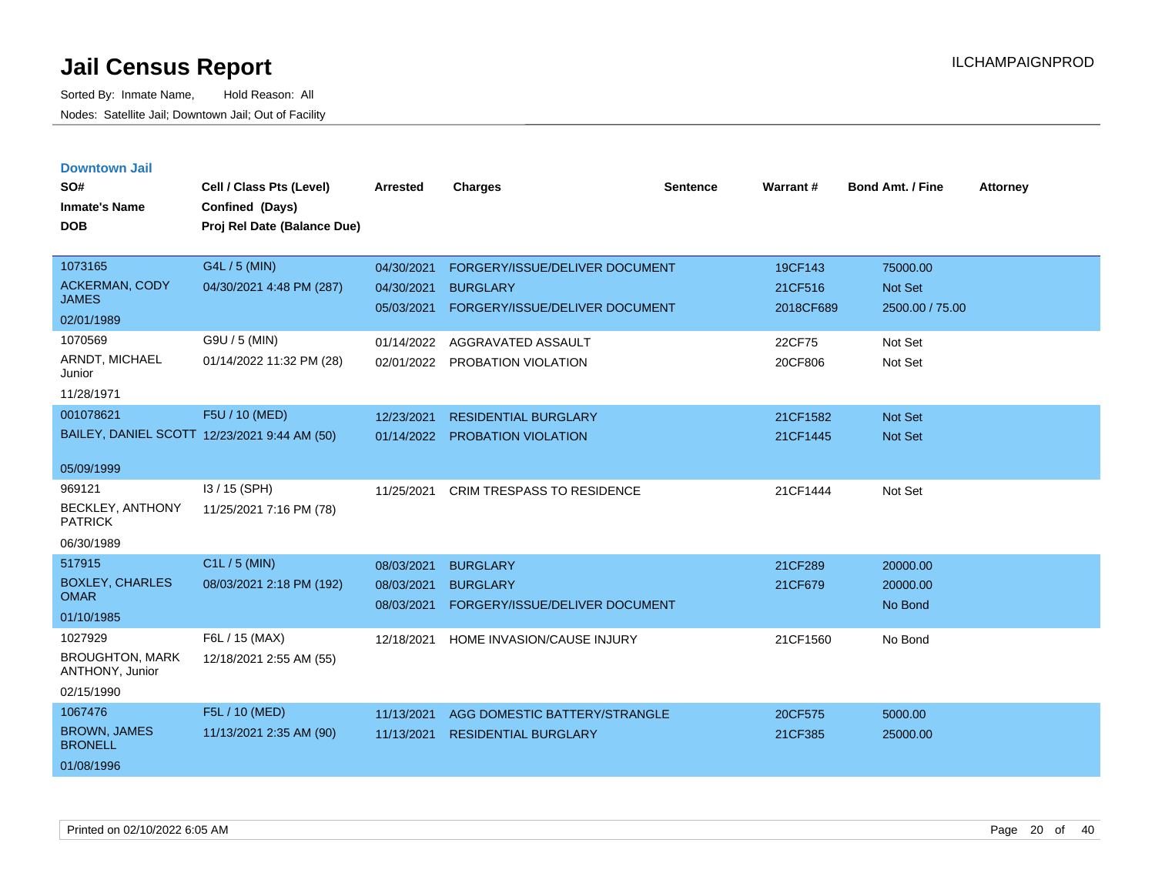| <b>Downtown Jail</b> |  |
|----------------------|--|
|                      |  |
|                      |  |

| SO#<br><b>Inmate's Name</b>               | Cell / Class Pts (Level)<br>Confined (Days)  | <b>Arrested</b> | <b>Charges</b>                    | <b>Sentence</b> | Warrant#  | <b>Bond Amt. / Fine</b> | <b>Attorney</b> |
|-------------------------------------------|----------------------------------------------|-----------------|-----------------------------------|-----------------|-----------|-------------------------|-----------------|
| <b>DOB</b>                                | Proj Rel Date (Balance Due)                  |                 |                                   |                 |           |                         |                 |
| 1073165                                   | G4L / 5 (MIN)                                | 04/30/2021      | FORGERY/ISSUE/DELIVER DOCUMENT    |                 | 19CF143   | 75000.00                |                 |
| <b>ACKERMAN, CODY</b><br><b>JAMES</b>     | 04/30/2021 4:48 PM (287)                     | 04/30/2021      | <b>BURGLARY</b>                   |                 | 21CF516   | Not Set                 |                 |
| 02/01/1989                                |                                              | 05/03/2021      | FORGERY/ISSUE/DELIVER DOCUMENT    |                 | 2018CF689 | 2500.00 / 75.00         |                 |
| 1070569                                   | G9U / 5 (MIN)                                | 01/14/2022      | AGGRAVATED ASSAULT                |                 | 22CF75    | Not Set                 |                 |
| ARNDT, MICHAEL<br>Junior                  | 01/14/2022 11:32 PM (28)                     | 02/01/2022      | PROBATION VIOLATION               |                 | 20CF806   | Not Set                 |                 |
| 11/28/1971                                |                                              |                 |                                   |                 |           |                         |                 |
| 001078621                                 | F5U / 10 (MED)                               | 12/23/2021      | <b>RESIDENTIAL BURGLARY</b>       |                 | 21CF1582  | Not Set                 |                 |
|                                           | BAILEY, DANIEL SCOTT 12/23/2021 9:44 AM (50) | 01/14/2022      | <b>PROBATION VIOLATION</b>        |                 | 21CF1445  | Not Set                 |                 |
| 05/09/1999                                |                                              |                 |                                   |                 |           |                         |                 |
| 969121                                    | I3 / 15 (SPH)                                | 11/25/2021      | <b>CRIM TRESPASS TO RESIDENCE</b> |                 | 21CF1444  | Not Set                 |                 |
| BECKLEY, ANTHONY<br><b>PATRICK</b>        | 11/25/2021 7:16 PM (78)                      |                 |                                   |                 |           |                         |                 |
| 06/30/1989                                |                                              |                 |                                   |                 |           |                         |                 |
| 517915                                    | C1L / 5 (MIN)                                | 08/03/2021      | <b>BURGLARY</b>                   |                 | 21CF289   | 20000.00                |                 |
| <b>BOXLEY, CHARLES</b><br><b>OMAR</b>     | 08/03/2021 2:18 PM (192)                     | 08/03/2021      | <b>BURGLARY</b>                   |                 | 21CF679   | 20000.00                |                 |
| 01/10/1985                                |                                              | 08/03/2021      | FORGERY/ISSUE/DELIVER DOCUMENT    |                 |           | No Bond                 |                 |
| 1027929                                   | F6L / 15 (MAX)                               | 12/18/2021      | HOME INVASION/CAUSE INJURY        |                 | 21CF1560  | No Bond                 |                 |
| <b>BROUGHTON, MARK</b><br>ANTHONY, Junior | 12/18/2021 2:55 AM (55)                      |                 |                                   |                 |           |                         |                 |
| 02/15/1990                                |                                              |                 |                                   |                 |           |                         |                 |
| 1067476                                   | F5L / 10 (MED)                               | 11/13/2021      | AGG DOMESTIC BATTERY/STRANGLE     |                 | 20CF575   | 5000.00                 |                 |
| <b>BROWN, JAMES</b><br><b>BRONELL</b>     | 11/13/2021 2:35 AM (90)                      | 11/13/2021      | <b>RESIDENTIAL BURGLARY</b>       |                 | 21CF385   | 25000.00                |                 |
| 01/08/1996                                |                                              |                 |                                   |                 |           |                         |                 |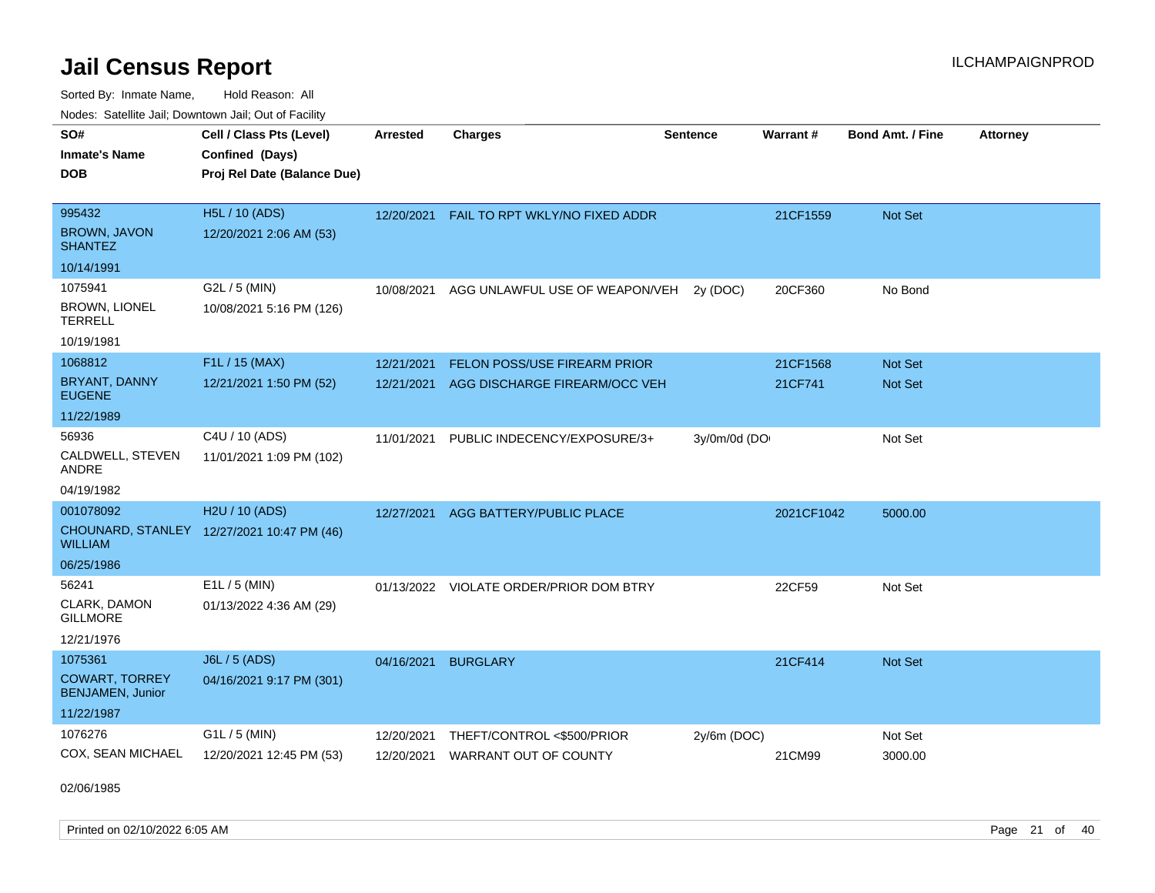Sorted By: Inmate Name, Hold Reason: All

| Nodes: Satellite Jail; Downtown Jail; Out of Facility |                                            |                 |                                           |                 |                 |                         |                 |
|-------------------------------------------------------|--------------------------------------------|-----------------|-------------------------------------------|-----------------|-----------------|-------------------------|-----------------|
| SO#                                                   | Cell / Class Pts (Level)                   | <b>Arrested</b> | <b>Charges</b>                            | <b>Sentence</b> | <b>Warrant#</b> | <b>Bond Amt. / Fine</b> | <b>Attorney</b> |
| <b>Inmate's Name</b>                                  | Confined (Days)                            |                 |                                           |                 |                 |                         |                 |
| <b>DOB</b>                                            | Proj Rel Date (Balance Due)                |                 |                                           |                 |                 |                         |                 |
|                                                       |                                            |                 |                                           |                 |                 |                         |                 |
| 995432                                                | H5L / 10 (ADS)                             |                 | 12/20/2021 FAIL TO RPT WKLY/NO FIXED ADDR |                 | 21CF1559        | Not Set                 |                 |
| <b>BROWN, JAVON</b><br><b>SHANTEZ</b>                 | 12/20/2021 2:06 AM (53)                    |                 |                                           |                 |                 |                         |                 |
| 10/14/1991                                            |                                            |                 |                                           |                 |                 |                         |                 |
| 1075941                                               | G2L / 5 (MIN)                              | 10/08/2021      | AGG UNLAWFUL USE OF WEAPON/VEH            | 2y (DOC)        | 20CF360         | No Bond                 |                 |
| <b>BROWN, LIONEL</b><br><b>TERRELL</b>                | 10/08/2021 5:16 PM (126)                   |                 |                                           |                 |                 |                         |                 |
| 10/19/1981                                            |                                            |                 |                                           |                 |                 |                         |                 |
| 1068812                                               | F1L / 15 (MAX)                             | 12/21/2021      | FELON POSS/USE FIREARM PRIOR              |                 | 21CF1568        | Not Set                 |                 |
| BRYANT, DANNY<br><b>EUGENE</b>                        | 12/21/2021 1:50 PM (52)                    | 12/21/2021      | AGG DISCHARGE FIREARM/OCC VEH             |                 | 21CF741         | <b>Not Set</b>          |                 |
| 11/22/1989                                            |                                            |                 |                                           |                 |                 |                         |                 |
| 56936                                                 | C4U / 10 (ADS)                             | 11/01/2021      | PUBLIC INDECENCY/EXPOSURE/3+              | 3y/0m/0d (DO    |                 | Not Set                 |                 |
| CALDWELL, STEVEN<br><b>ANDRE</b>                      | 11/01/2021 1:09 PM (102)                   |                 |                                           |                 |                 |                         |                 |
| 04/19/1982                                            |                                            |                 |                                           |                 |                 |                         |                 |
| 001078092                                             | H2U / 10 (ADS)                             | 12/27/2021      | AGG BATTERY/PUBLIC PLACE                  |                 | 2021CF1042      | 5000.00                 |                 |
| <b>WILLIAM</b>                                        | CHOUNARD, STANLEY 12/27/2021 10:47 PM (46) |                 |                                           |                 |                 |                         |                 |
| 06/25/1986                                            |                                            |                 |                                           |                 |                 |                         |                 |
| 56241                                                 | E1L / 5 (MIN)                              |                 | 01/13/2022 VIOLATE ORDER/PRIOR DOM BTRY   |                 | 22CF59          | Not Set                 |                 |
| CLARK, DAMON<br><b>GILLMORE</b>                       | 01/13/2022 4:36 AM (29)                    |                 |                                           |                 |                 |                         |                 |
| 12/21/1976                                            |                                            |                 |                                           |                 |                 |                         |                 |
| 1075361                                               | J6L / 5 (ADS)                              | 04/16/2021      | <b>BURGLARY</b>                           |                 | 21CF414         | Not Set                 |                 |
| <b>COWART, TORREY</b><br><b>BENJAMEN, Junior</b>      | 04/16/2021 9:17 PM (301)                   |                 |                                           |                 |                 |                         |                 |
| 11/22/1987                                            |                                            |                 |                                           |                 |                 |                         |                 |
| 1076276                                               | G1L / 5 (MIN)                              | 12/20/2021      | THEFT/CONTROL <\$500/PRIOR                | 2y/6m (DOC)     |                 | Not Set                 |                 |
| COX, SEAN MICHAEL                                     | 12/20/2021 12:45 PM (53)                   | 12/20/2021      | <b>WARRANT OUT OF COUNTY</b>              |                 | 21CM99          | 3000.00                 |                 |

02/06/1985

Printed on 02/10/2022 6:05 AM Page 21 of 40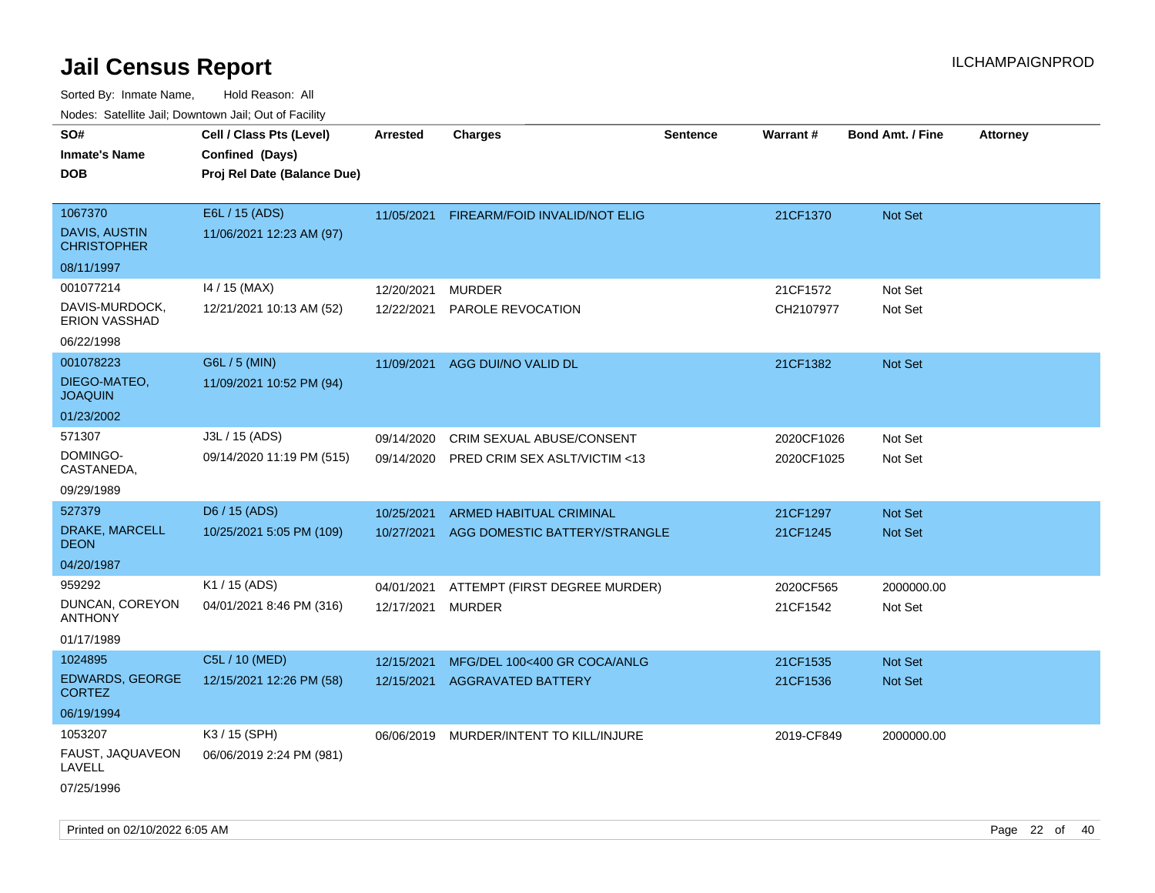| ivouss. Satellite Jali, Downtown Jali, Out of Facility            |                                                                            |                          |                                                                 |                 |                          |                                  |                 |
|-------------------------------------------------------------------|----------------------------------------------------------------------------|--------------------------|-----------------------------------------------------------------|-----------------|--------------------------|----------------------------------|-----------------|
| SO#<br>Inmate's Name<br><b>DOB</b>                                | Cell / Class Pts (Level)<br>Confined (Days)<br>Proj Rel Date (Balance Due) | <b>Arrested</b>          | <b>Charges</b>                                                  | <b>Sentence</b> | Warrant#                 | <b>Bond Amt. / Fine</b>          | <b>Attorney</b> |
| 1067370<br>DAVIS, AUSTIN<br><b>CHRISTOPHER</b><br>08/11/1997      | E6L / 15 (ADS)<br>11/06/2021 12:23 AM (97)                                 | 11/05/2021               | FIREARM/FOID INVALID/NOT ELIG                                   |                 | 21CF1370                 | Not Set                          |                 |
| 001077214<br>DAVIS-MURDOCK,<br><b>ERION VASSHAD</b><br>06/22/1998 | 14 / 15 (MAX)<br>12/21/2021 10:13 AM (52)                                  | 12/20/2021<br>12/22/2021 | <b>MURDER</b><br>PAROLE REVOCATION                              |                 | 21CF1572<br>CH2107977    | Not Set<br>Not Set               |                 |
| 001078223<br>DIEGO-MATEO,<br>JOAQUIN<br>01/23/2002                | G6L / 5 (MIN)<br>11/09/2021 10:52 PM (94)                                  | 11/09/2021               | AGG DUI/NO VALID DL                                             |                 | 21CF1382                 | <b>Not Set</b>                   |                 |
| 571307<br>DOMINGO-<br>CASTANEDA,<br>09/29/1989                    | J3L / 15 (ADS)<br>09/14/2020 11:19 PM (515)                                | 09/14/2020<br>09/14/2020 | CRIM SEXUAL ABUSE/CONSENT<br>PRED CRIM SEX ASLT/VICTIM <13      |                 | 2020CF1026<br>2020CF1025 | Not Set<br>Not Set               |                 |
| 527379<br>DRAKE, MARCELL<br>DEON<br>04/20/1987                    | D6 / 15 (ADS)<br>10/25/2021 5:05 PM (109)                                  | 10/25/2021<br>10/27/2021 | <b>ARMED HABITUAL CRIMINAL</b><br>AGG DOMESTIC BATTERY/STRANGLE |                 | 21CF1297<br>21CF1245     | <b>Not Set</b><br><b>Not Set</b> |                 |
| 959292<br>DUNCAN, COREYON<br>ANTHONY<br>01/17/1989                | K1 / 15 (ADS)<br>04/01/2021 8:46 PM (316)                                  | 04/01/2021<br>12/17/2021 | ATTEMPT (FIRST DEGREE MURDER)<br><b>MURDER</b>                  |                 | 2020CF565<br>21CF1542    | 2000000.00<br>Not Set            |                 |
| 1024895<br><b>EDWARDS, GEORGE</b><br>CORTEZ<br>06/19/1994         | C5L / 10 (MED)<br>12/15/2021 12:26 PM (58)                                 | 12/15/2021<br>12/15/2021 | MFG/DEL 100<400 GR COCA/ANLG<br><b>AGGRAVATED BATTERY</b>       |                 | 21CF1535<br>21CF1536     | <b>Not Set</b><br>Not Set        |                 |
| 1053207<br>FAUST, JAQUAVEON<br>LAVELL<br>07/25/1996               | K3 / 15 (SPH)<br>06/06/2019 2:24 PM (981)                                  |                          | 06/06/2019 MURDER/INTENT TO KILL/INJURE                         |                 | 2019-CF849               | 2000000.00                       |                 |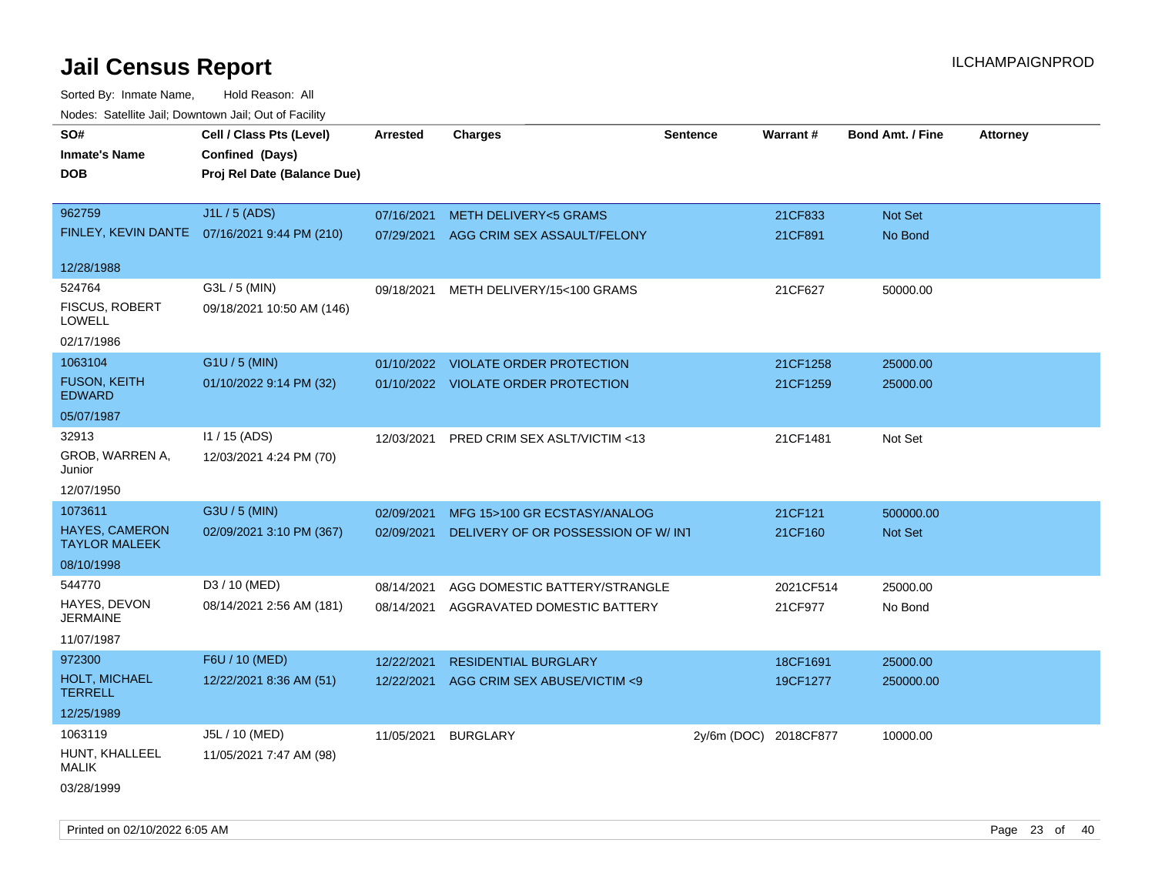Sorted By: Inmate Name, Hold Reason: All Nodes: Satellite Jail; Downtown Jail; Out of Facility

| roaco. Catolino cali, Domntonn cali, Out of Facility |                                              |                 |                                        |                       |           |                         |                 |
|------------------------------------------------------|----------------------------------------------|-----------------|----------------------------------------|-----------------------|-----------|-------------------------|-----------------|
| SO#                                                  | Cell / Class Pts (Level)                     | <b>Arrested</b> | <b>Charges</b>                         | <b>Sentence</b>       | Warrant#  | <b>Bond Amt. / Fine</b> | <b>Attorney</b> |
| <b>Inmate's Name</b>                                 | Confined (Days)                              |                 |                                        |                       |           |                         |                 |
| <b>DOB</b>                                           | Proj Rel Date (Balance Due)                  |                 |                                        |                       |           |                         |                 |
|                                                      |                                              |                 |                                        |                       |           |                         |                 |
| 962759                                               | J1L / 5 (ADS)                                | 07/16/2021      | <b>METH DELIVERY&lt;5 GRAMS</b>        |                       | 21CF833   | Not Set                 |                 |
|                                                      | FINLEY, KEVIN DANTE 07/16/2021 9:44 PM (210) |                 | 07/29/2021 AGG CRIM SEX ASSAULT/FELONY |                       | 21CF891   | No Bond                 |                 |
|                                                      |                                              |                 |                                        |                       |           |                         |                 |
| 12/28/1988                                           |                                              |                 |                                        |                       |           |                         |                 |
| 524764                                               | G3L / 5 (MIN)                                | 09/18/2021      | METH DELIVERY/15<100 GRAMS             |                       | 21CF627   | 50000.00                |                 |
| <b>FISCUS, ROBERT</b><br><b>LOWELL</b>               | 09/18/2021 10:50 AM (146)                    |                 |                                        |                       |           |                         |                 |
| 02/17/1986                                           |                                              |                 |                                        |                       |           |                         |                 |
| 1063104                                              | G1U / 5 (MIN)                                | 01/10/2022      | <b>VIOLATE ORDER PROTECTION</b>        |                       | 21CF1258  | 25000.00                |                 |
| <b>FUSON, KEITH</b><br><b>EDWARD</b>                 | 01/10/2022 9:14 PM (32)                      |                 | 01/10/2022 VIOLATE ORDER PROTECTION    |                       | 21CF1259  | 25000.00                |                 |
| 05/07/1987                                           |                                              |                 |                                        |                       |           |                         |                 |
| 32913                                                | $11/15$ (ADS)                                | 12/03/2021      | PRED CRIM SEX ASLT/VICTIM <13          |                       | 21CF1481  | Not Set                 |                 |
| GROB, WARREN A,                                      | 12/03/2021 4:24 PM (70)                      |                 |                                        |                       |           |                         |                 |
| Junior                                               |                                              |                 |                                        |                       |           |                         |                 |
| 12/07/1950                                           |                                              |                 |                                        |                       |           |                         |                 |
| 1073611                                              | G3U / 5 (MIN)                                | 02/09/2021      | MFG 15>100 GR ECSTASY/ANALOG           |                       | 21CF121   | 500000.00               |                 |
| <b>HAYES, CAMERON</b><br><b>TAYLOR MALEEK</b>        | 02/09/2021 3:10 PM (367)                     | 02/09/2021      | DELIVERY OF OR POSSESSION OF W/ INT    |                       | 21CF160   | Not Set                 |                 |
| 08/10/1998                                           |                                              |                 |                                        |                       |           |                         |                 |
| 544770                                               | D3 / 10 (MED)                                | 08/14/2021      | AGG DOMESTIC BATTERY/STRANGLE          |                       | 2021CF514 | 25000.00                |                 |
| HAYES, DEVON                                         | 08/14/2021 2:56 AM (181)                     | 08/14/2021      | AGGRAVATED DOMESTIC BATTERY            |                       | 21CF977   | No Bond                 |                 |
| <b>JERMAINE</b>                                      |                                              |                 |                                        |                       |           |                         |                 |
| 11/07/1987                                           |                                              |                 |                                        |                       |           |                         |                 |
| 972300                                               | F6U / 10 (MED)                               | 12/22/2021      | <b>RESIDENTIAL BURGLARY</b>            |                       | 18CF1691  | 25000.00                |                 |
| HOLT, MICHAEL<br><b>TERRELL</b>                      | 12/22/2021 8:36 AM (51)                      | 12/22/2021      | AGG CRIM SEX ABUSE/VICTIM <9           |                       | 19CF1277  | 250000.00               |                 |
| 12/25/1989                                           |                                              |                 |                                        |                       |           |                         |                 |
| 1063119                                              | J5L / 10 (MED)                               | 11/05/2021      | <b>BURGLARY</b>                        | 2y/6m (DOC) 2018CF877 |           | 10000.00                |                 |
| HUNT, KHALLEEL<br><b>MALIK</b>                       | 11/05/2021 7:47 AM (98)                      |                 |                                        |                       |           |                         |                 |
| 03/28/1999                                           |                                              |                 |                                        |                       |           |                         |                 |

Printed on 02/10/2022 6:05 AM Page 23 of 40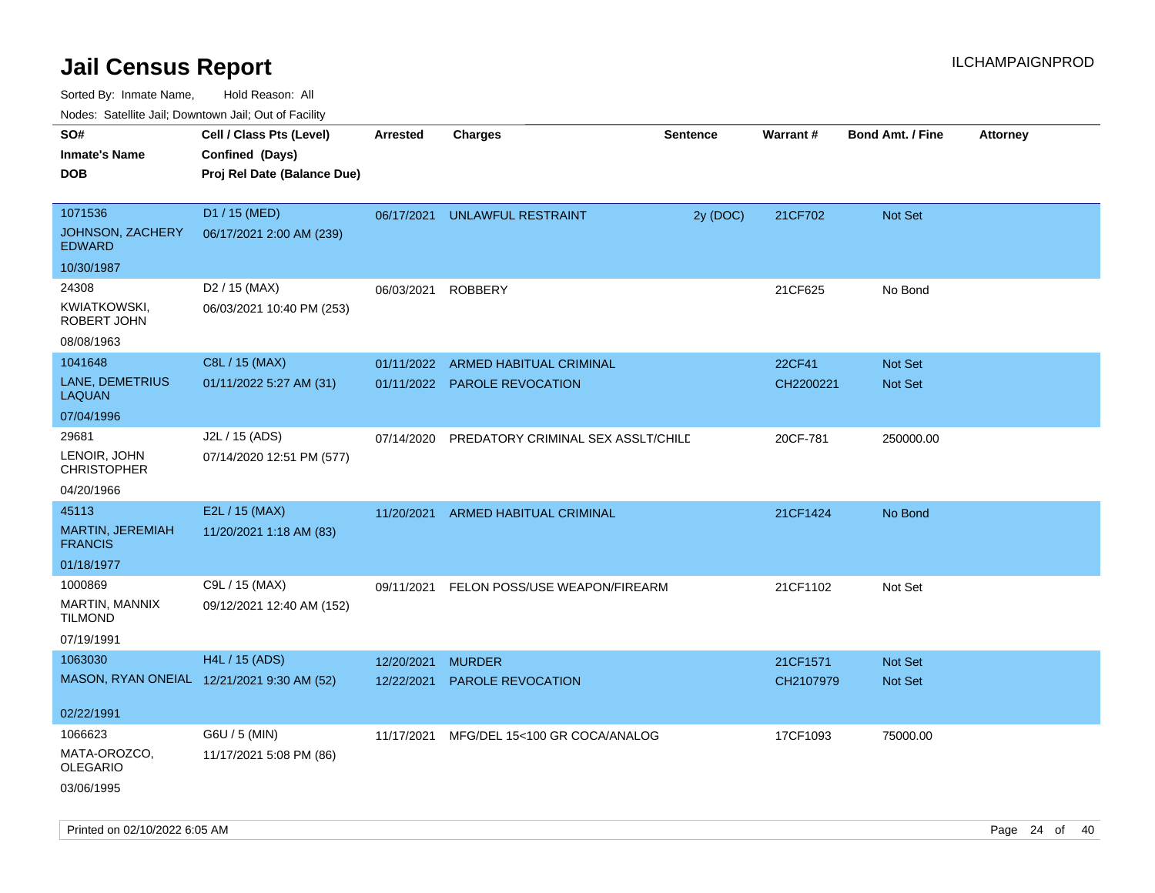Sorted By: Inmate Name, Hold Reason: All

| Nodes: Satellite Jail; Downtown Jail; Out of Facility |  |
|-------------------------------------------------------|--|
|-------------------------------------------------------|--|

| roaco. Calcinio can, Downtown can, Out of Fability<br>SO# | Cell / Class Pts (Level)                   | <b>Arrested</b> | <b>Charges</b>                     | <b>Sentence</b> | <b>Warrant#</b> | <b>Bond Amt. / Fine</b> | <b>Attorney</b> |
|-----------------------------------------------------------|--------------------------------------------|-----------------|------------------------------------|-----------------|-----------------|-------------------------|-----------------|
| <b>Inmate's Name</b>                                      | Confined (Days)                            |                 |                                    |                 |                 |                         |                 |
| <b>DOB</b>                                                | Proj Rel Date (Balance Due)                |                 |                                    |                 |                 |                         |                 |
|                                                           |                                            |                 |                                    |                 |                 |                         |                 |
| 1071536                                                   | D1 / 15 (MED)                              | 06/17/2021      | <b>UNLAWFUL RESTRAINT</b>          | 2y (DOC)        | 21CF702         | Not Set                 |                 |
| JOHNSON, ZACHERY<br><b>EDWARD</b>                         | 06/17/2021 2:00 AM (239)                   |                 |                                    |                 |                 |                         |                 |
| 10/30/1987                                                |                                            |                 |                                    |                 |                 |                         |                 |
| 24308                                                     | D2 / 15 (MAX)                              | 06/03/2021      | <b>ROBBERY</b>                     |                 | 21CF625         | No Bond                 |                 |
| KWIATKOWSKI,<br>ROBERT JOHN                               | 06/03/2021 10:40 PM (253)                  |                 |                                    |                 |                 |                         |                 |
| 08/08/1963                                                |                                            |                 |                                    |                 |                 |                         |                 |
| 1041648                                                   | C8L / 15 (MAX)                             | 01/11/2022      | ARMED HABITUAL CRIMINAL            |                 | 22CF41          | Not Set                 |                 |
| LANE, DEMETRIUS<br><b>LAQUAN</b>                          | 01/11/2022 5:27 AM (31)                    |                 | 01/11/2022 PAROLE REVOCATION       |                 | CH2200221       | Not Set                 |                 |
| 07/04/1996                                                |                                            |                 |                                    |                 |                 |                         |                 |
| 29681                                                     | J2L / 15 (ADS)                             | 07/14/2020      | PREDATORY CRIMINAL SEX ASSLT/CHILE |                 | 20CF-781        | 250000.00               |                 |
| LENOIR, JOHN<br><b>CHRISTOPHER</b>                        | 07/14/2020 12:51 PM (577)                  |                 |                                    |                 |                 |                         |                 |
| 04/20/1966                                                |                                            |                 |                                    |                 |                 |                         |                 |
| 45113                                                     | E2L / 15 (MAX)                             | 11/20/2021      | ARMED HABITUAL CRIMINAL            |                 | 21CF1424        | No Bond                 |                 |
| MARTIN, JEREMIAH<br><b>FRANCIS</b>                        | 11/20/2021 1:18 AM (83)                    |                 |                                    |                 |                 |                         |                 |
| 01/18/1977                                                |                                            |                 |                                    |                 |                 |                         |                 |
| 1000869                                                   | C9L / 15 (MAX)                             | 09/11/2021      | FELON POSS/USE WEAPON/FIREARM      |                 | 21CF1102        | Not Set                 |                 |
| MARTIN, MANNIX<br><b>TILMOND</b>                          | 09/12/2021 12:40 AM (152)                  |                 |                                    |                 |                 |                         |                 |
| 07/19/1991                                                |                                            |                 |                                    |                 |                 |                         |                 |
| 1063030                                                   | <b>H4L / 15 (ADS)</b>                      | 12/20/2021      | <b>MURDER</b>                      |                 | 21CF1571        | Not Set                 |                 |
|                                                           | MASON, RYAN ONEIAL 12/21/2021 9:30 AM (52) | 12/22/2021      | PAROLE REVOCATION                  |                 | CH2107979       | Not Set                 |                 |
| 02/22/1991                                                |                                            |                 |                                    |                 |                 |                         |                 |
| 1066623                                                   | G6U / 5 (MIN)                              | 11/17/2021      | MFG/DEL 15<100 GR COCA/ANALOG      |                 | 17CF1093        | 75000.00                |                 |
| MATA-OROZCO,<br><b>OLEGARIO</b>                           | 11/17/2021 5:08 PM (86)                    |                 |                                    |                 |                 |                         |                 |
| 03/06/1995                                                |                                            |                 |                                    |                 |                 |                         |                 |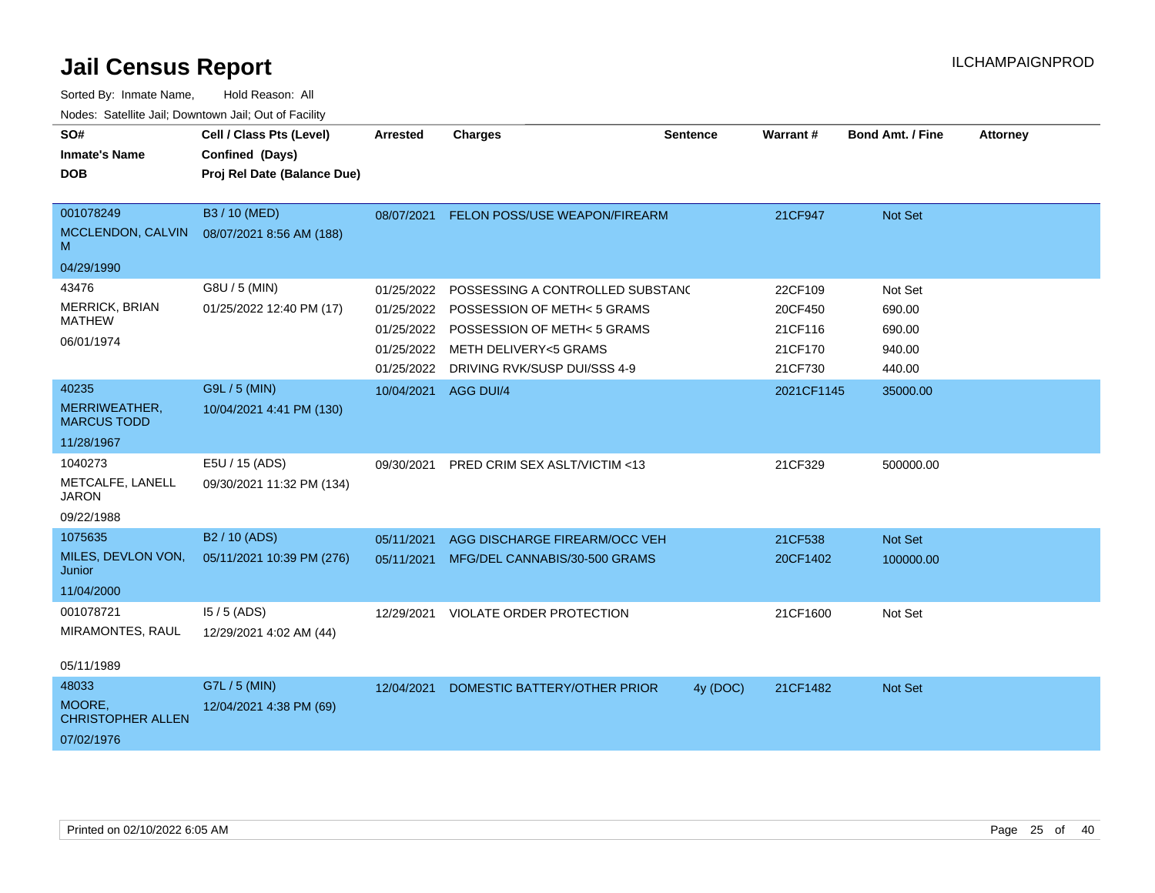| SO#<br><b>Inmate's Name</b>                                | Cell / Class Pts (Level)<br>Confined (Days)            | <b>Arrested</b>                                      | <b>Charges</b>                                                                                                                                                     | <b>Sentence</b> | Warrant#                                            | <b>Bond Amt. / Fine</b>                         | <b>Attorney</b> |
|------------------------------------------------------------|--------------------------------------------------------|------------------------------------------------------|--------------------------------------------------------------------------------------------------------------------------------------------------------------------|-----------------|-----------------------------------------------------|-------------------------------------------------|-----------------|
| <b>DOB</b>                                                 | Proj Rel Date (Balance Due)                            |                                                      |                                                                                                                                                                    |                 |                                                     |                                                 |                 |
| 001078249<br>MCCLENDON, CALVIN<br>M<br>04/29/1990          | B3 / 10 (MED)<br>08/07/2021 8:56 AM (188)              | 08/07/2021                                           | FELON POSS/USE WEAPON/FIREARM                                                                                                                                      |                 | 21CF947                                             | Not Set                                         |                 |
| 43476<br>MERRICK, BRIAN<br><b>MATHEW</b><br>06/01/1974     | G8U / 5 (MIN)<br>01/25/2022 12:40 PM (17)              | 01/25/2022<br>01/25/2022<br>01/25/2022<br>01/25/2022 | POSSESSING A CONTROLLED SUBSTANC<br>POSSESSION OF METH< 5 GRAMS<br>01/25/2022 POSSESSION OF METH< 5 GRAMS<br>METH DELIVERY<5 GRAMS<br>DRIVING RVK/SUSP DUI/SSS 4-9 |                 | 22CF109<br>20CF450<br>21CF116<br>21CF170<br>21CF730 | Not Set<br>690.00<br>690.00<br>940.00<br>440.00 |                 |
| 40235<br>MERRIWEATHER,<br><b>MARCUS TODD</b><br>11/28/1967 | G9L / 5 (MIN)<br>10/04/2021 4:41 PM (130)              | 10/04/2021                                           | AGG DUI/4                                                                                                                                                          |                 | 2021CF1145                                          | 35000.00                                        |                 |
| 1040273<br>METCALFE, LANELL<br><b>JARON</b><br>09/22/1988  | E5U / 15 (ADS)<br>09/30/2021 11:32 PM (134)            | 09/30/2021                                           | PRED CRIM SEX ASLT/VICTIM <13                                                                                                                                      |                 | 21CF329                                             | 500000.00                                       |                 |
| 1075635<br>MILES, DEVLON VON,<br>Junior<br>11/04/2000      | B <sub>2</sub> / 10 (ADS)<br>05/11/2021 10:39 PM (276) | 05/11/2021<br>05/11/2021                             | AGG DISCHARGE FIREARM/OCC VEH<br>MFG/DEL CANNABIS/30-500 GRAMS                                                                                                     |                 | 21CF538<br>20CF1402                                 | Not Set<br>100000.00                            |                 |
| 001078721<br>MIRAMONTES, RAUL<br>05/11/1989                | $15/5$ (ADS)<br>12/29/2021 4:02 AM (44)                | 12/29/2021                                           | VIOLATE ORDER PROTECTION                                                                                                                                           |                 | 21CF1600                                            | Not Set                                         |                 |
| 48033<br>MOORE.<br><b>CHRISTOPHER ALLEN</b><br>07/02/1976  | G7L / 5 (MIN)<br>12/04/2021 4:38 PM (69)               | 12/04/2021                                           | DOMESTIC BATTERY/OTHER PRIOR                                                                                                                                       | 4y (DOC)        | 21CF1482                                            | Not Set                                         |                 |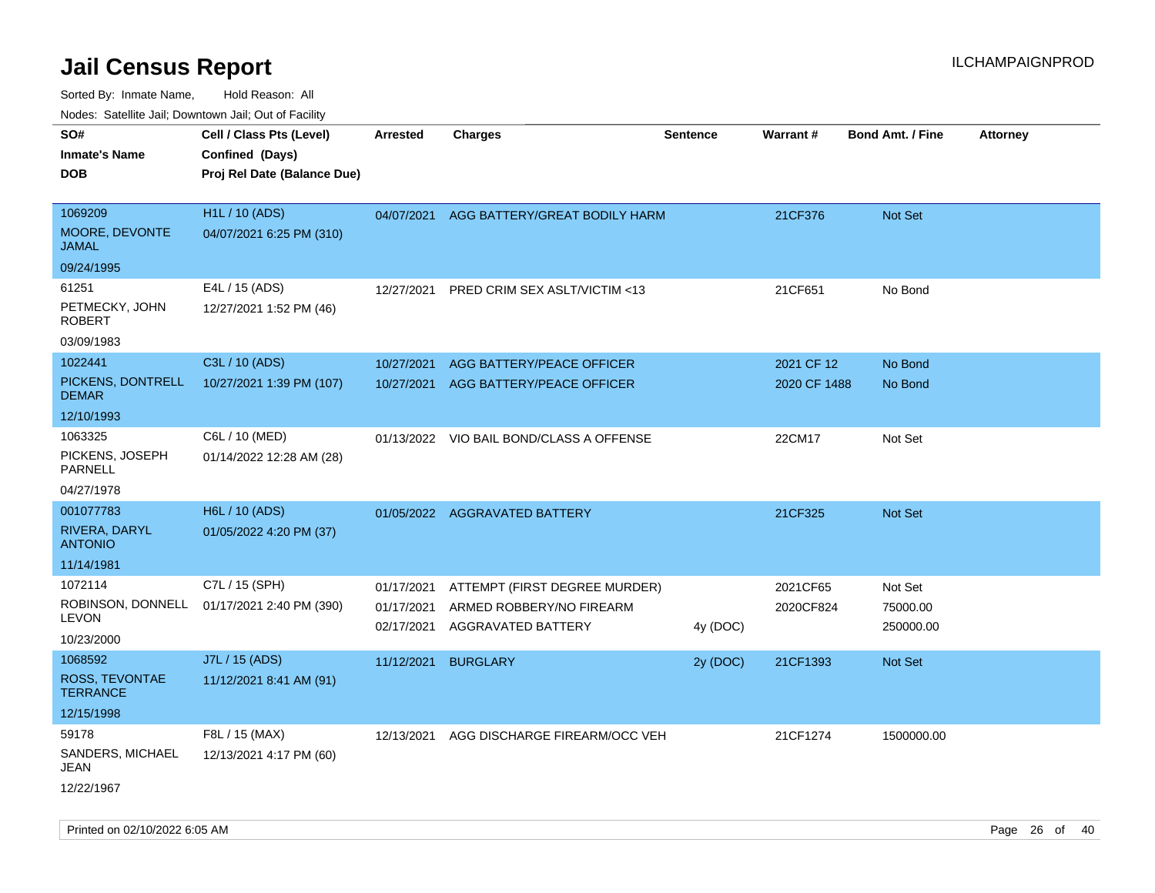| rouco. Calcillo Jali, Downtown Jali, Out of Facility          |                                                                            |                                        |                                                                                 |                 |                            |                                  |                 |
|---------------------------------------------------------------|----------------------------------------------------------------------------|----------------------------------------|---------------------------------------------------------------------------------|-----------------|----------------------------|----------------------------------|-----------------|
| SO#<br>Inmate's Name<br><b>DOB</b>                            | Cell / Class Pts (Level)<br>Confined (Days)<br>Proj Rel Date (Balance Due) | <b>Arrested</b>                        | <b>Charges</b>                                                                  | <b>Sentence</b> | Warrant#                   | <b>Bond Amt. / Fine</b>          | <b>Attorney</b> |
| 1069209<br><b>MOORE, DEVONTE</b><br>JAMAL                     | <b>H1L / 10 (ADS)</b><br>04/07/2021 6:25 PM (310)                          |                                        | 04/07/2021 AGG BATTERY/GREAT BODILY HARM                                        |                 | 21CF376                    | Not Set                          |                 |
| 09/24/1995<br>61251<br>PETMECKY, JOHN<br>ROBERT<br>03/09/1983 | E4L / 15 (ADS)<br>12/27/2021 1:52 PM (46)                                  | 12/27/2021                             | PRED CRIM SEX ASLT/VICTIM <13                                                   |                 | 21CF651                    | No Bond                          |                 |
| 1022441<br>PICKENS, DONTRELL<br><b>DEMAR</b><br>12/10/1993    | C3L / 10 (ADS)<br>10/27/2021 1:39 PM (107)                                 | 10/27/2021<br>10/27/2021               | AGG BATTERY/PEACE OFFICER<br>AGG BATTERY/PEACE OFFICER                          |                 | 2021 CF 12<br>2020 CF 1488 | No Bond<br>No Bond               |                 |
| 1063325<br>PICKENS, JOSEPH<br>PARNELL<br>04/27/1978           | C6L / 10 (MED)<br>01/14/2022 12:28 AM (28)                                 |                                        | 01/13/2022 VIO BAIL BOND/CLASS A OFFENSE                                        |                 | 22CM17                     | Not Set                          |                 |
| 001077783<br>RIVERA, DARYL<br><b>ANTONIO</b><br>11/14/1981    | H6L / 10 (ADS)<br>01/05/2022 4:20 PM (37)                                  |                                        | 01/05/2022 AGGRAVATED BATTERY                                                   |                 | 21CF325                    | <b>Not Set</b>                   |                 |
| 1072114<br>LEVON<br>10/23/2000                                | C7L / 15 (SPH)<br>ROBINSON, DONNELL 01/17/2021 2:40 PM (390)               | 01/17/2021<br>01/17/2021<br>02/17/2021 | ATTEMPT (FIRST DEGREE MURDER)<br>ARMED ROBBERY/NO FIREARM<br>AGGRAVATED BATTERY | 4y (DOC)        | 2021CF65<br>2020CF824      | Not Set<br>75000.00<br>250000.00 |                 |
| 1068592<br>ROSS, TEVONTAE<br>TERRANCE<br>12/15/1998           | J7L / 15 (ADS)<br>11/12/2021 8:41 AM (91)                                  | 11/12/2021                             | <b>BURGLARY</b>                                                                 | 2y (DOC)        | 21CF1393                   | <b>Not Set</b>                   |                 |
| 59178<br>SANDERS, MICHAEL<br>JEAN<br>12/22/1967               | F8L / 15 (MAX)<br>12/13/2021 4:17 PM (60)                                  | 12/13/2021                             | AGG DISCHARGE FIREARM/OCC VEH                                                   |                 | 21CF1274                   | 1500000.00                       |                 |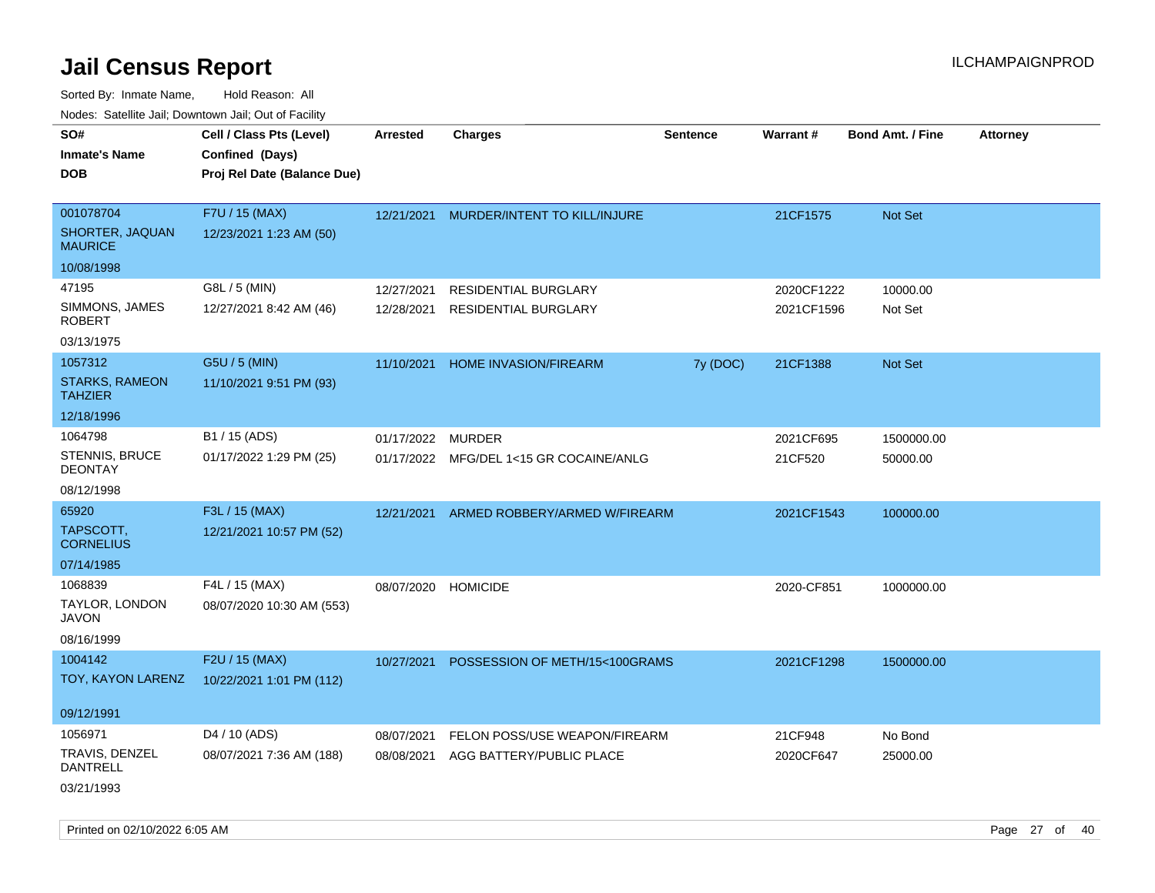|                                                      | rougs. Calcing Jan, Downtown Jan, Out of Facility                          |                          |                                                            |                 |                          |                         |                 |
|------------------------------------------------------|----------------------------------------------------------------------------|--------------------------|------------------------------------------------------------|-----------------|--------------------------|-------------------------|-----------------|
| SO#<br><b>Inmate's Name</b><br><b>DOB</b>            | Cell / Class Pts (Level)<br>Confined (Days)<br>Proj Rel Date (Balance Due) | <b>Arrested</b>          | <b>Charges</b>                                             | <b>Sentence</b> | Warrant#                 | <b>Bond Amt. / Fine</b> | <b>Attorney</b> |
| 001078704<br>SHORTER, JAQUAN<br><b>MAURICE</b>       | F7U / 15 (MAX)<br>12/23/2021 1:23 AM (50)                                  |                          | 12/21/2021 MURDER/INTENT TO KILL/INJURE                    |                 | 21CF1575                 | Not Set                 |                 |
| 10/08/1998                                           |                                                                            |                          |                                                            |                 |                          |                         |                 |
| 47195<br>SIMMONS, JAMES<br><b>ROBERT</b>             | G8L / 5 (MIN)<br>12/27/2021 8:42 AM (46)                                   | 12/27/2021<br>12/28/2021 | <b>RESIDENTIAL BURGLARY</b><br><b>RESIDENTIAL BURGLARY</b> |                 | 2020CF1222<br>2021CF1596 | 10000.00<br>Not Set     |                 |
| 03/13/1975                                           |                                                                            |                          |                                                            |                 |                          |                         |                 |
| 1057312<br><b>STARKS, RAMEON</b><br><b>TAHZIER</b>   | G5U / 5 (MIN)<br>11/10/2021 9:51 PM (93)                                   | 11/10/2021               | HOME INVASION/FIREARM                                      | 7y (DOC)        | 21CF1388                 | Not Set                 |                 |
| 12/18/1996                                           |                                                                            |                          |                                                            |                 |                          |                         |                 |
| 1064798<br><b>STENNIS, BRUCE</b><br><b>DEONTAY</b>   | B1 / 15 (ADS)<br>01/17/2022 1:29 PM (25)                                   | 01/17/2022               | MURDER<br>01/17/2022 MFG/DEL 1<15 GR COCAINE/ANLG          |                 | 2021CF695<br>21CF520     | 1500000.00<br>50000.00  |                 |
| 08/12/1998                                           |                                                                            |                          |                                                            |                 |                          |                         |                 |
| 65920<br>TAPSCOTT,<br><b>CORNELIUS</b><br>07/14/1985 | F3L / 15 (MAX)<br>12/21/2021 10:57 PM (52)                                 | 12/21/2021               | ARMED ROBBERY/ARMED W/FIREARM                              |                 | 2021CF1543               | 100000.00               |                 |
| 1068839<br>TAYLOR, LONDON<br>JAVON<br>08/16/1999     | F4L / 15 (MAX)<br>08/07/2020 10:30 AM (553)                                | 08/07/2020               | <b>HOMICIDE</b>                                            |                 | 2020-CF851               | 1000000.00              |                 |
| 1004142<br>TOY, KAYON LARENZ<br>09/12/1991           | F2U / 15 (MAX)<br>10/22/2021 1:01 PM (112)                                 | 10/27/2021               | POSSESSION OF METH/15<100GRAMS                             |                 | 2021CF1298               | 1500000.00              |                 |
| 1056971                                              | D4 / 10 (ADS)                                                              | 08/07/2021               | FELON POSS/USE WEAPON/FIREARM                              |                 | 21CF948                  | No Bond                 |                 |
| TRAVIS, DENZEL<br>DANTRELL<br>03/21/1993             | 08/07/2021 7:36 AM (188)                                                   | 08/08/2021               | AGG BATTERY/PUBLIC PLACE                                   |                 | 2020CF647                | 25000.00                |                 |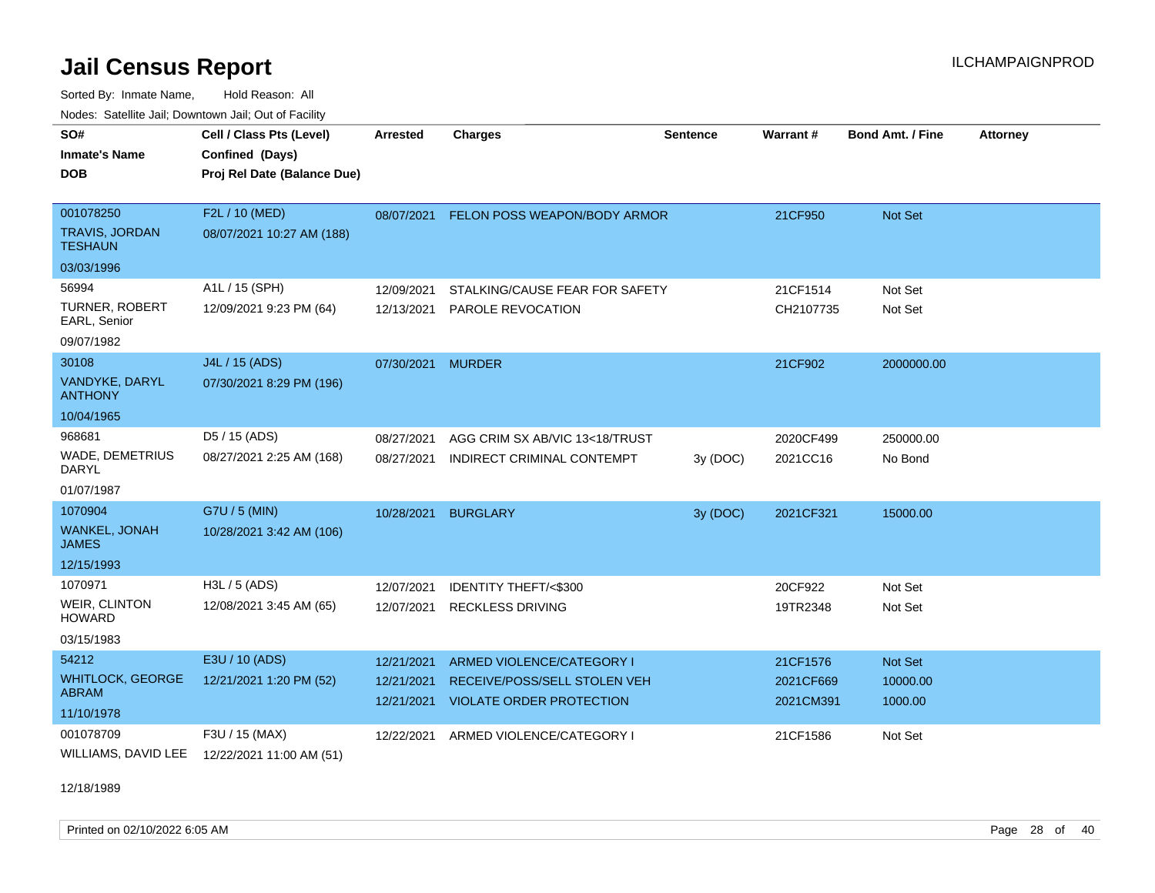Sorted By: Inmate Name, Hold Reason: All Nodes: Satellite Jail; Downtown Jail; Out of Facility

| SO#<br><b>Inmate's Name</b><br><b>DOB</b>             | Cell / Class Pts (Level)<br>Confined (Days)<br>Proj Rel Date (Balance Due) | <b>Arrested</b>          | <b>Charges</b>                                      | <b>Sentence</b> | Warrant#              | <b>Bond Amt. / Fine</b> | <b>Attorney</b> |
|-------------------------------------------------------|----------------------------------------------------------------------------|--------------------------|-----------------------------------------------------|-----------------|-----------------------|-------------------------|-----------------|
| 001078250<br><b>TRAVIS, JORDAN</b><br><b>TESHAUN</b>  | F2L / 10 (MED)<br>08/07/2021 10:27 AM (188)                                | 08/07/2021               | FELON POSS WEAPON/BODY ARMOR                        |                 | 21CF950               | Not Set                 |                 |
| 03/03/1996                                            |                                                                            |                          |                                                     |                 |                       |                         |                 |
| 56994<br>TURNER, ROBERT<br>EARL, Senior<br>09/07/1982 | A1L / 15 (SPH)<br>12/09/2021 9:23 PM (64)                                  | 12/09/2021<br>12/13/2021 | STALKING/CAUSE FEAR FOR SAFETY<br>PAROLE REVOCATION |                 | 21CF1514<br>CH2107735 | Not Set<br>Not Set      |                 |
| 30108                                                 | J4L / 15 (ADS)                                                             | 07/30/2021               | <b>MURDER</b>                                       |                 | 21CF902               | 2000000.00              |                 |
| VANDYKE, DARYL<br><b>ANTHONY</b>                      | 07/30/2021 8:29 PM (196)                                                   |                          |                                                     |                 |                       |                         |                 |
| 10/04/1965                                            |                                                                            |                          |                                                     |                 |                       |                         |                 |
| 968681                                                | D <sub>5</sub> / 15 (ADS)                                                  | 08/27/2021               | AGG CRIM SX AB/VIC 13<18/TRUST                      |                 | 2020CF499             | 250000.00               |                 |
| WADE, DEMETRIUS<br><b>DARYL</b>                       | 08/27/2021 2:25 AM (168)                                                   | 08/27/2021               | INDIRECT CRIMINAL CONTEMPT                          | 3y (DOC)        | 2021CC16              | No Bond                 |                 |
| 01/07/1987                                            |                                                                            |                          |                                                     |                 |                       |                         |                 |
| 1070904                                               | G7U / 5 (MIN)                                                              | 10/28/2021               | <b>BURGLARY</b>                                     | 3y (DOC)        | 2021CF321             | 15000.00                |                 |
| <b>WANKEL, JONAH</b><br><b>JAMES</b>                  | 10/28/2021 3:42 AM (106)                                                   |                          |                                                     |                 |                       |                         |                 |
| 12/15/1993                                            |                                                                            |                          |                                                     |                 |                       |                         |                 |
| 1070971                                               | H3L / 5 (ADS)                                                              | 12/07/2021               | <b>IDENTITY THEFT/&lt;\$300</b>                     |                 | 20CF922               | Not Set                 |                 |
| WEIR, CLINTON<br><b>HOWARD</b>                        | 12/08/2021 3:45 AM (65)                                                    | 12/07/2021               | <b>RECKLESS DRIVING</b>                             |                 | 19TR2348              | Not Set                 |                 |
| 03/15/1983                                            |                                                                            |                          |                                                     |                 |                       |                         |                 |
| 54212                                                 | E3U / 10 (ADS)                                                             | 12/21/2021               | ARMED VIOLENCE/CATEGORY I                           |                 | 21CF1576              | <b>Not Set</b>          |                 |
| <b>WHITLOCK, GEORGE</b><br><b>ABRAM</b>               | 12/21/2021 1:20 PM (52)                                                    | 12/21/2021               | RECEIVE/POSS/SELL STOLEN VEH                        |                 | 2021CF669             | 10000.00                |                 |
| 11/10/1978                                            |                                                                            | 12/21/2021               | <b>VIOLATE ORDER PROTECTION</b>                     |                 | 2021CM391             | 1000.00                 |                 |
| 001078709                                             | F3U / 15 (MAX)                                                             | 12/22/2021               | ARMED VIOLENCE/CATEGORY I                           |                 | 21CF1586              | Not Set                 |                 |
| WILLIAMS, DAVID LEE                                   | 12/22/2021 11:00 AM (51)                                                   |                          |                                                     |                 |                       |                         |                 |

12/18/1989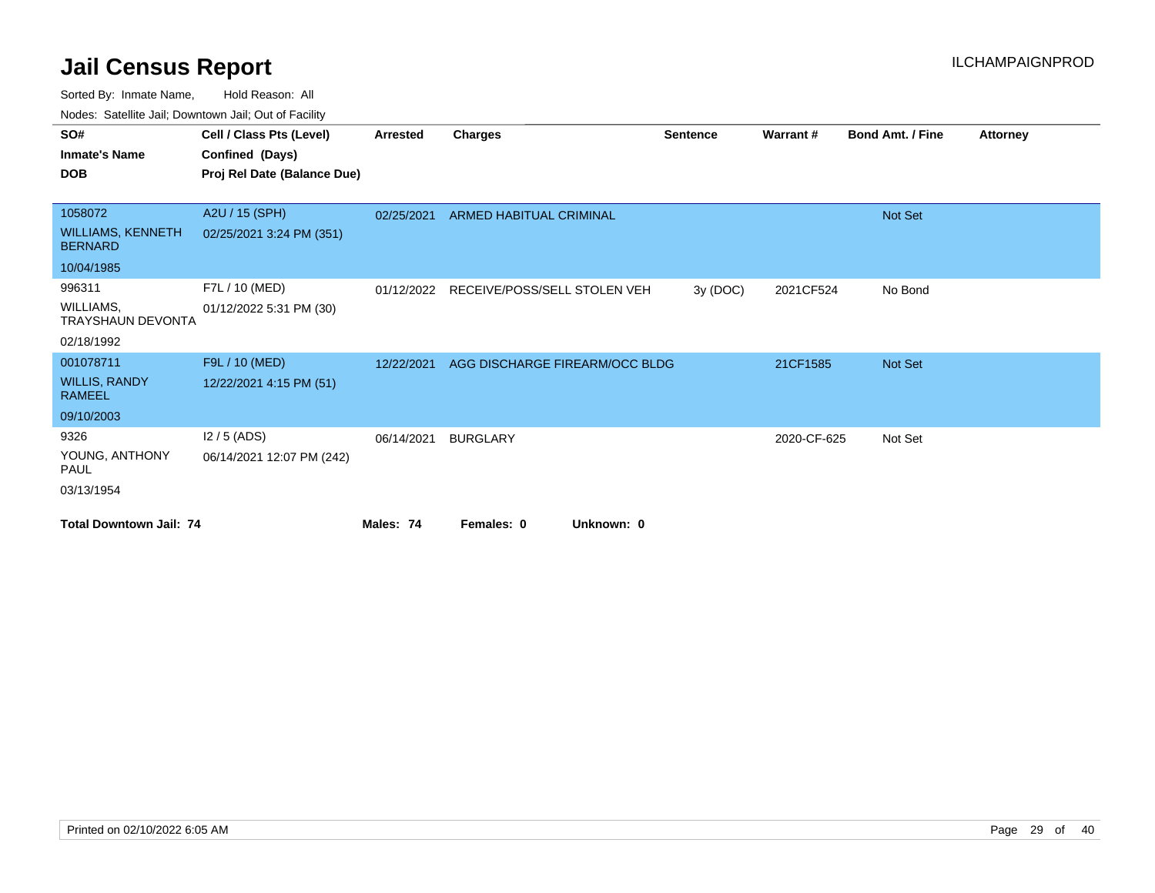| SO#                                        | Cell / Class Pts (Level)    | <b>Arrested</b> | Charges                        | <b>Sentence</b> | Warrant#    | <b>Bond Amt. / Fine</b> | <b>Attorney</b> |
|--------------------------------------------|-----------------------------|-----------------|--------------------------------|-----------------|-------------|-------------------------|-----------------|
| <b>Inmate's Name</b>                       | Confined (Days)             |                 |                                |                 |             |                         |                 |
| <b>DOB</b>                                 | Proj Rel Date (Balance Due) |                 |                                |                 |             |                         |                 |
|                                            |                             |                 |                                |                 |             |                         |                 |
| 1058072                                    | A2U / 15 (SPH)              | 02/25/2021      | ARMED HABITUAL CRIMINAL        |                 |             | Not Set                 |                 |
| <b>WILLIAMS, KENNETH</b><br><b>BERNARD</b> | 02/25/2021 3:24 PM (351)    |                 |                                |                 |             |                         |                 |
| 10/04/1985                                 |                             |                 |                                |                 |             |                         |                 |
| 996311                                     | F7L / 10 (MED)              | 01/12/2022      | RECEIVE/POSS/SELL STOLEN VEH   | 3y (DOC)        | 2021CF524   | No Bond                 |                 |
| WILLIAMS,<br><b>TRAYSHAUN DEVONTA</b>      | 01/12/2022 5:31 PM (30)     |                 |                                |                 |             |                         |                 |
| 02/18/1992                                 |                             |                 |                                |                 |             |                         |                 |
| 001078711                                  | F9L / 10 (MED)              | 12/22/2021      | AGG DISCHARGE FIREARM/OCC BLDG |                 | 21CF1585    | Not Set                 |                 |
| <b>WILLIS, RANDY</b><br><b>RAMEEL</b>      | 12/22/2021 4:15 PM (51)     |                 |                                |                 |             |                         |                 |
| 09/10/2003                                 |                             |                 |                                |                 |             |                         |                 |
| 9326                                       | $12/5$ (ADS)                | 06/14/2021      | <b>BURGLARY</b>                |                 | 2020-CF-625 | Not Set                 |                 |
| YOUNG, ANTHONY<br><b>PAUL</b>              | 06/14/2021 12:07 PM (242)   |                 |                                |                 |             |                         |                 |
| 03/13/1954                                 |                             |                 |                                |                 |             |                         |                 |
| <b>Total Downtown Jail: 74</b>             |                             | Males: 74       | Unknown: 0<br>Females: 0       |                 |             |                         |                 |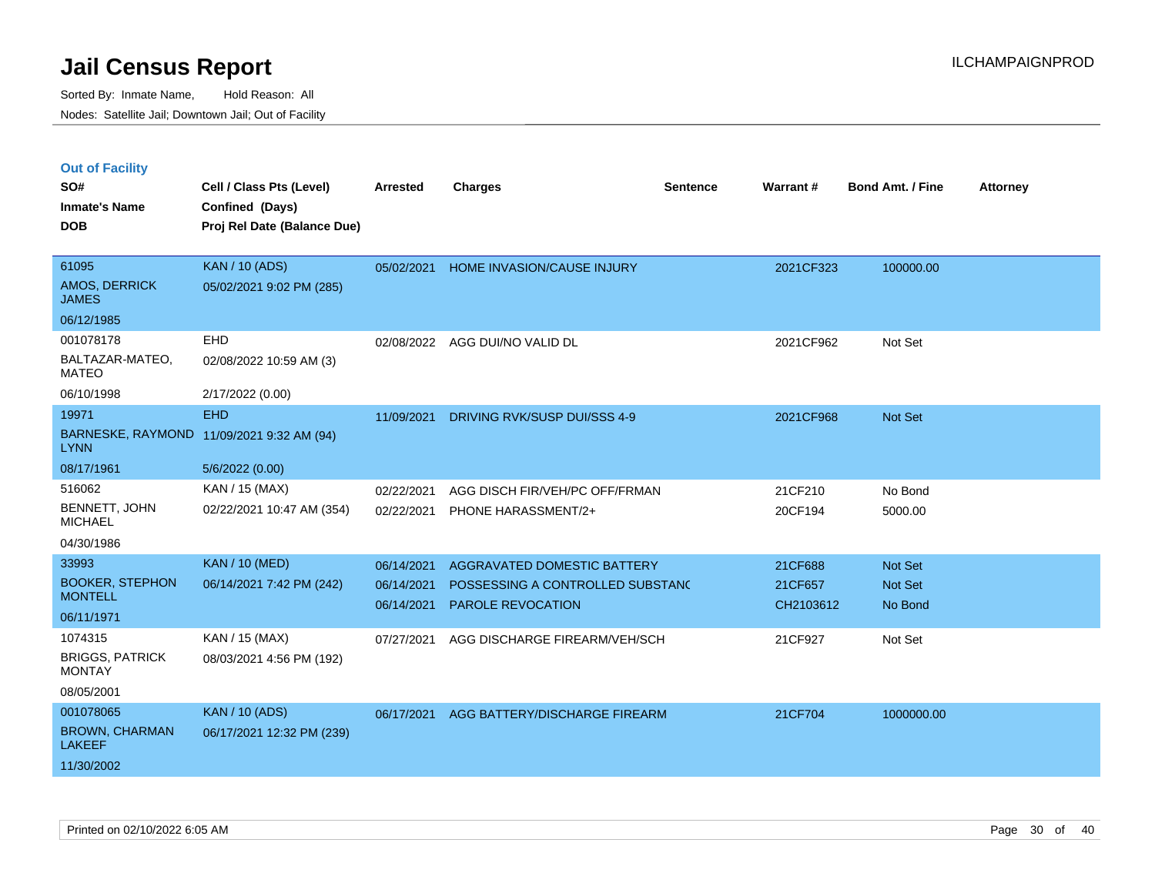|  | <b>Out of Facility</b> |  |
|--|------------------------|--|
|  |                        |  |

| SO#                                      | Cell / Class Pts (Level)                       | <b>Arrested</b> | <b>Charges</b>                   | <b>Sentence</b> | Warrant#  | <b>Bond Amt. / Fine</b> | <b>Attorney</b> |
|------------------------------------------|------------------------------------------------|-----------------|----------------------------------|-----------------|-----------|-------------------------|-----------------|
| <b>Inmate's Name</b><br><b>DOB</b>       | Confined (Days)<br>Proj Rel Date (Balance Due) |                 |                                  |                 |           |                         |                 |
|                                          |                                                |                 |                                  |                 |           |                         |                 |
| 61095                                    | <b>KAN / 10 (ADS)</b>                          | 05/02/2021      | HOME INVASION/CAUSE INJURY       |                 | 2021CF323 | 100000.00               |                 |
| <b>AMOS, DERRICK</b><br><b>JAMES</b>     | 05/02/2021 9:02 PM (285)                       |                 |                                  |                 |           |                         |                 |
| 06/12/1985                               |                                                |                 |                                  |                 |           |                         |                 |
| 001078178                                | EHD                                            |                 | 02/08/2022 AGG DUI/NO VALID DL   |                 | 2021CF962 | Not Set                 |                 |
| BALTAZAR-MATEO,<br><b>MATEO</b>          | 02/08/2022 10:59 AM (3)                        |                 |                                  |                 |           |                         |                 |
| 06/10/1998                               | 2/17/2022 (0.00)                               |                 |                                  |                 |           |                         |                 |
| 19971                                    | <b>EHD</b>                                     | 11/09/2021      | DRIVING RVK/SUSP DUI/SSS 4-9     |                 | 2021CF968 | Not Set                 |                 |
| <b>LYNN</b>                              | BARNESKE, RAYMOND 11/09/2021 9:32 AM (94)      |                 |                                  |                 |           |                         |                 |
| 08/17/1961                               | 5/6/2022 (0.00)                                |                 |                                  |                 |           |                         |                 |
| 516062                                   | KAN / 15 (MAX)                                 | 02/22/2021      | AGG DISCH FIR/VEH/PC OFF/FRMAN   |                 | 21CF210   | No Bond                 |                 |
| BENNETT, JOHN<br><b>MICHAEL</b>          | 02/22/2021 10:47 AM (354)                      | 02/22/2021      | PHONE HARASSMENT/2+              |                 | 20CF194   | 5000.00                 |                 |
| 04/30/1986                               |                                                |                 |                                  |                 |           |                         |                 |
| 33993                                    | <b>KAN / 10 (MED)</b>                          | 06/14/2021      | AGGRAVATED DOMESTIC BATTERY      |                 | 21CF688   | <b>Not Set</b>          |                 |
| <b>BOOKER, STEPHON</b><br><b>MONTELL</b> | 06/14/2021 7:42 PM (242)                       | 06/14/2021      | POSSESSING A CONTROLLED SUBSTAND |                 | 21CF657   | Not Set                 |                 |
| 06/11/1971                               |                                                | 06/14/2021      | PAROLE REVOCATION                |                 | CH2103612 | No Bond                 |                 |
| 1074315                                  | KAN / 15 (MAX)                                 |                 |                                  |                 |           |                         |                 |
| <b>BRIGGS, PATRICK</b>                   | 08/03/2021 4:56 PM (192)                       | 07/27/2021      | AGG DISCHARGE FIREARM/VEH/SCH    |                 | 21CF927   | Not Set                 |                 |
| <b>MONTAY</b>                            |                                                |                 |                                  |                 |           |                         |                 |
| 08/05/2001                               |                                                |                 |                                  |                 |           |                         |                 |
| 001078065                                | <b>KAN / 10 (ADS)</b>                          | 06/17/2021      | AGG BATTERY/DISCHARGE FIREARM    |                 | 21CF704   | 1000000.00              |                 |
| <b>BROWN, CHARMAN</b><br><b>LAKEEF</b>   | 06/17/2021 12:32 PM (239)                      |                 |                                  |                 |           |                         |                 |
| 11/30/2002                               |                                                |                 |                                  |                 |           |                         |                 |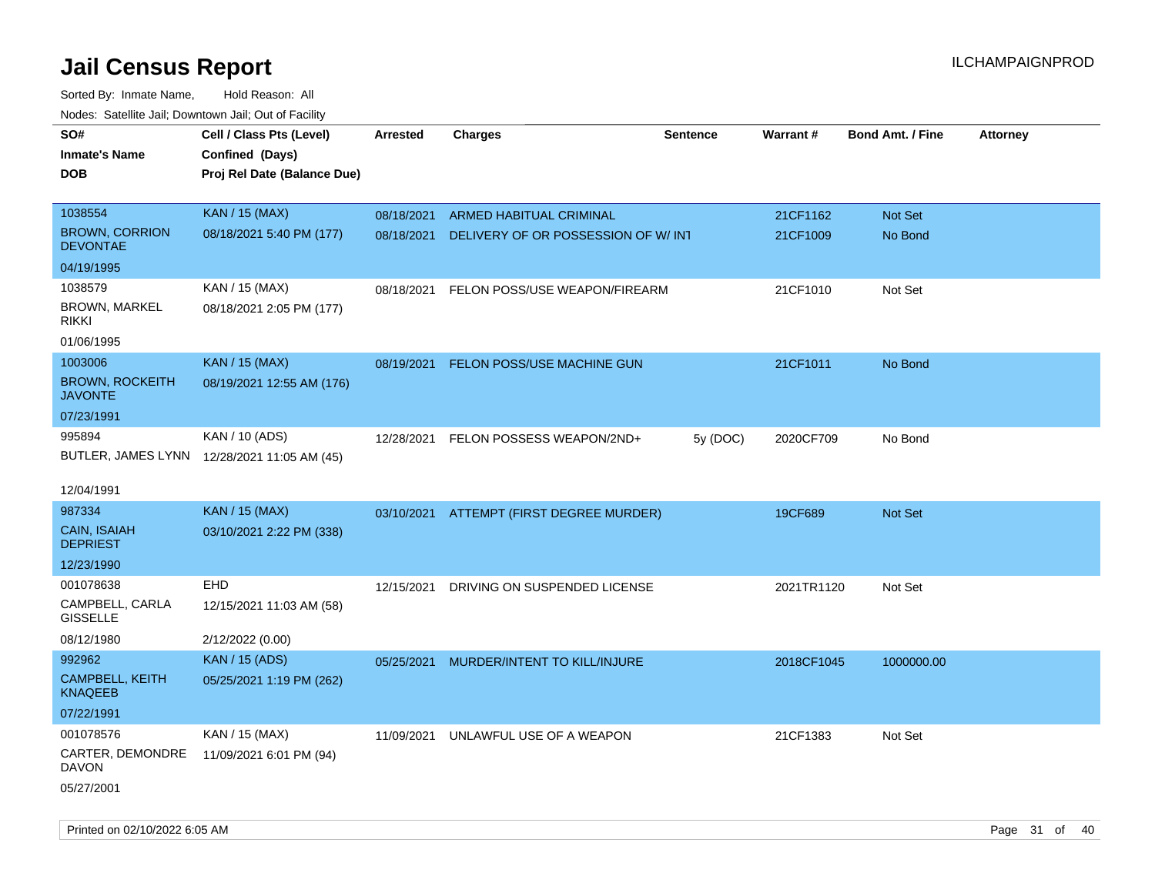| roacs. Calcinic Jan, Downtown Jan, Out of Facility |                                                                            |                 |                                          |                 |            |                         |                 |
|----------------------------------------------------|----------------------------------------------------------------------------|-----------------|------------------------------------------|-----------------|------------|-------------------------|-----------------|
| SO#<br><b>Inmate's Name</b><br><b>DOB</b>          | Cell / Class Pts (Level)<br>Confined (Days)<br>Proj Rel Date (Balance Due) | <b>Arrested</b> | <b>Charges</b>                           | <b>Sentence</b> | Warrant#   | <b>Bond Amt. / Fine</b> | <b>Attorney</b> |
| 1038554                                            | <b>KAN / 15 (MAX)</b>                                                      | 08/18/2021      | ARMED HABITUAL CRIMINAL                  |                 | 21CF1162   | Not Set                 |                 |
| <b>BROWN, CORRION</b><br><b>DEVONTAE</b>           | 08/18/2021 5:40 PM (177)                                                   | 08/18/2021      | DELIVERY OF OR POSSESSION OF W/ INT      |                 | 21CF1009   | No Bond                 |                 |
| 04/19/1995                                         |                                                                            |                 |                                          |                 |            |                         |                 |
| 1038579                                            | KAN / 15 (MAX)                                                             | 08/18/2021      | FELON POSS/USE WEAPON/FIREARM            |                 | 21CF1010   | Not Set                 |                 |
| <b>BROWN, MARKEL</b><br><b>RIKKI</b>               | 08/18/2021 2:05 PM (177)                                                   |                 |                                          |                 |            |                         |                 |
| 01/06/1995                                         |                                                                            |                 |                                          |                 |            |                         |                 |
| 1003006                                            | <b>KAN / 15 (MAX)</b>                                                      | 08/19/2021      | <b>FELON POSS/USE MACHINE GUN</b>        |                 | 21CF1011   | No Bond                 |                 |
| <b>BROWN, ROCKEITH</b><br><b>JAVONTE</b>           | 08/19/2021 12:55 AM (176)                                                  |                 |                                          |                 |            |                         |                 |
| 07/23/1991                                         |                                                                            |                 |                                          |                 |            |                         |                 |
| 995894                                             | KAN / 10 (ADS)                                                             | 12/28/2021      | FELON POSSESS WEAPON/2ND+                | 5y (DOC)        | 2020CF709  | No Bond                 |                 |
|                                                    | BUTLER, JAMES LYNN 12/28/2021 11:05 AM (45)                                |                 |                                          |                 |            |                         |                 |
| 12/04/1991                                         |                                                                            |                 |                                          |                 |            |                         |                 |
| 987334                                             | <b>KAN / 15 (MAX)</b>                                                      |                 | 03/10/2021 ATTEMPT (FIRST DEGREE MURDER) |                 | 19CF689    | Not Set                 |                 |
| CAIN, ISAIAH<br><b>DEPRIEST</b>                    | 03/10/2021 2:22 PM (338)                                                   |                 |                                          |                 |            |                         |                 |
| 12/23/1990                                         |                                                                            |                 |                                          |                 |            |                         |                 |
| 001078638                                          | EHD                                                                        | 12/15/2021      | DRIVING ON SUSPENDED LICENSE             |                 | 2021TR1120 | Not Set                 |                 |
| CAMPBELL, CARLA<br><b>GISSELLE</b>                 | 12/15/2021 11:03 AM (58)                                                   |                 |                                          |                 |            |                         |                 |
| 08/12/1980                                         | 2/12/2022 (0.00)                                                           |                 |                                          |                 |            |                         |                 |
| 992962                                             | <b>KAN / 15 (ADS)</b>                                                      | 05/25/2021      | MURDER/INTENT TO KILL/INJURE             |                 | 2018CF1045 | 1000000.00              |                 |
| CAMPBELL, KEITH<br><b>KNAQEEB</b>                  | 05/25/2021 1:19 PM (262)                                                   |                 |                                          |                 |            |                         |                 |
| 07/22/1991                                         |                                                                            |                 |                                          |                 |            |                         |                 |
| 001078576                                          | KAN / 15 (MAX)                                                             | 11/09/2021      | UNLAWFUL USE OF A WEAPON                 |                 | 21CF1383   | Not Set                 |                 |
| CARTER, DEMONDRE<br><b>DAVON</b>                   | 11/09/2021 6:01 PM (94)                                                    |                 |                                          |                 |            |                         |                 |
| 05/27/2001                                         |                                                                            |                 |                                          |                 |            |                         |                 |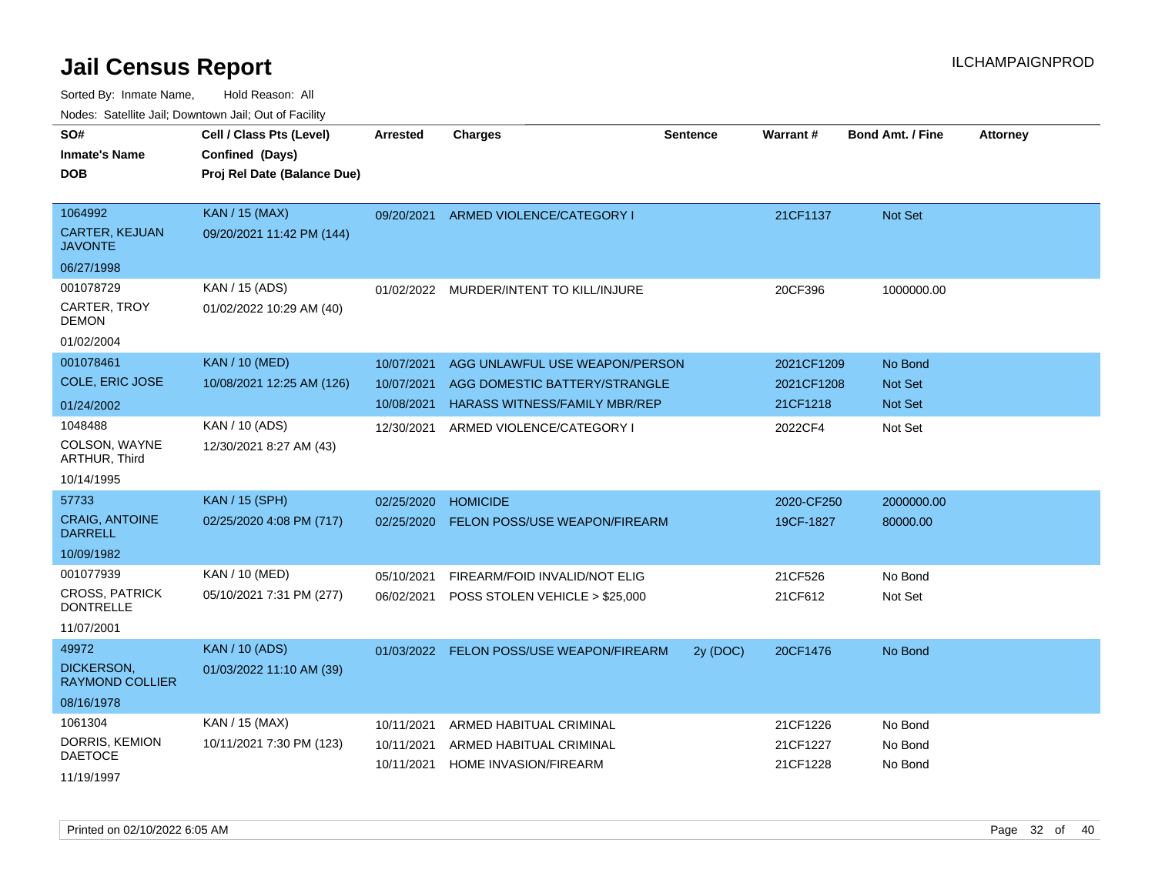| rouco. Calcinic Jan, Downtown Jan, Out of Facility |                                                                            |                          |                                                                 |                 |                          |                         |                 |
|----------------------------------------------------|----------------------------------------------------------------------------|--------------------------|-----------------------------------------------------------------|-----------------|--------------------------|-------------------------|-----------------|
| SO#<br>Inmate's Name<br><b>DOB</b>                 | Cell / Class Pts (Level)<br>Confined (Days)<br>Proj Rel Date (Balance Due) | <b>Arrested</b>          | <b>Charges</b>                                                  | <b>Sentence</b> | Warrant#                 | <b>Bond Amt. / Fine</b> | <b>Attorney</b> |
| 1064992<br><b>CARTER, KEJUAN</b><br>JAVONTE        | <b>KAN / 15 (MAX)</b><br>09/20/2021 11:42 PM (144)                         | 09/20/2021               | ARMED VIOLENCE/CATEGORY I                                       |                 | 21CF1137                 | Not Set                 |                 |
| 06/27/1998                                         |                                                                            |                          |                                                                 |                 |                          |                         |                 |
| 001078729<br>CARTER, TROY<br>DEMON                 | KAN / 15 (ADS)<br>01/02/2022 10:29 AM (40)                                 |                          | 01/02/2022 MURDER/INTENT TO KILL/INJURE                         |                 | 20CF396                  | 1000000.00              |                 |
| 01/02/2004                                         |                                                                            |                          |                                                                 |                 |                          |                         |                 |
| 001078461<br>COLE, ERIC JOSE                       | <b>KAN / 10 (MED)</b><br>10/08/2021 12:25 AM (126)                         | 10/07/2021<br>10/07/2021 | AGG UNLAWFUL USE WEAPON/PERSON<br>AGG DOMESTIC BATTERY/STRANGLE |                 | 2021CF1209<br>2021CF1208 | No Bond<br>Not Set      |                 |
| 01/24/2002                                         |                                                                            | 10/08/2021               | <b>HARASS WITNESS/FAMILY MBR/REP</b>                            |                 | 21CF1218                 | Not Set                 |                 |
| 1048488<br>COLSON, WAYNE<br><b>ARTHUR, Third</b>   | KAN / 10 (ADS)<br>12/30/2021 8:27 AM (43)                                  | 12/30/2021               | ARMED VIOLENCE/CATEGORY I                                       |                 | 2022CF4                  | Not Set                 |                 |
| 10/14/1995                                         |                                                                            |                          |                                                                 |                 |                          |                         |                 |
| 57733                                              | <b>KAN / 15 (SPH)</b>                                                      | 02/25/2020               | <b>HOMICIDE</b>                                                 |                 | 2020-CF250               | 2000000.00              |                 |
| <b>CRAIG, ANTOINE</b><br><b>DARRELL</b>            | 02/25/2020 4:08 PM (717)                                                   | 02/25/2020               | <b>FELON POSS/USE WEAPON/FIREARM</b>                            |                 | 19CF-1827                | 80000.00                |                 |
| 10/09/1982                                         |                                                                            |                          |                                                                 |                 |                          |                         |                 |
| 001077939                                          | KAN / 10 (MED)                                                             | 05/10/2021               | FIREARM/FOID INVALID/NOT ELIG                                   |                 | 21CF526                  | No Bond                 |                 |
| <b>CROSS, PATRICK</b><br><b>DONTRELLE</b>          | 05/10/2021 7:31 PM (277)                                                   | 06/02/2021               | POSS STOLEN VEHICLE > \$25,000                                  |                 | 21CF612                  | Not Set                 |                 |
| 11/07/2001                                         |                                                                            |                          |                                                                 |                 |                          |                         |                 |
| 49972                                              | <b>KAN / 10 (ADS)</b>                                                      | 01/03/2022               | <b>FELON POSS/USE WEAPON/FIREARM</b>                            | 2y (DOC)        | 20CF1476                 | No Bond                 |                 |
| DICKERSON,<br>RAYMOND COLLIER                      | 01/03/2022 11:10 AM (39)                                                   |                          |                                                                 |                 |                          |                         |                 |
| 08/16/1978                                         |                                                                            |                          |                                                                 |                 |                          |                         |                 |
| 1061304                                            | KAN / 15 (MAX)                                                             | 10/11/2021               | ARMED HABITUAL CRIMINAL                                         |                 | 21CF1226                 | No Bond                 |                 |
| DORRIS, KEMION<br><b>DAETOCE</b>                   | 10/11/2021 7:30 PM (123)                                                   | 10/11/2021<br>10/11/2021 | ARMED HABITUAL CRIMINAL<br><b>HOME INVASION/FIREARM</b>         |                 | 21CF1227<br>21CF1228     | No Bond<br>No Bond      |                 |
| 11/19/1997                                         |                                                                            |                          |                                                                 |                 |                          |                         |                 |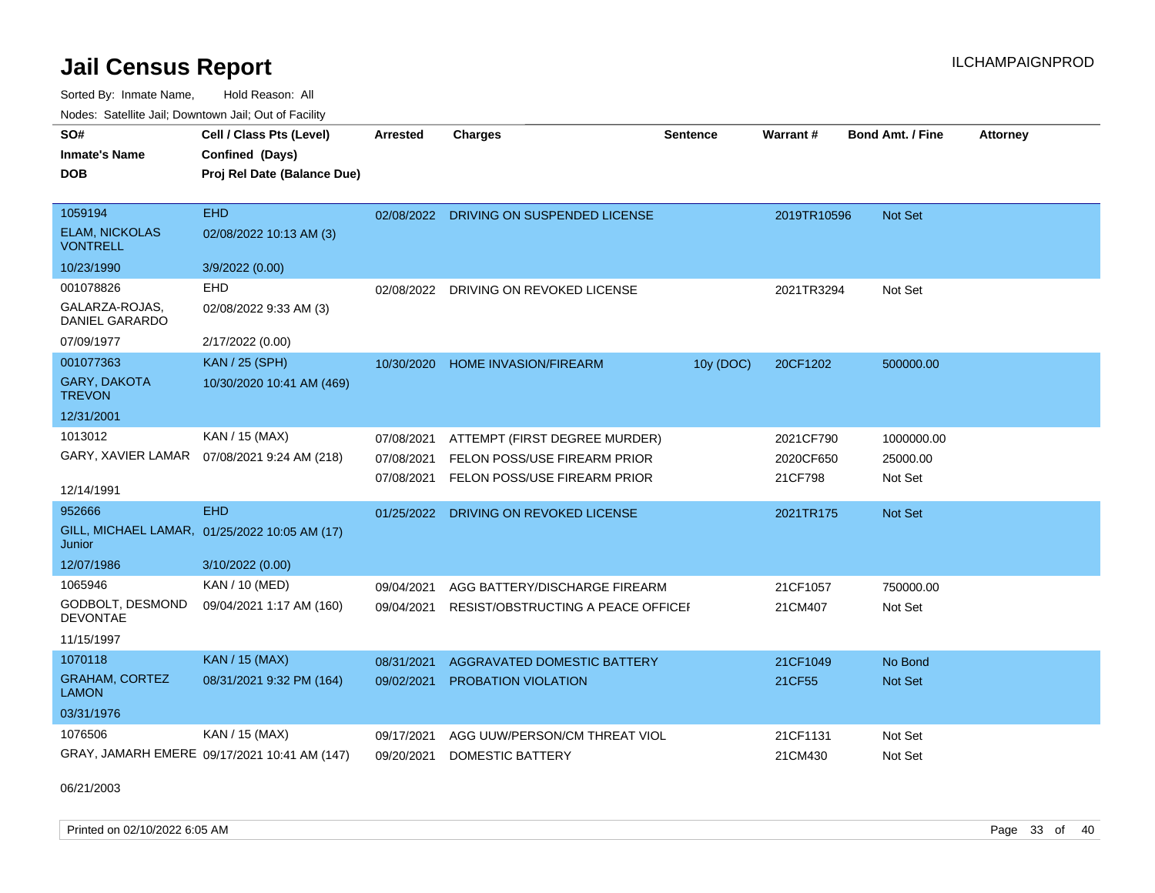Sorted By: Inmate Name, Hold Reason: All Nodes: Satellite Jail; Downtown Jail; Out of Facility

| SO#<br><b>Inmate's Name</b>              | Cell / Class Pts (Level)<br>Confined (Days)   | <b>Arrested</b> | <b>Charges</b>                          | <b>Sentence</b> | <b>Warrant#</b> | Bond Amt. / Fine | <b>Attorney</b> |
|------------------------------------------|-----------------------------------------------|-----------------|-----------------------------------------|-----------------|-----------------|------------------|-----------------|
| <b>DOB</b>                               | Proj Rel Date (Balance Due)                   |                 |                                         |                 |                 |                  |                 |
|                                          |                                               |                 |                                         |                 |                 |                  |                 |
| 1059194                                  | <b>EHD</b>                                    |                 | 02/08/2022 DRIVING ON SUSPENDED LICENSE |                 | 2019TR10596     | Not Set          |                 |
| <b>ELAM, NICKOLAS</b><br><b>VONTRELL</b> | 02/08/2022 10:13 AM (3)                       |                 |                                         |                 |                 |                  |                 |
| 10/23/1990                               | 3/9/2022 (0.00)                               |                 |                                         |                 |                 |                  |                 |
| 001078826                                | EHD                                           | 02/08/2022      | DRIVING ON REVOKED LICENSE              |                 | 2021TR3294      | Not Set          |                 |
| GALARZA-ROJAS.<br><b>DANIEL GARARDO</b>  | 02/08/2022 9:33 AM (3)                        |                 |                                         |                 |                 |                  |                 |
| 07/09/1977                               | 2/17/2022 (0.00)                              |                 |                                         |                 |                 |                  |                 |
| 001077363                                | <b>KAN / 25 (SPH)</b>                         |                 | 10/30/2020 HOME INVASION/FIREARM        | 10y (DOC)       | 20CF1202        | 500000.00        |                 |
| <b>GARY, DAKOTA</b><br><b>TREVON</b>     | 10/30/2020 10:41 AM (469)                     |                 |                                         |                 |                 |                  |                 |
| 12/31/2001                               |                                               |                 |                                         |                 |                 |                  |                 |
| 1013012                                  | KAN / 15 (MAX)                                | 07/08/2021      | ATTEMPT (FIRST DEGREE MURDER)           |                 | 2021CF790       | 1000000.00       |                 |
| GARY, XAVIER LAMAR                       | 07/08/2021 9:24 AM (218)                      | 07/08/2021      | FELON POSS/USE FIREARM PRIOR            |                 | 2020CF650       | 25000.00         |                 |
|                                          |                                               | 07/08/2021      | FELON POSS/USE FIREARM PRIOR            |                 | 21CF798         | Not Set          |                 |
| 12/14/1991                               |                                               |                 |                                         |                 |                 |                  |                 |
| 952666                                   | <b>EHD</b>                                    | 01/25/2022      | DRIVING ON REVOKED LICENSE              |                 | 2021TR175       | <b>Not Set</b>   |                 |
| Junior                                   | GILL, MICHAEL LAMAR, 01/25/2022 10:05 AM (17) |                 |                                         |                 |                 |                  |                 |
| 12/07/1986                               | 3/10/2022 (0.00)                              |                 |                                         |                 |                 |                  |                 |
| 1065946                                  | KAN / 10 (MED)                                | 09/04/2021      | AGG BATTERY/DISCHARGE FIREARM           |                 | 21CF1057        | 750000.00        |                 |
| GODBOLT, DESMOND<br><b>DEVONTAE</b>      | 09/04/2021 1:17 AM (160)                      | 09/04/2021      | RESIST/OBSTRUCTING A PEACE OFFICEL      |                 | 21CM407         | Not Set          |                 |
| 11/15/1997                               |                                               |                 |                                         |                 |                 |                  |                 |
| 1070118                                  | <b>KAN / 15 (MAX)</b>                         | 08/31/2021      | <b>AGGRAVATED DOMESTIC BATTERY</b>      |                 | 21CF1049        | No Bond          |                 |
| <b>GRAHAM, CORTEZ</b><br><b>LAMON</b>    | 08/31/2021 9:32 PM (164)                      | 09/02/2021      | <b>PROBATION VIOLATION</b>              |                 | 21CF55          | Not Set          |                 |
| 03/31/1976                               |                                               |                 |                                         |                 |                 |                  |                 |
| 1076506                                  | KAN / 15 (MAX)                                | 09/17/2021      | AGG UUW/PERSON/CM THREAT VIOL           |                 | 21CF1131        | Not Set          |                 |
|                                          | GRAY, JAMARH EMERE 09/17/2021 10:41 AM (147)  | 09/20/2021      | <b>DOMESTIC BATTERY</b>                 |                 | 21CM430         | Not Set          |                 |

06/21/2003

Printed on 02/10/2022 6:05 AM Page 33 of 40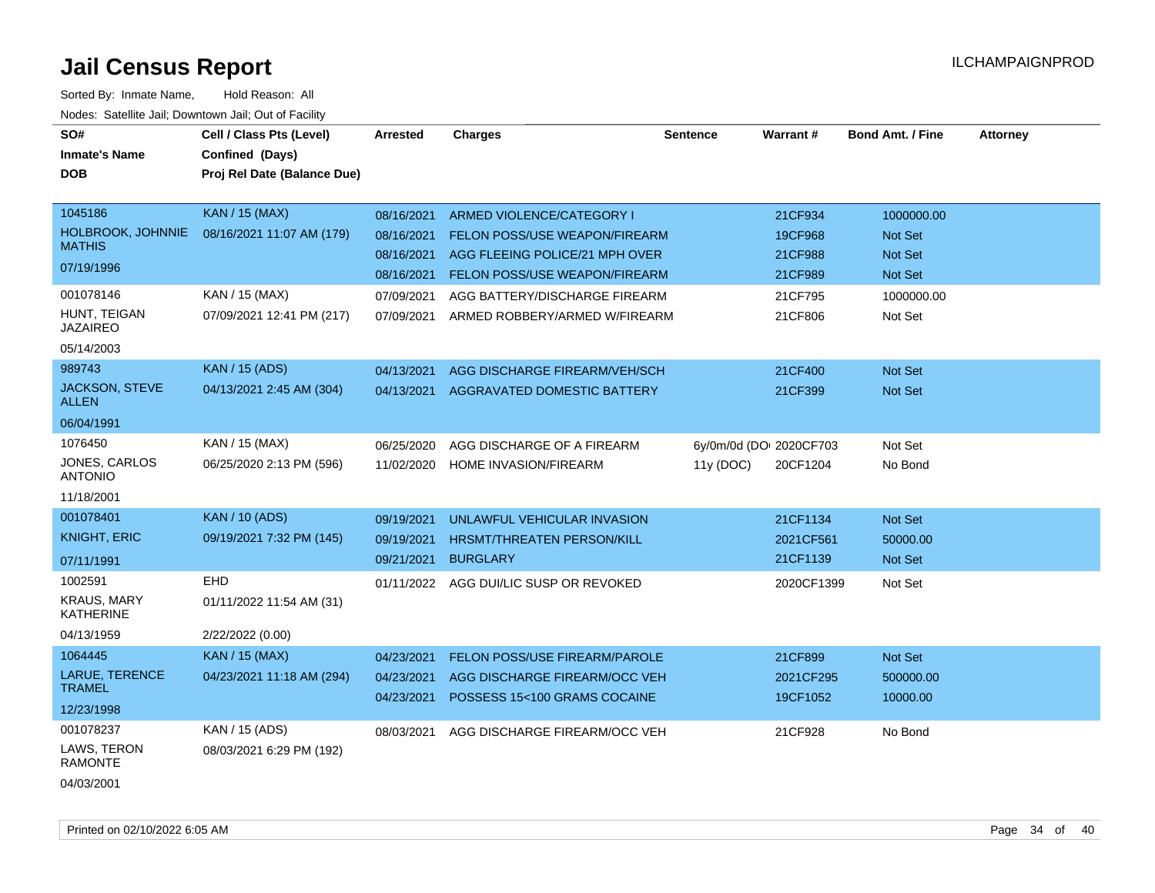| SO#<br><b>Inmate's Name</b><br><b>DOB</b> | Cell / Class Pts (Level)<br>Confined (Days)<br>Proj Rel Date (Balance Due) | <b>Arrested</b>          | <b>Charges</b>                                                | <b>Sentence</b>         | <b>Warrant#</b>       | <b>Bond Amt. / Fine</b> | <b>Attorney</b> |
|-------------------------------------------|----------------------------------------------------------------------------|--------------------------|---------------------------------------------------------------|-------------------------|-----------------------|-------------------------|-----------------|
| 1045186                                   | <b>KAN / 15 (MAX)</b>                                                      | 08/16/2021               | ARMED VIOLENCE/CATEGORY I                                     |                         | 21CF934               | 1000000.00              |                 |
| HOLBROOK, JOHNNIE<br><b>MATHIS</b>        | 08/16/2021 11:07 AM (179)                                                  | 08/16/2021               | <b>FELON POSS/USE WEAPON/FIREARM</b>                          |                         | 19CF968               | Not Set                 |                 |
| 07/19/1996                                |                                                                            | 08/16/2021               | AGG FLEEING POLICE/21 MPH OVER                                |                         | 21CF988               | Not Set                 |                 |
|                                           |                                                                            | 08/16/2021               | <b>FELON POSS/USE WEAPON/FIREARM</b>                          |                         | 21CF989               | Not Set                 |                 |
| 001078146                                 | KAN / 15 (MAX)                                                             | 07/09/2021               | AGG BATTERY/DISCHARGE FIREARM                                 |                         | 21CF795               | 1000000.00              |                 |
| HUNT, TEIGAN<br><b>JAZAIREO</b>           | 07/09/2021 12:41 PM (217)                                                  | 07/09/2021               | ARMED ROBBERY/ARMED W/FIREARM                                 |                         | 21CF806               | Not Set                 |                 |
| 05/14/2003                                |                                                                            |                          |                                                               |                         |                       |                         |                 |
| 989743                                    | <b>KAN / 15 (ADS)</b>                                                      | 04/13/2021               | AGG DISCHARGE FIREARM/VEH/SCH                                 |                         | 21CF400               | Not Set                 |                 |
| JACKSON, STEVE<br><b>ALLEN</b>            | 04/13/2021 2:45 AM (304)                                                   | 04/13/2021               | AGGRAVATED DOMESTIC BATTERY                                   |                         | 21CF399               | Not Set                 |                 |
| 06/04/1991                                |                                                                            |                          |                                                               |                         |                       |                         |                 |
| 1076450                                   | KAN / 15 (MAX)                                                             | 06/25/2020               | AGG DISCHARGE OF A FIREARM                                    | 6y/0m/0d (DO: 2020CF703 |                       | Not Set                 |                 |
| JONES, CARLOS<br><b>ANTONIO</b>           | 06/25/2020 2:13 PM (596)                                                   | 11/02/2020               | <b>HOME INVASION/FIREARM</b>                                  | 11y (DOC)               | 20CF1204              | No Bond                 |                 |
| 11/18/2001                                |                                                                            |                          |                                                               |                         |                       |                         |                 |
| 001078401                                 | <b>KAN / 10 (ADS)</b>                                                      | 09/19/2021               | UNLAWFUL VEHICULAR INVASION                                   |                         | 21CF1134              | Not Set                 |                 |
| <b>KNIGHT, ERIC</b>                       | 09/19/2021 7:32 PM (145)                                                   | 09/19/2021               | <b>HRSMT/THREATEN PERSON/KILL</b>                             |                         | 2021CF561             | 50000.00                |                 |
| 07/11/1991                                |                                                                            | 09/21/2021               | <b>BURGLARY</b>                                               |                         | 21CF1139              | Not Set                 |                 |
| 1002591                                   | <b>EHD</b>                                                                 | 01/11/2022               | AGG DUI/LIC SUSP OR REVOKED                                   |                         | 2020CF1399            | Not Set                 |                 |
| <b>KRAUS, MARY</b><br><b>KATHERINE</b>    | 01/11/2022 11:54 AM (31)                                                   |                          |                                                               |                         |                       |                         |                 |
| 04/13/1959                                | 2/22/2022 (0.00)                                                           |                          |                                                               |                         |                       |                         |                 |
| 1064445                                   | KAN / 15 (MAX)                                                             | 04/23/2021               | FELON POSS/USE FIREARM/PAROLE                                 |                         | 21CF899               | Not Set                 |                 |
| LARUE, TERENCE<br><b>TRAMEL</b>           | 04/23/2021 11:18 AM (294)                                                  | 04/23/2021<br>04/23/2021 | AGG DISCHARGE FIREARM/OCC VEH<br>POSSESS 15<100 GRAMS COCAINE |                         | 2021CF295<br>19CF1052 | 500000.00<br>10000.00   |                 |
| 12/23/1998                                |                                                                            |                          |                                                               |                         |                       |                         |                 |
| 001078237                                 | KAN / 15 (ADS)                                                             | 08/03/2021               | AGG DISCHARGE FIREARM/OCC VEH                                 |                         | 21CF928               | No Bond                 |                 |
| LAWS, TERON<br><b>RAMONTE</b>             | 08/03/2021 6:29 PM (192)                                                   |                          |                                                               |                         |                       |                         |                 |
| 04/03/2001                                |                                                                            |                          |                                                               |                         |                       |                         |                 |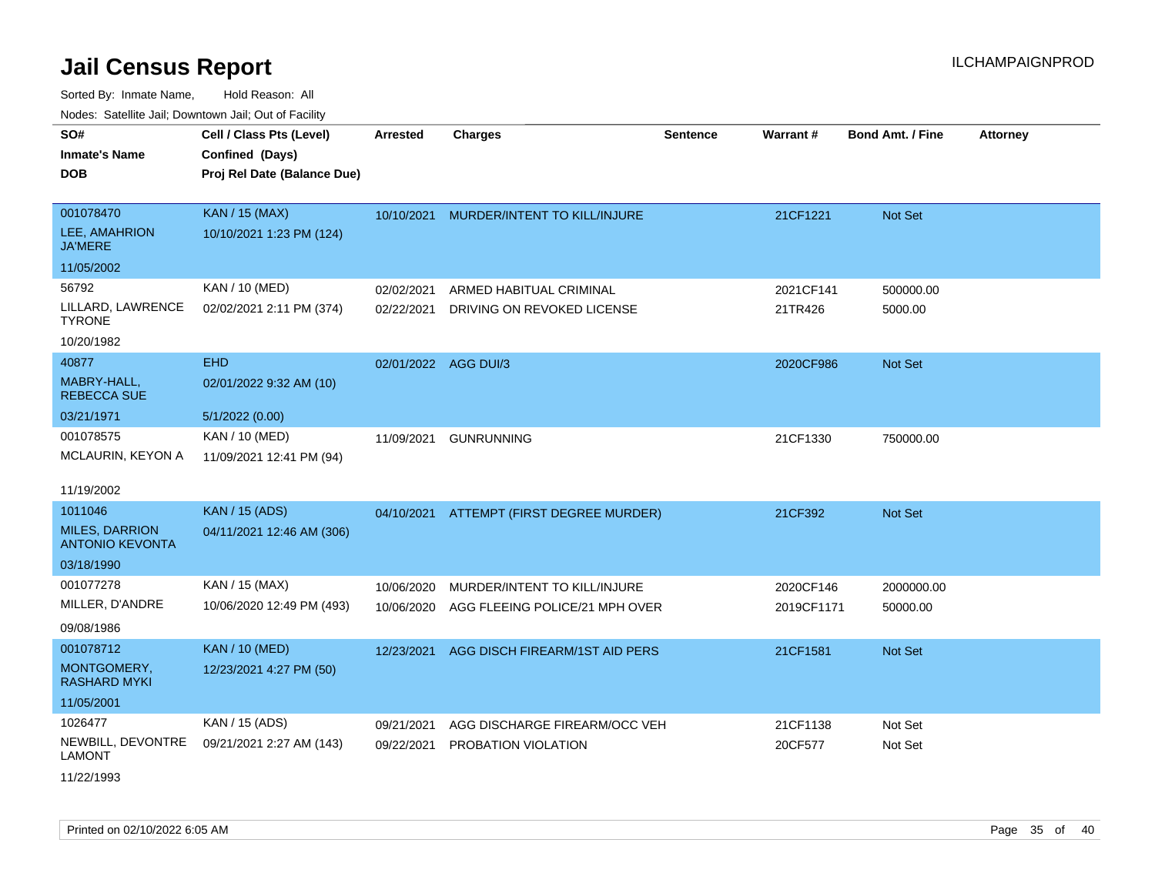Sorted By: Inmate Name, Hold Reason: All Nodes: Satellite Jail; Downtown Jail; Out of Facility

| SO#<br>Inmate's Name<br><b>DOB</b>              | Cell / Class Pts (Level)<br>Confined (Days)<br>Proj Rel Date (Balance Due) | <b>Arrested</b> | <b>Charges</b>                           | <b>Sentence</b> | <b>Warrant#</b> | Bond Amt. / Fine | <b>Attorney</b> |
|-------------------------------------------------|----------------------------------------------------------------------------|-----------------|------------------------------------------|-----------------|-----------------|------------------|-----------------|
| 001078470                                       |                                                                            |                 |                                          |                 |                 |                  |                 |
| <b>LEE, AMAHRION</b><br><b>JA'MERE</b>          | <b>KAN / 15 (MAX)</b><br>10/10/2021 1:23 PM (124)                          | 10/10/2021      | MURDER/INTENT TO KILL/INJURE             |                 | 21CF1221        | <b>Not Set</b>   |                 |
| 11/05/2002                                      |                                                                            |                 |                                          |                 |                 |                  |                 |
| 56792                                           | KAN / 10 (MED)                                                             | 02/02/2021      | ARMED HABITUAL CRIMINAL                  |                 | 2021CF141       | 500000.00        |                 |
| LILLARD, LAWRENCE<br><b>TYRONE</b>              | 02/02/2021 2:11 PM (374)                                                   | 02/22/2021      | DRIVING ON REVOKED LICENSE               |                 | 21TR426         | 5000.00          |                 |
| 10/20/1982                                      |                                                                            |                 |                                          |                 |                 |                  |                 |
| 40877                                           | <b>EHD</b>                                                                 | 02/01/2022      | AGG DUI/3                                |                 | 2020CF986       | <b>Not Set</b>   |                 |
| MABRY-HALL,<br><b>REBECCA SUE</b>               | 02/01/2022 9:32 AM (10)                                                    |                 |                                          |                 |                 |                  |                 |
| 03/21/1971                                      | 5/1/2022(0.00)                                                             |                 |                                          |                 |                 |                  |                 |
| 001078575                                       | KAN / 10 (MED)                                                             | 11/09/2021      | <b>GUNRUNNING</b>                        |                 | 21CF1330        | 750000.00        |                 |
| MCLAURIN, KEYON A                               | 11/09/2021 12:41 PM (94)                                                   |                 |                                          |                 |                 |                  |                 |
| 11/19/2002                                      |                                                                            |                 |                                          |                 |                 |                  |                 |
| 1011046                                         | <b>KAN / 15 (ADS)</b>                                                      |                 | 04/10/2021 ATTEMPT (FIRST DEGREE MURDER) |                 | 21CF392         | <b>Not Set</b>   |                 |
| <b>MILES, DARRION</b><br><b>ANTONIO KEVONTA</b> | 04/11/2021 12:46 AM (306)                                                  |                 |                                          |                 |                 |                  |                 |
| 03/18/1990                                      |                                                                            |                 |                                          |                 |                 |                  |                 |
| 001077278                                       | KAN / 15 (MAX)                                                             | 10/06/2020      | MURDER/INTENT TO KILL/INJURE             |                 | 2020CF146       | 2000000.00       |                 |
| MILLER, D'ANDRE                                 | 10/06/2020 12:49 PM (493)                                                  | 10/06/2020      | AGG FLEEING POLICE/21 MPH OVER           |                 | 2019CF1171      | 50000.00         |                 |
| 09/08/1986                                      |                                                                            |                 |                                          |                 |                 |                  |                 |
| 001078712                                       | <b>KAN / 10 (MED)</b>                                                      | 12/23/2021      | AGG DISCH FIREARM/1ST AID PERS           |                 | 21CF1581        | <b>Not Set</b>   |                 |
| MONTGOMERY,<br>RASHARD MYKI                     | 12/23/2021 4:27 PM (50)                                                    |                 |                                          |                 |                 |                  |                 |
| 11/05/2001                                      |                                                                            |                 |                                          |                 |                 |                  |                 |
| 1026477                                         | KAN / 15 (ADS)                                                             | 09/21/2021      | AGG DISCHARGE FIREARM/OCC VEH            |                 | 21CF1138        | Not Set          |                 |
| NEWBILL, DEVONTRE<br>LAMONT                     | 09/21/2021 2:27 AM (143)                                                   | 09/22/2021      | PROBATION VIOLATION                      |                 | 20CF577         | Not Set          |                 |

11/22/1993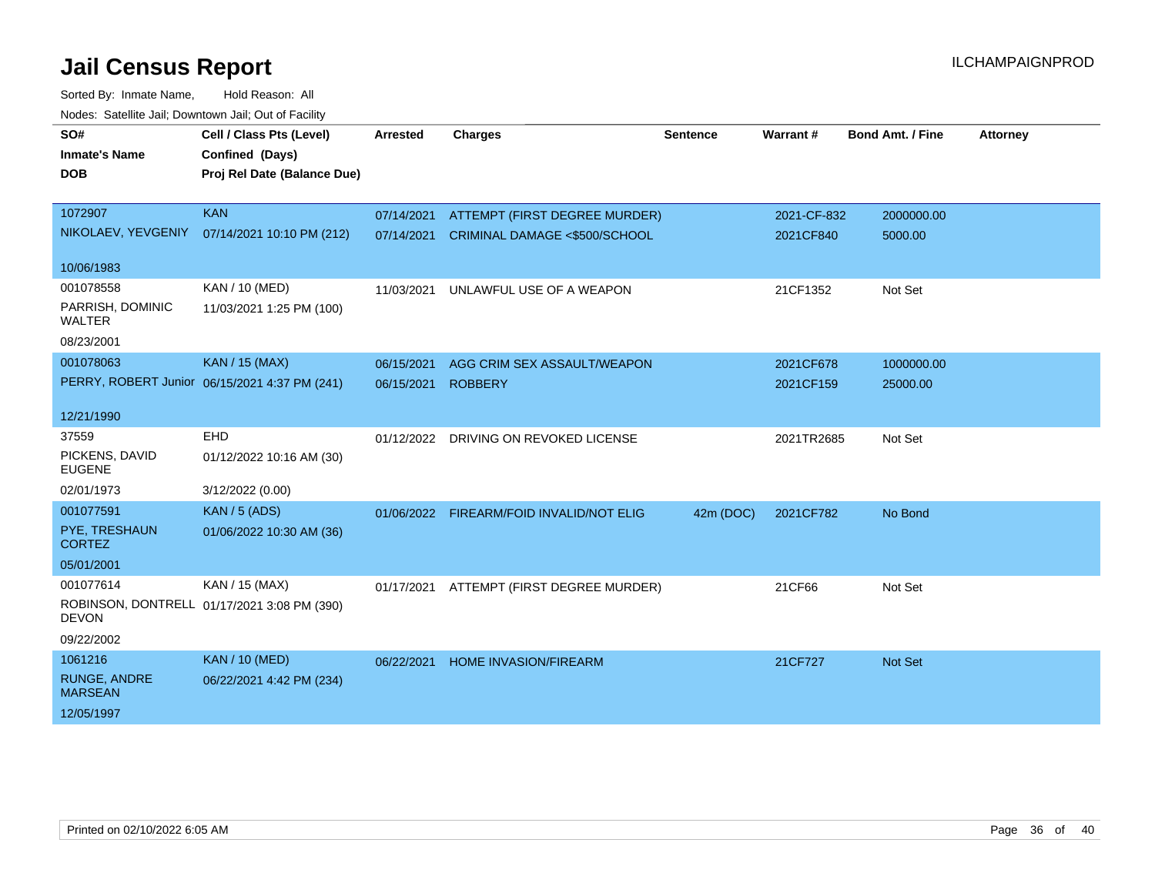| vouco. Odichite Jan, Downtown Jan, Out of Facility |                                               |                 |                                          |                 |             |                         |                 |
|----------------------------------------------------|-----------------------------------------------|-----------------|------------------------------------------|-----------------|-------------|-------------------------|-----------------|
| SO#                                                | Cell / Class Pts (Level)                      | <b>Arrested</b> | <b>Charges</b>                           | <b>Sentence</b> | Warrant#    | <b>Bond Amt. / Fine</b> | <b>Attorney</b> |
| <b>Inmate's Name</b>                               | Confined (Days)                               |                 |                                          |                 |             |                         |                 |
| <b>DOB</b>                                         | Proj Rel Date (Balance Due)                   |                 |                                          |                 |             |                         |                 |
|                                                    |                                               |                 |                                          |                 |             |                         |                 |
| 1072907                                            | <b>KAN</b>                                    | 07/14/2021      | ATTEMPT (FIRST DEGREE MURDER)            |                 | 2021-CF-832 | 2000000.00              |                 |
|                                                    | NIKOLAEV, YEVGENIY 07/14/2021 10:10 PM (212)  | 07/14/2021      | <b>CRIMINAL DAMAGE &lt;\$500/SCHOOL</b>  |                 | 2021CF840   | 5000.00                 |                 |
| 10/06/1983                                         |                                               |                 |                                          |                 |             |                         |                 |
| 001078558                                          | KAN / 10 (MED)                                | 11/03/2021      | UNLAWFUL USE OF A WEAPON                 |                 | 21CF1352    | Not Set                 |                 |
| PARRISH, DOMINIC<br><b>WALTER</b>                  | 11/03/2021 1:25 PM (100)                      |                 |                                          |                 |             |                         |                 |
| 08/23/2001                                         |                                               |                 |                                          |                 |             |                         |                 |
| 001078063                                          | <b>KAN / 15 (MAX)</b>                         | 06/15/2021      | AGG CRIM SEX ASSAULT/WEAPON              |                 | 2021CF678   | 1000000.00              |                 |
|                                                    | PERRY, ROBERT Junior 06/15/2021 4:37 PM (241) | 06/15/2021      | <b>ROBBERY</b>                           |                 | 2021CF159   | 25000.00                |                 |
|                                                    |                                               |                 |                                          |                 |             |                         |                 |
| 12/21/1990                                         |                                               |                 |                                          |                 |             |                         |                 |
| 37559                                              | <b>EHD</b>                                    |                 | 01/12/2022 DRIVING ON REVOKED LICENSE    |                 | 2021TR2685  | Not Set                 |                 |
| PICKENS, DAVID<br><b>EUGENE</b>                    | 01/12/2022 10:16 AM (30)                      |                 |                                          |                 |             |                         |                 |
| 02/01/1973                                         | 3/12/2022 (0.00)                              |                 |                                          |                 |             |                         |                 |
| 001077591                                          | <b>KAN / 5 (ADS)</b>                          |                 | 01/06/2022 FIREARM/FOID INVALID/NOT ELIG | 42m (DOC)       | 2021CF782   | No Bond                 |                 |
| PYE, TRESHAUN<br><b>CORTEZ</b>                     | 01/06/2022 10:30 AM (36)                      |                 |                                          |                 |             |                         |                 |
| 05/01/2001                                         |                                               |                 |                                          |                 |             |                         |                 |
| 001077614                                          | KAN / 15 (MAX)                                | 01/17/2021      | ATTEMPT (FIRST DEGREE MURDER)            |                 | 21CF66      | Not Set                 |                 |
| <b>DEVON</b>                                       | ROBINSON, DONTRELL 01/17/2021 3:08 PM (390)   |                 |                                          |                 |             |                         |                 |
| 09/22/2002                                         |                                               |                 |                                          |                 |             |                         |                 |
| 1061216                                            | <b>KAN / 10 (MED)</b>                         | 06/22/2021      | <b>HOME INVASION/FIREARM</b>             |                 | 21CF727     | Not Set                 |                 |
| RUNGE, ANDRE<br><b>MARSEAN</b>                     | 06/22/2021 4:42 PM (234)                      |                 |                                          |                 |             |                         |                 |
| 12/05/1997                                         |                                               |                 |                                          |                 |             |                         |                 |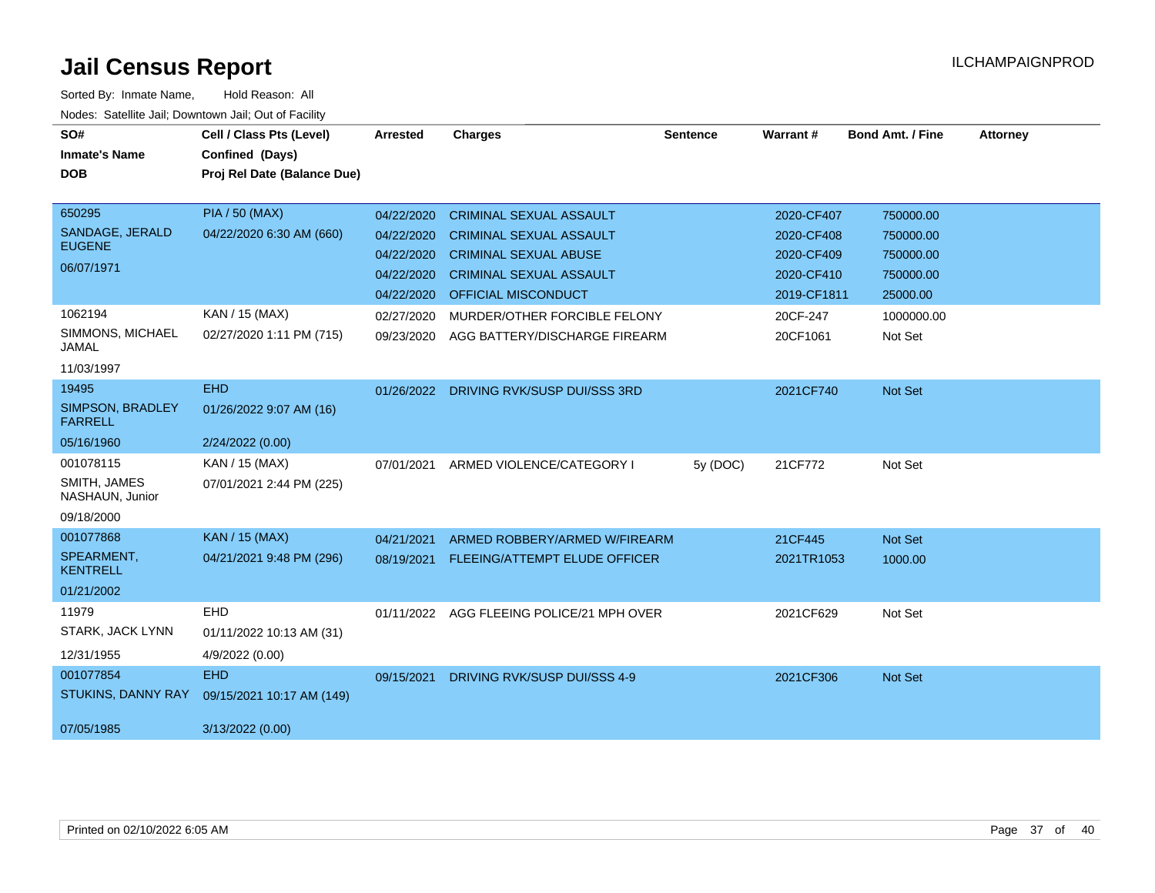| SO#<br><b>Inmate's Name</b>        | Cell / Class Pts (Level)<br>Confined (Days) | <b>Arrested</b> | <b>Charges</b>                 | <b>Sentence</b> | <b>Warrant#</b> | <b>Bond Amt. / Fine</b> | <b>Attorney</b> |
|------------------------------------|---------------------------------------------|-----------------|--------------------------------|-----------------|-----------------|-------------------------|-----------------|
| <b>DOB</b>                         | Proj Rel Date (Balance Due)                 |                 |                                |                 |                 |                         |                 |
|                                    |                                             |                 |                                |                 |                 |                         |                 |
| 650295                             | <b>PIA / 50 (MAX)</b>                       | 04/22/2020      | <b>CRIMINAL SEXUAL ASSAULT</b> |                 | 2020-CF407      | 750000.00               |                 |
| SANDAGE, JERALD<br><b>EUGENE</b>   | 04/22/2020 6:30 AM (660)                    | 04/22/2020      | <b>CRIMINAL SEXUAL ASSAULT</b> |                 | 2020-CF408      | 750000.00               |                 |
|                                    |                                             | 04/22/2020      | <b>CRIMINAL SEXUAL ABUSE</b>   |                 | 2020-CF409      | 750000.00               |                 |
| 06/07/1971                         |                                             | 04/22/2020      | <b>CRIMINAL SEXUAL ASSAULT</b> |                 | 2020-CF410      | 750000.00               |                 |
|                                    |                                             | 04/22/2020      | <b>OFFICIAL MISCONDUCT</b>     |                 | 2019-CF1811     | 25000.00                |                 |
| 1062194                            | KAN / 15 (MAX)                              | 02/27/2020      | MURDER/OTHER FORCIBLE FELONY   |                 | 20CF-247        | 1000000.00              |                 |
| SIMMONS, MICHAEL<br><b>JAMAL</b>   | 02/27/2020 1:11 PM (715)                    | 09/23/2020      | AGG BATTERY/DISCHARGE FIREARM  |                 | 20CF1061        | Not Set                 |                 |
| 11/03/1997                         |                                             |                 |                                |                 |                 |                         |                 |
| 19495                              | <b>EHD</b>                                  | 01/26/2022      | DRIVING RVK/SUSP DUI/SSS 3RD   |                 | 2021CF740       | Not Set                 |                 |
| SIMPSON, BRADLEY<br><b>FARRELL</b> | 01/26/2022 9:07 AM (16)                     |                 |                                |                 |                 |                         |                 |
| 05/16/1960                         | 2/24/2022 (0.00)                            |                 |                                |                 |                 |                         |                 |
| 001078115                          | KAN / 15 (MAX)                              | 07/01/2021      | ARMED VIOLENCE/CATEGORY I      | 5y (DOC)        | 21CF772         | Not Set                 |                 |
| SMITH, JAMES<br>NASHAUN, Junior    | 07/01/2021 2:44 PM (225)                    |                 |                                |                 |                 |                         |                 |
| 09/18/2000                         |                                             |                 |                                |                 |                 |                         |                 |
| 001077868                          | <b>KAN / 15 (MAX)</b>                       | 04/21/2021      | ARMED ROBBERY/ARMED W/FIREARM  |                 | 21CF445         | Not Set                 |                 |
| SPEARMENT.<br><b>KENTRELL</b>      | 04/21/2021 9:48 PM (296)                    | 08/19/2021      | FLEEING/ATTEMPT ELUDE OFFICER  |                 | 2021TR1053      | 1000.00                 |                 |
| 01/21/2002                         |                                             |                 |                                |                 |                 |                         |                 |
| 11979                              | EHD                                         | 01/11/2022      | AGG FLEEING POLICE/21 MPH OVER |                 | 2021CF629       | Not Set                 |                 |
| STARK, JACK LYNN                   | 01/11/2022 10:13 AM (31)                    |                 |                                |                 |                 |                         |                 |
| 12/31/1955                         | 4/9/2022 (0.00)                             |                 |                                |                 |                 |                         |                 |
| 001077854                          | <b>EHD</b>                                  | 09/15/2021      | DRIVING RVK/SUSP DUI/SSS 4-9   |                 | 2021CF306       | Not Set                 |                 |
| <b>STUKINS, DANNY RAY</b>          | 09/15/2021 10:17 AM (149)                   |                 |                                |                 |                 |                         |                 |
| 07/05/1985                         | 3/13/2022 (0.00)                            |                 |                                |                 |                 |                         |                 |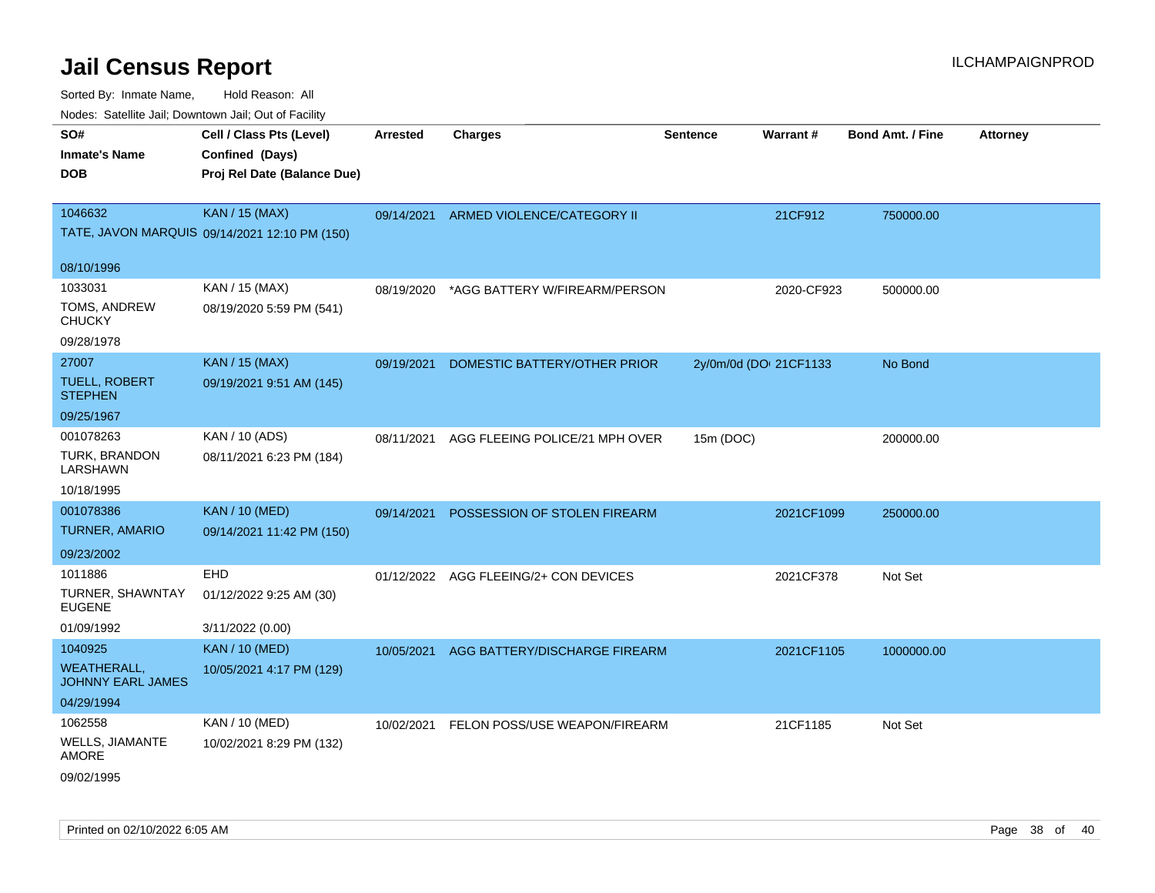| SO#<br><b>Inmate's Name</b><br><b>DOB</b>                               | Cell / Class Pts (Level)<br>Confined (Days)<br>Proj Rel Date (Balance Due) | Arrested   | <b>Charges</b>                           | <b>Sentence</b> | <b>Warrant#</b>        | <b>Bond Amt. / Fine</b> | <b>Attorney</b> |
|-------------------------------------------------------------------------|----------------------------------------------------------------------------|------------|------------------------------------------|-----------------|------------------------|-------------------------|-----------------|
| 1046632                                                                 | <b>KAN / 15 (MAX)</b><br>TATE, JAVON MARQUIS 09/14/2021 12:10 PM (150)     |            | 09/14/2021 ARMED VIOLENCE/CATEGORY II    |                 | 21CF912                | 750000.00               |                 |
| 08/10/1996                                                              |                                                                            |            |                                          |                 |                        |                         |                 |
| 1033031<br>TOMS, ANDREW<br><b>CHUCKY</b><br>09/28/1978                  | KAN / 15 (MAX)<br>08/19/2020 5:59 PM (541)                                 | 08/19/2020 | *AGG BATTERY W/FIREARM/PERSON            |                 | 2020-CF923             | 500000.00               |                 |
| 27007<br>TUELL, ROBERT<br><b>STEPHEN</b><br>09/25/1967                  | <b>KAN / 15 (MAX)</b><br>09/19/2021 9:51 AM (145)                          | 09/19/2021 | DOMESTIC BATTERY/OTHER PRIOR             |                 | 2y/0m/0d (DOI 21CF1133 | No Bond                 |                 |
| 001078263<br>TURK, BRANDON<br>LARSHAWN<br>10/18/1995                    | KAN / 10 (ADS)<br>08/11/2021 6:23 PM (184)                                 | 08/11/2021 | AGG FLEEING POLICE/21 MPH OVER           | 15m (DOC)       |                        | 200000.00               |                 |
| 001078386<br><b>TURNER, AMARIO</b><br>09/23/2002                        | <b>KAN / 10 (MED)</b><br>09/14/2021 11:42 PM (150)                         |            | 09/14/2021 POSSESSION OF STOLEN FIREARM  |                 | 2021CF1099             | 250000.00               |                 |
| 1011886<br>TURNER, SHAWNTAY<br><b>EUGENE</b><br>01/09/1992              | <b>EHD</b><br>01/12/2022 9:25 AM (30)<br>3/11/2022 (0.00)                  |            | 01/12/2022 AGG FLEEING/2+ CON DEVICES    |                 | 2021CF378              | Not Set                 |                 |
| 1040925<br><b>WEATHERALL,</b><br><b>JOHNNY EARL JAMES</b><br>04/29/1994 | <b>KAN / 10 (MED)</b><br>10/05/2021 4:17 PM (129)                          | 10/05/2021 | AGG BATTERY/DISCHARGE FIREARM            |                 | 2021CF1105             | 1000000.00              |                 |
| 1062558<br><b>WELLS, JIAMANTE</b><br>AMORE<br>09/02/1995                | KAN / 10 (MED)<br>10/02/2021 8:29 PM (132)                                 |            | 10/02/2021 FELON POSS/USE WEAPON/FIREARM |                 | 21CF1185               | Not Set                 |                 |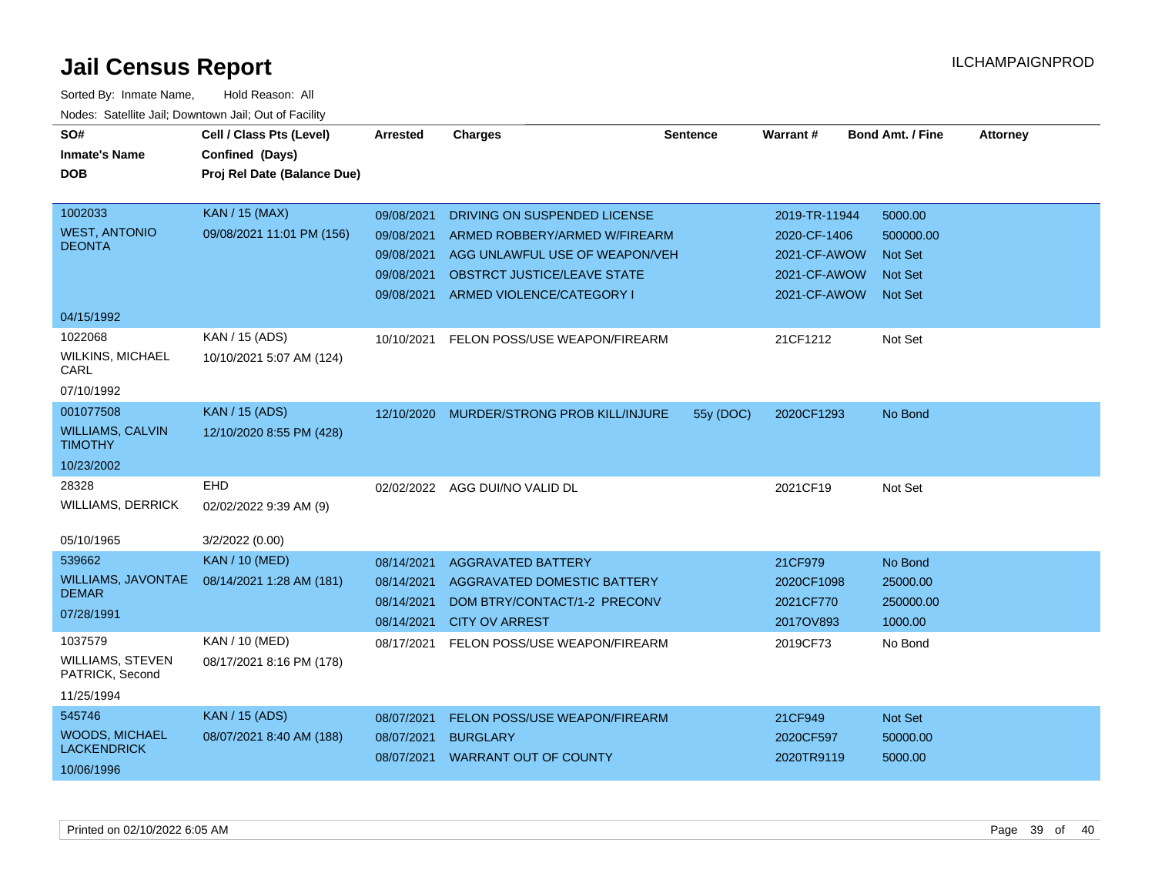| SO#                                       | Cell / Class Pts (Level)    | <b>Arrested</b> | <b>Charges</b>                     | <b>Sentence</b> | Warrant#      | <b>Bond Amt. / Fine</b> | <b>Attorney</b> |
|-------------------------------------------|-----------------------------|-----------------|------------------------------------|-----------------|---------------|-------------------------|-----------------|
| <b>Inmate's Name</b>                      | Confined (Days)             |                 |                                    |                 |               |                         |                 |
| <b>DOB</b>                                | Proj Rel Date (Balance Due) |                 |                                    |                 |               |                         |                 |
|                                           |                             |                 |                                    |                 |               |                         |                 |
| 1002033                                   | <b>KAN / 15 (MAX)</b>       | 09/08/2021      | DRIVING ON SUSPENDED LICENSE       |                 | 2019-TR-11944 | 5000.00                 |                 |
| <b>WEST, ANTONIO</b>                      | 09/08/2021 11:01 PM (156)   | 09/08/2021      | ARMED ROBBERY/ARMED W/FIREARM      |                 | 2020-CF-1406  | 500000.00               |                 |
| <b>DEONTA</b>                             |                             | 09/08/2021      | AGG UNLAWFUL USE OF WEAPON/VEH     |                 | 2021-CF-AWOW  | <b>Not Set</b>          |                 |
|                                           |                             | 09/08/2021      | <b>OBSTRCT JUSTICE/LEAVE STATE</b> |                 | 2021-CF-AWOW  | <b>Not Set</b>          |                 |
|                                           |                             | 09/08/2021      | ARMED VIOLENCE/CATEGORY I          |                 | 2021-CF-AWOW  | <b>Not Set</b>          |                 |
| 04/15/1992                                |                             |                 |                                    |                 |               |                         |                 |
| 1022068                                   | KAN / 15 (ADS)              | 10/10/2021      | FELON POSS/USE WEAPON/FIREARM      |                 | 21CF1212      | Not Set                 |                 |
| <b>WILKINS, MICHAEL</b><br>CARL           | 10/10/2021 5:07 AM (124)    |                 |                                    |                 |               |                         |                 |
| 07/10/1992                                |                             |                 |                                    |                 |               |                         |                 |
| 001077508                                 | <b>KAN / 15 (ADS)</b>       | 12/10/2020      | MURDER/STRONG PROB KILL/INJURE     | 55y (DOC)       | 2020CF1293    | No Bond                 |                 |
| <b>WILLIAMS, CALVIN</b><br><b>TIMOTHY</b> | 12/10/2020 8:55 PM (428)    |                 |                                    |                 |               |                         |                 |
| 10/23/2002                                |                             |                 |                                    |                 |               |                         |                 |
| 28328                                     | <b>EHD</b>                  |                 | 02/02/2022 AGG DUI/NO VALID DL     |                 | 2021CF19      | Not Set                 |                 |
| <b>WILLIAMS, DERRICK</b>                  | 02/02/2022 9:39 AM (9)      |                 |                                    |                 |               |                         |                 |
| 05/10/1965                                | 3/2/2022 (0.00)             |                 |                                    |                 |               |                         |                 |
| 539662                                    | <b>KAN / 10 (MED)</b>       | 08/14/2021      | <b>AGGRAVATED BATTERY</b>          |                 | 21CF979       | No Bond                 |                 |
| <b>WILLIAMS, JAVONTAE</b>                 | 08/14/2021 1:28 AM (181)    | 08/14/2021      | AGGRAVATED DOMESTIC BATTERY        |                 | 2020CF1098    | 25000.00                |                 |
| <b>DEMAR</b>                              |                             | 08/14/2021      | DOM BTRY/CONTACT/1-2 PRECONV       |                 | 2021CF770     | 250000.00               |                 |
| 07/28/1991                                |                             | 08/14/2021      | <b>CITY OV ARREST</b>              |                 | 2017OV893     | 1000.00                 |                 |
| 1037579                                   | KAN / 10 (MED)              | 08/17/2021      | FELON POSS/USE WEAPON/FIREARM      |                 | 2019CF73      | No Bond                 |                 |
| WILLIAMS, STEVEN<br>PATRICK, Second       | 08/17/2021 8:16 PM (178)    |                 |                                    |                 |               |                         |                 |
| 11/25/1994                                |                             |                 |                                    |                 |               |                         |                 |
| 545746                                    | <b>KAN / 15 (ADS)</b>       | 08/07/2021      | FELON POSS/USE WEAPON/FIREARM      |                 | 21CF949       | Not Set                 |                 |
| <b>WOODS, MICHAEL</b>                     | 08/07/2021 8:40 AM (188)    | 08/07/2021      | <b>BURGLARY</b>                    |                 | 2020CF597     | 50000.00                |                 |
| <b>LACKENDRICK</b>                        |                             |                 | 08/07/2021 WARRANT OUT OF COUNTY   |                 | 2020TR9119    | 5000.00                 |                 |
| 10/06/1996                                |                             |                 |                                    |                 |               |                         |                 |